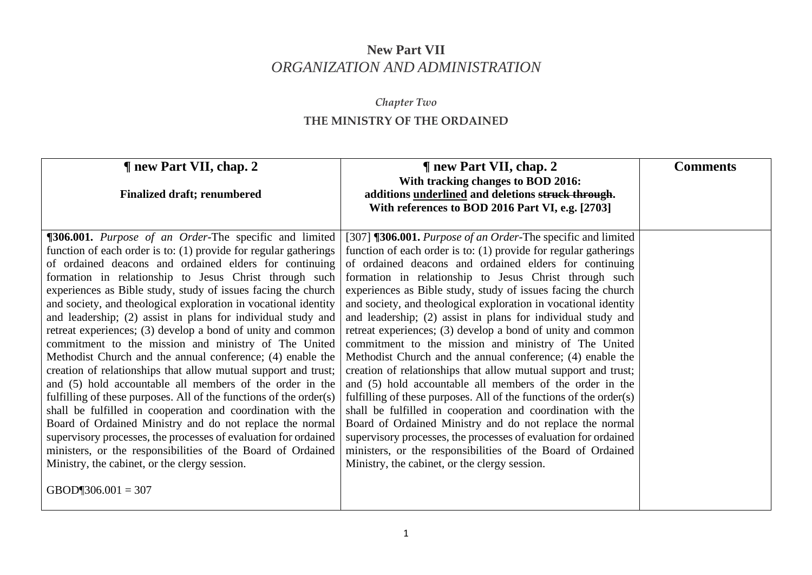## **New Part VII** *ORGANIZATION AND ADMINISTRATION*

## *Chapter Two* **THE MINISTRY OF THE ORDAINED**

| <b>¶</b> new Part VII, chap. 2<br><b>Finalized draft; renumbered</b>                                                                                                                                                                                                                                                                                                                                                                                                                                                                                                                                                                                                                                                                                                                                                                                                                                                                                                                                                                                                                                                                                                                     | <b>The Part VII, chap. 2</b><br>With tracking changes to BOD 2016:<br>additions underlined and deletions struck through.<br>With references to BOD 2016 Part VI, e.g. [2703]                                                                                                                                                                                                                                                                                                                                                                                                                                                                                                                                                                                                                                                                                                                                                                                                                                                                                                                                                                                             | <b>Comments</b> |
|------------------------------------------------------------------------------------------------------------------------------------------------------------------------------------------------------------------------------------------------------------------------------------------------------------------------------------------------------------------------------------------------------------------------------------------------------------------------------------------------------------------------------------------------------------------------------------------------------------------------------------------------------------------------------------------------------------------------------------------------------------------------------------------------------------------------------------------------------------------------------------------------------------------------------------------------------------------------------------------------------------------------------------------------------------------------------------------------------------------------------------------------------------------------------------------|--------------------------------------------------------------------------------------------------------------------------------------------------------------------------------------------------------------------------------------------------------------------------------------------------------------------------------------------------------------------------------------------------------------------------------------------------------------------------------------------------------------------------------------------------------------------------------------------------------------------------------------------------------------------------------------------------------------------------------------------------------------------------------------------------------------------------------------------------------------------------------------------------------------------------------------------------------------------------------------------------------------------------------------------------------------------------------------------------------------------------------------------------------------------------|-----------------|
| <b>[306.001.</b> Purpose of an Order-The specific and limited<br>function of each order is to: $(1)$ provide for regular gatherings<br>of ordained deacons and ordained elders for continuing<br>formation in relationship to Jesus Christ through such<br>experiences as Bible study, study of issues facing the church<br>and society, and theological exploration in vocational identity<br>and leadership; (2) assist in plans for individual study and<br>retreat experiences; (3) develop a bond of unity and common<br>commitment to the mission and ministry of The United<br>Methodist Church and the annual conference; (4) enable the<br>creation of relationships that allow mutual support and trust;<br>and (5) hold accountable all members of the order in the<br>fulfilling of these purposes. All of the functions of the order(s)<br>shall be fulfilled in cooperation and coordination with the<br>Board of Ordained Ministry and do not replace the normal<br>supervisory processes, the processes of evaluation for ordained<br>ministers, or the responsibilities of the Board of Ordained<br>Ministry, the cabinet, or the clergy session.<br>GBOD¶306.001 = 307 | [307] <b>[306.001.</b> Purpose of an Order-The specific and limited<br>function of each order is to: $(1)$ provide for regular gatherings<br>of ordained deacons and ordained elders for continuing<br>formation in relationship to Jesus Christ through such<br>experiences as Bible study, study of issues facing the church<br>and society, and theological exploration in vocational identity<br>and leadership; (2) assist in plans for individual study and<br>retreat experiences; (3) develop a bond of unity and common<br>commitment to the mission and ministry of The United<br>Methodist Church and the annual conference; (4) enable the<br>creation of relationships that allow mutual support and trust;<br>and (5) hold accountable all members of the order in the<br>fulfilling of these purposes. All of the functions of the order(s)<br>shall be fulfilled in cooperation and coordination with the<br>Board of Ordained Ministry and do not replace the normal<br>supervisory processes, the processes of evaluation for ordained<br>ministers, or the responsibilities of the Board of Ordained<br>Ministry, the cabinet, or the clergy session. |                 |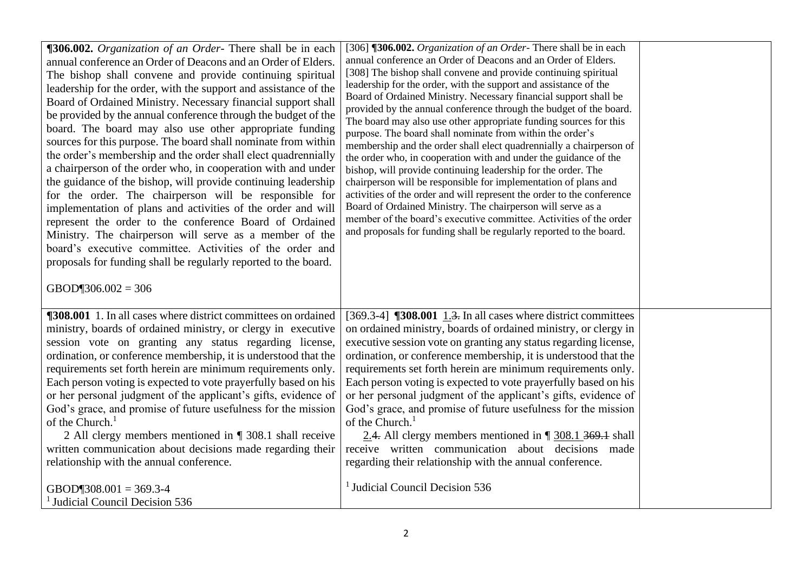| <b>[306.002.</b> Organization of an Order-There shall be in each<br>annual conference an Order of Deacons and an Order of Elders.<br>The bishop shall convene and provide continuing spiritual<br>leadership for the order, with the support and assistance of the<br>Board of Ordained Ministry. Necessary financial support shall<br>be provided by the annual conference through the budget of the<br>board. The board may also use other appropriate funding<br>sources for this purpose. The board shall nominate from within<br>the order's membership and the order shall elect quadrennially<br>a chairperson of the order who, in cooperation with and under<br>the guidance of the bishop, will provide continuing leadership<br>for the order. The chairperson will be responsible for<br>implementation of plans and activities of the order and will<br>represent the order to the conference Board of Ordained<br>Ministry. The chairperson will serve as a member of the<br>board's executive committee. Activities of the order and<br>proposals for funding shall be regularly reported to the board.<br>$GBOD$ 306.002 = 306 | [306] [306.002. Organization of an Order-There shall be in each<br>annual conference an Order of Deacons and an Order of Elders.<br>[308] The bishop shall convene and provide continuing spiritual<br>leadership for the order, with the support and assistance of the<br>Board of Ordained Ministry. Necessary financial support shall be<br>provided by the annual conference through the budget of the board.<br>The board may also use other appropriate funding sources for this<br>purpose. The board shall nominate from within the order's<br>membership and the order shall elect quadrennially a chairperson of<br>the order who, in cooperation with and under the guidance of the<br>bishop, will provide continuing leadership for the order. The<br>chairperson will be responsible for implementation of plans and<br>activities of the order and will represent the order to the conference<br>Board of Ordained Ministry. The chairperson will serve as a<br>member of the board's executive committee. Activities of the order<br>and proposals for funding shall be regularly reported to the board. |  |
|------------------------------------------------------------------------------------------------------------------------------------------------------------------------------------------------------------------------------------------------------------------------------------------------------------------------------------------------------------------------------------------------------------------------------------------------------------------------------------------------------------------------------------------------------------------------------------------------------------------------------------------------------------------------------------------------------------------------------------------------------------------------------------------------------------------------------------------------------------------------------------------------------------------------------------------------------------------------------------------------------------------------------------------------------------------------------------------------------------------------------------------------|--------------------------------------------------------------------------------------------------------------------------------------------------------------------------------------------------------------------------------------------------------------------------------------------------------------------------------------------------------------------------------------------------------------------------------------------------------------------------------------------------------------------------------------------------------------------------------------------------------------------------------------------------------------------------------------------------------------------------------------------------------------------------------------------------------------------------------------------------------------------------------------------------------------------------------------------------------------------------------------------------------------------------------------------------------------------------------------------------------------------------|--|
| ¶308.001 1. In all cases where district committees on ordained<br>ministry, boards of ordained ministry, or clergy in executive<br>session vote on granting any status regarding license,<br>ordination, or conference membership, it is understood that the<br>requirements set forth herein are minimum requirements only.<br>Each person voting is expected to vote prayerfully based on his<br>or her personal judgment of the applicant's gifts, evidence of<br>God's grace, and promise of future usefulness for the mission<br>of the Church. <sup>1</sup><br>2 All clergy members mentioned in $\P$ 308.1 shall receive<br>written communication about decisions made regarding their<br>relationship with the annual conference.<br>GBOD¶308.001 = 369.3-4                                                                                                                                                                                                                                                                                                                                                                            | $[369.3-4]$ ¶308.001 1.3. In all cases where district committees<br>on ordained ministry, boards of ordained ministry, or clergy in<br>executive session vote on granting any status regarding license,<br>ordination, or conference membership, it is understood that the<br>requirements set forth herein are minimum requirements only.<br>Each person voting is expected to vote prayerfully based on his<br>or her personal judgment of the applicant's gifts, evidence of<br>God's grace, and promise of future usefulness for the mission<br>of the Church. <sup>1</sup><br>2.4. All clergy members mentioned in $\sqrt{\frac{308.1}{369.1}}$ shall<br>receive written communication about decisions made<br>regarding their relationship with the annual conference.<br><sup>1</sup> Judicial Council Decision 536                                                                                                                                                                                                                                                                                               |  |
| <sup>1</sup> Judicial Council Decision 536                                                                                                                                                                                                                                                                                                                                                                                                                                                                                                                                                                                                                                                                                                                                                                                                                                                                                                                                                                                                                                                                                                     |                                                                                                                                                                                                                                                                                                                                                                                                                                                                                                                                                                                                                                                                                                                                                                                                                                                                                                                                                                                                                                                                                                                          |  |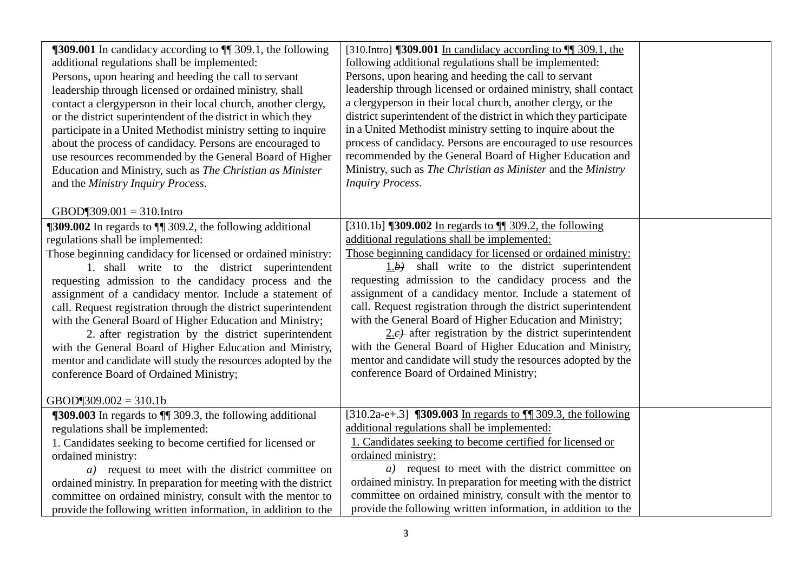| <b>[309.001</b> In candidacy according to <b>[</b> ] 309.1, the following | [310.Intro] $\P$ 309.001 In candidacy according to $\P$ 309.1, the |  |
|---------------------------------------------------------------------------|--------------------------------------------------------------------|--|
| additional regulations shall be implemented:                              | following additional regulations shall be implemented:             |  |
| Persons, upon hearing and heeding the call to servant                     | Persons, upon hearing and heeding the call to servant              |  |
| leadership through licensed or ordained ministry, shall                   | leadership through licensed or ordained ministry, shall contact    |  |
| contact a clergyperson in their local church, another clergy,             | a clergyperson in their local church, another clergy, or the       |  |
| or the district superintendent of the district in which they              | district superintendent of the district in which they participate  |  |
| participate in a United Methodist ministry setting to inquire             | in a United Methodist ministry setting to inquire about the        |  |
| about the process of candidacy. Persons are encouraged to                 | process of candidacy. Persons are encouraged to use resources      |  |
| use resources recommended by the General Board of Higher                  | recommended by the General Board of Higher Education and           |  |
| Education and Ministry, such as The Christian as Minister                 | Ministry, such as The Christian as Minister and the Ministry       |  |
| and the Ministry Inquiry Process.                                         | <b>Inquiry Process.</b>                                            |  |
|                                                                           |                                                                    |  |
| $GBOD$ 309.001 = 310. Intro                                               |                                                                    |  |
| <b>[309.002</b> In regards to <b>[</b> [ 309.2, the following additional  | [310.1b] $\P$ 309.002 In regards to $\P$ 309.2, the following      |  |
| regulations shall be implemented:                                         | additional regulations shall be implemented:                       |  |
| Those beginning candidacy for licensed or ordained ministry:              | Those beginning candidacy for licensed or ordained ministry:       |  |
| 1. shall write to the district superintendent                             | $1.b$ shall write to the district superintendent                   |  |
| requesting admission to the candidacy process and the                     | requesting admission to the candidacy process and the              |  |
| assignment of a candidacy mentor. Include a statement of                  | assignment of a candidacy mentor. Include a statement of           |  |
| call. Request registration through the district superintendent            | call. Request registration through the district superintendent     |  |
| with the General Board of Higher Education and Ministry;                  | with the General Board of Higher Education and Ministry;           |  |
| 2. after registration by the district superintendent                      | $2.e$ after registration by the district superintendent            |  |
| with the General Board of Higher Education and Ministry,                  | with the General Board of Higher Education and Ministry,           |  |
| mentor and candidate will study the resources adopted by the              | mentor and candidate will study the resources adopted by the       |  |
| conference Board of Ordained Ministry;                                    | conference Board of Ordained Ministry;                             |  |
|                                                                           |                                                                    |  |
| GBOD¶309.002 = 310.1b                                                     |                                                                    |  |
| ¶309.003 In regards to ¶ 309.3, the following additional                  | [310.2a-e+.3] $\P$ 309.003 In regards to $\P$ 309.3, the following |  |
| regulations shall be implemented:                                         | additional regulations shall be implemented:                       |  |
| 1. Candidates seeking to become certified for licensed or                 | 1. Candidates seeking to become certified for licensed or          |  |
| ordained ministry:                                                        | ordained ministry:                                                 |  |
| a) request to meet with the district committee on                         | a) request to meet with the district committee on                  |  |
| ordained ministry. In preparation for meeting with the district           | ordained ministry. In preparation for meeting with the district    |  |
| committee on ordained ministry, consult with the mentor to                | committee on ordained ministry, consult with the mentor to         |  |
| provide the following written information, in addition to the             | provide the following written information, in addition to the      |  |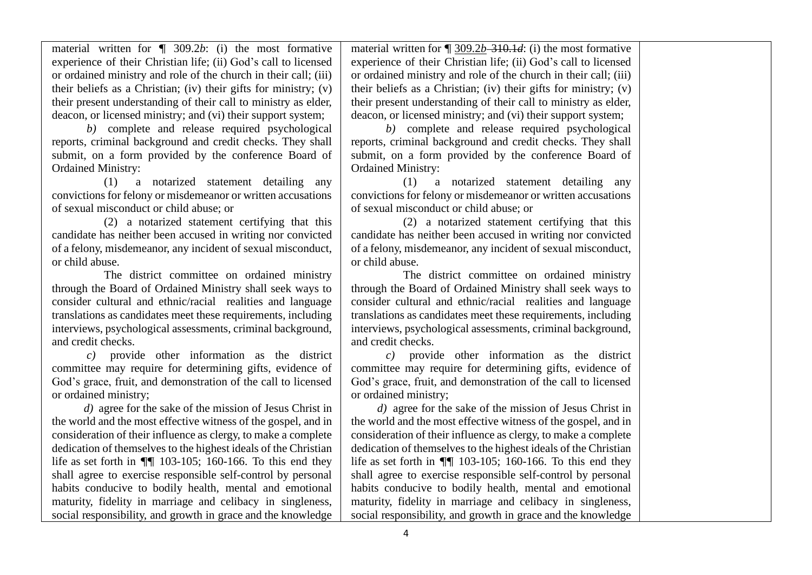material written for ¶ 309.2*b*: (i) the most formative experience of their Christian life; (ii) God's call to licensed or ordained ministry and role of the church in their call; (iii) their beliefs as a Christian; (iv) their gifts for ministry; (v) their present understanding of their call to ministry as elder, deacon, or licensed ministry; and (vi) their support system;

*b)* complete and release required psychological reports, criminal background and credit checks. They shall submit, on a form provided by the conference Board of Ordained Ministry:

(1) a notarized statement detailing any convictions for felony or misdemeanor or written accusations of sexual misconduct or child abuse; or

(2) a notarized statement certifying that this candidate has neither been accused in writing nor convicted of a felony, misdemeanor, any incident of sexual misconduct, or child abuse.

The district committee on ordained ministry through the Board of Ordained Ministry shall seek ways to consider cultural and ethnic/racial realities and language translations as candidates meet these requirements, including interviews, psychological assessments, criminal background, and credit checks.

*c)* provide other information as the district committee may require for determining gifts, evidence of God's grace, fruit, and demonstration of the call to licensed or ordained ministry;

 *d)* agree for the sake of the mission of Jesus Christ in the world and the most effective witness of the gospel, and in consideration of their influence as clergy, to make a complete dedication of themselves to the highest ideals of the Christian life as set forth in  $\P\P$  103-105; 160-166. To this end they shall agree to exercise responsible self-control by personal habits conducive to bodily health, mental and emotional maturity, fidelity in marriage and celibacy in singleness, social responsibility, and growth in grace and the knowledge

material written for  $\P$  309.2*b* 310.1*d*: (i) the most formative experience of their Christian life; (ii) God's call to licensed or ordained ministry and role of the church in their call; (iii) their beliefs as a Christian; (iv) their gifts for ministry; (v) their present understanding of their call to ministry as elder, deacon, or licensed ministry; and (vi) their support system;

*b)* complete and release required psychological reports, criminal background and credit checks. They shall submit, on a form provided by the conference Board of Ordained Ministry:

(1) a notarized statement detailing any convictions for felony or misdemeanor or written accusations of sexual misconduct or child abuse; or

(2) a notarized statement certifying that this candidate has neither been accused in writing nor convicted of a felony, misdemeanor, any incident of sexual misconduct, or child abuse.

The district committee on ordained ministry through the Board of Ordained Ministry shall seek ways to consider cultural and ethnic/racial realities and language translations as candidates meet these requirements, including interviews, psychological assessments, criminal background, and credit checks.

*c)* provide other information as the district committee may require for determining gifts, evidence of God's grace, fruit, and demonstration of the call to licensed or ordained ministry;

*d*) agree for the sake of the mission of Jesus Christ in the world and the most effective witness of the gospel, and in consideration of their influence as clergy, to make a complete dedication of themselves to the highest ideals of the Christian life as set forth in ¶¶ 103-105; 160-166. To this end they shall agree to exercise responsible self-control by personal habits conducive to bodily health, mental and emotional maturity, fidelity in marriage and celibacy in singleness, social responsibility, and growth in grace and the knowledge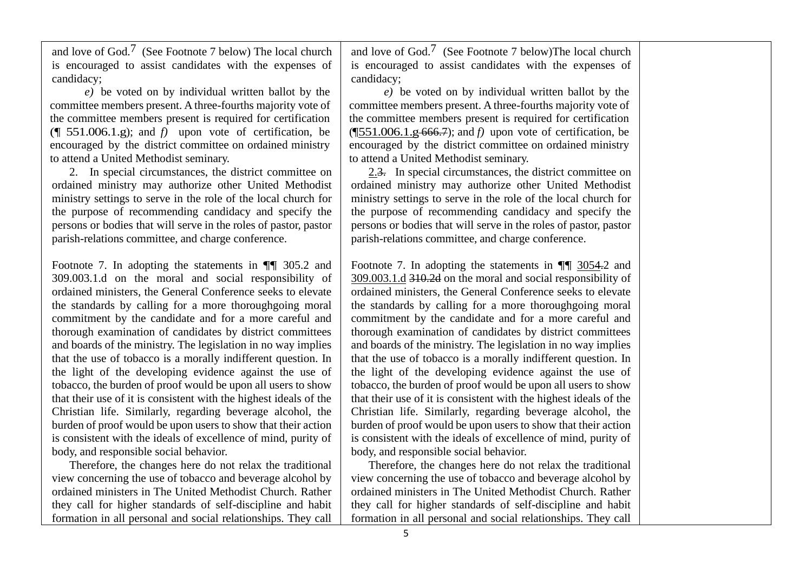and love of God.7 (See Footnote 7 below) The local church is encouraged to assist candidates with the expenses of candidacy;

*e)* be voted on by individual written ballot by the committee members present. A three-fourths majority vote of the committee members present is required for certification  $($ <del>[</del> $\leq$  551.006.1.g); and *f* $)$  upon vote of certification, be encouraged by the district committee on ordained ministry to attend a United Methodist seminary.

2. In special circumstances, the district committee on ordained ministry may authorize other United Methodist ministry settings to serve in the role of the local church for the purpose of recommending candidacy and specify the persons or bodies that will serve in the roles of pastor, pastor parish-relations committee, and charge conference.

Footnote 7. In adopting the statements in ¶¶ 305.2 and 309.003.1.d on the moral and social responsibility of ordained ministers, the General Conference seeks to elevate the standards by calling for a more thoroughgoing moral commitment by the candidate and for a more careful and thorough examination of candidates by district committees and boards of the ministry. The legislation in no way implies that the use of tobacco is a morally indifferent question. In the light of the developing evidence against the use of tobacco, the burden of proof would be upon all users to show that their use of it is consistent with the highest ideals of the Christian life. Similarly, regarding beverage alcohol, the burden of proof would be upon users to show that their action is consistent with the ideals of excellence of mind, purity of body, and responsible social behavior.

Therefore, the changes here do not relax the traditional view concerning the use of tobacco and beverage alcohol by ordained ministers in The United Methodist Church. Rather they call for higher standards of self-discipline and habit formation in all personal and social relationships. They call

and love of God.7 (See Footnote 7 below)The local church is encouraged to assist candidates with the expenses of candidacy;

*e)* be voted on by individual written ballot by the committee members present. A three-fourths majority vote of the committee members present is required for certification (¶551.006.1.g 666.7); and *f)* upon vote of certification, be encouraged by the district committee on ordained ministry to attend a United Methodist seminary.

2.3. In special circumstances, the district committee on ordained ministry may authorize other United Methodist ministry settings to serve in the role of the local church for the purpose of recommending candidacy and specify the persons or bodies that will serve in the roles of pastor, pastor parish-relations committee, and charge conference.

Footnote 7. In adopting the statements in ¶¶ 3054.2 and 309.003.1.d 310.2d on the moral and social responsibility of ordained ministers, the General Conference seeks to elevate the standards by calling for a more thoroughgoing moral commitment by the candidate and for a more careful and thorough examination of candidates by district committees and boards of the ministry. The legislation in no way implies that the use of tobacco is a morally indifferent question. In the light of the developing evidence against the use of tobacco, the burden of proof would be upon all users to show that their use of it is consistent with the highest ideals of the Christian life. Similarly, regarding beverage alcohol, the burden of proof would be upon users to show that their action is consistent with the ideals of excellence of mind, purity of body, and responsible social behavior.

Therefore, the changes here do not relax the traditional view concerning the use of tobacco and beverage alcohol by ordained ministers in The United Methodist Church. Rather they call for higher standards of self-discipline and habit formation in all personal and social relationships. They call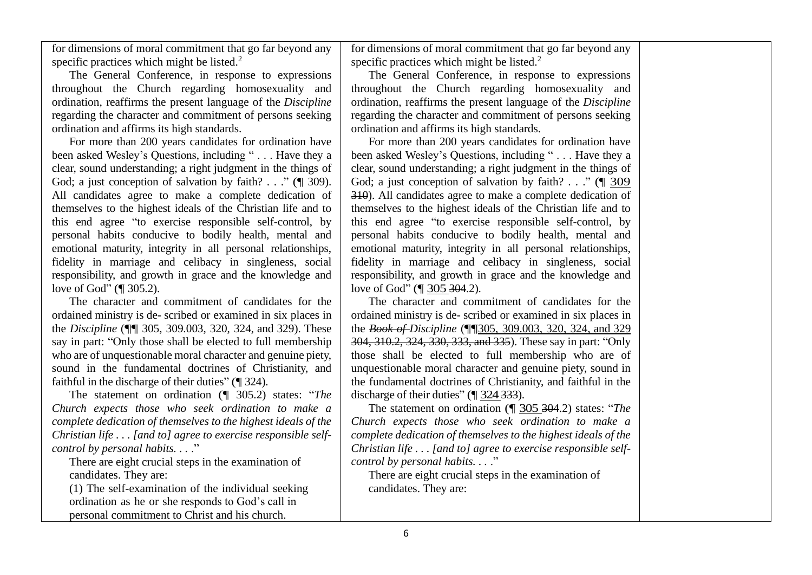for dimensions of moral commitment that go far beyond any specific practices which might be listed. $2^2$ 

The General Conference, in response to expressions throughout the Church regarding homosexuality and ordination, reaffirms the present language of the *Discipline*  regarding the character and commitment of persons seeking ordination and affirms its high standards.

For more than 200 years candidates for ordination have been asked Wesley's Questions, including " . . . Have they a clear, sound understanding; a right judgment in the things of God; a just conception of salvation by faith? . . ." ( $\blacksquare$  309). All candidates agree to make a complete dedication of themselves to the highest ideals of the Christian life and to this end agree "to exercise responsible self-control, by personal habits conducive to bodily health, mental and emotional maturity, integrity in all personal relationships, fidelity in marriage and celibacy in singleness, social responsibility, and growth in grace and the knowledge and love of God" (¶ 305.2).

The character and commitment of candidates for the ordained ministry is de- scribed or examined in six places in the *Discipline* (¶¶ 305, 309.003, 320, 324, and 329). These say in part: "Only those shall be elected to full membership who are of unquestionable moral character and genuine piety, sound in the fundamental doctrines of Christianity, and faithful in the discharge of their duties" ( $\P$  324).

The statement on ordination (¶ 305.2) states: "*The Church expects those who seek ordination to make a complete dedication of themselves to the highest ideals of the Christian life . . . [and to] agree to exercise responsible selfcontrol by personal habits. . .* ."

There are eight crucial steps in the examination of candidates. They are:

(1) The self-examination of the individual seeking ordination as he or she responds to God's call in personal commitment to Christ and his church.

for dimensions of moral commitment that go far beyond any specific practices which might be listed. $2^2$ 

The General Conference, in response to expressions throughout the Church regarding homosexuality and ordination, reaffirms the present language of the *Discipline*  regarding the character and commitment of persons seeking ordination and affirms its high standards.

For more than 200 years candidates for ordination have been asked Wesley's Questions, including " . . . Have they a clear, sound understanding; a right judgment in the things of God; a just conception of salvation by faith? . . ." ( $\parallel$  309 310). All candidates agree to make a complete dedication of themselves to the highest ideals of the Christian life and to this end agree "to exercise responsible self-control, by personal habits conducive to bodily health, mental and emotional maturity, integrity in all personal relationships, fidelity in marriage and celibacy in singleness, social responsibility, and growth in grace and the knowledge and love of God" (¶ 305 304.2).

The character and commitment of candidates for the ordained ministry is de- scribed or examined in six places in the *Book of Discipline* (¶¶305, 309.003, 320, 324, and 329 304, 310.2, 324, 330, 333, and 335). These say in part: "Only those shall be elected to full membership who are of unquestionable moral character and genuine piety, sound in the fundamental doctrines of Christianity, and faithful in the discharge of their duties" (¶ 324 <del>333</del>).

The statement on ordination (¶ 305 304.2) states: "*The Church expects those who seek ordination to make a complete dedication of themselves to the highest ideals of the Christian life . . . [and to] agree to exercise responsible selfcontrol by personal habits. . .* ."

There are eight crucial steps in the examination of candidates. They are: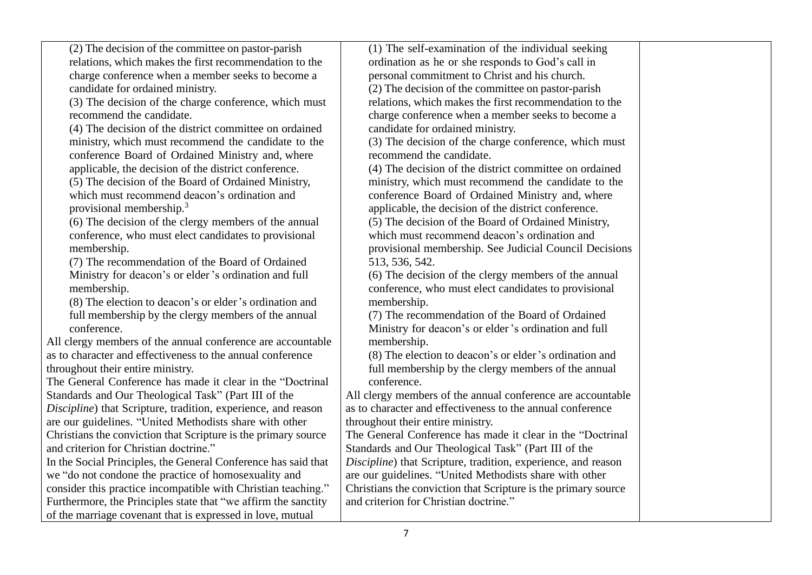| (2) The decision of the committee on pastor-parish             | (1) The self-examination of the individual seeking             |  |
|----------------------------------------------------------------|----------------------------------------------------------------|--|
| relations, which makes the first recommendation to the         | ordination as he or she responds to God's call in              |  |
| charge conference when a member seeks to become a              | personal commitment to Christ and his church.                  |  |
| candidate for ordained ministry.                               | (2) The decision of the committee on pastor-parish             |  |
| (3) The decision of the charge conference, which must          | relations, which makes the first recommendation to the         |  |
| recommend the candidate.                                       | charge conference when a member seeks to become a              |  |
| (4) The decision of the district committee on ordained         | candidate for ordained ministry.                               |  |
| ministry, which must recommend the candidate to the            | (3) The decision of the charge conference, which must          |  |
| conference Board of Ordained Ministry and, where               | recommend the candidate.                                       |  |
| applicable, the decision of the district conference.           | (4) The decision of the district committee on ordained         |  |
| (5) The decision of the Board of Ordained Ministry,            | ministry, which must recommend the candidate to the            |  |
| which must recommend deacon's ordination and                   | conference Board of Ordained Ministry and, where               |  |
| provisional membership. <sup>3</sup>                           | applicable, the decision of the district conference.           |  |
| (6) The decision of the clergy members of the annual           | (5) The decision of the Board of Ordained Ministry,            |  |
| conference, who must elect candidates to provisional           | which must recommend deacon's ordination and                   |  |
| membership.                                                    | provisional membership. See Judicial Council Decisions         |  |
| (7) The recommendation of the Board of Ordained                | 513, 536, 542.                                                 |  |
| Ministry for deacon's or elder's ordination and full           | (6) The decision of the clergy members of the annual           |  |
| membership.                                                    | conference, who must elect candidates to provisional           |  |
| (8) The election to deacon's or elder's ordination and         | membership.                                                    |  |
| full membership by the clergy members of the annual            | (7) The recommendation of the Board of Ordained                |  |
| conference.                                                    | Ministry for deacon's or elder's ordination and full           |  |
| All clergy members of the annual conference are accountable    | membership.                                                    |  |
| as to character and effectiveness to the annual conference     | (8) The election to deacon's or elder's ordination and         |  |
| throughout their entire ministry.                              | full membership by the clergy members of the annual            |  |
| The General Conference has made it clear in the "Doctrinal     | conference.                                                    |  |
| Standards and Our Theological Task" (Part III of the           | All clergy members of the annual conference are accountable    |  |
| Discipline) that Scripture, tradition, experience, and reason  | as to character and effectiveness to the annual conference     |  |
| are our guidelines. "United Methodists share with other        | throughout their entire ministry.                              |  |
| Christians the conviction that Scripture is the primary source | The General Conference has made it clear in the "Doctrinal"    |  |
| and criterion for Christian doctrine."                         | Standards and Our Theological Task" (Part III of the           |  |
| In the Social Principles, the General Conference has said that | Discipline) that Scripture, tradition, experience, and reason  |  |
| we "do not condone the practice of homosexuality and           | are our guidelines. "United Methodists share with other        |  |
| consider this practice incompatible with Christian teaching."  | Christians the conviction that Scripture is the primary source |  |
| Furthermore, the Principles state that "we affirm the sanctity | and criterion for Christian doctrine."                         |  |
| of the marriage covenant that is expressed in love, mutual     |                                                                |  |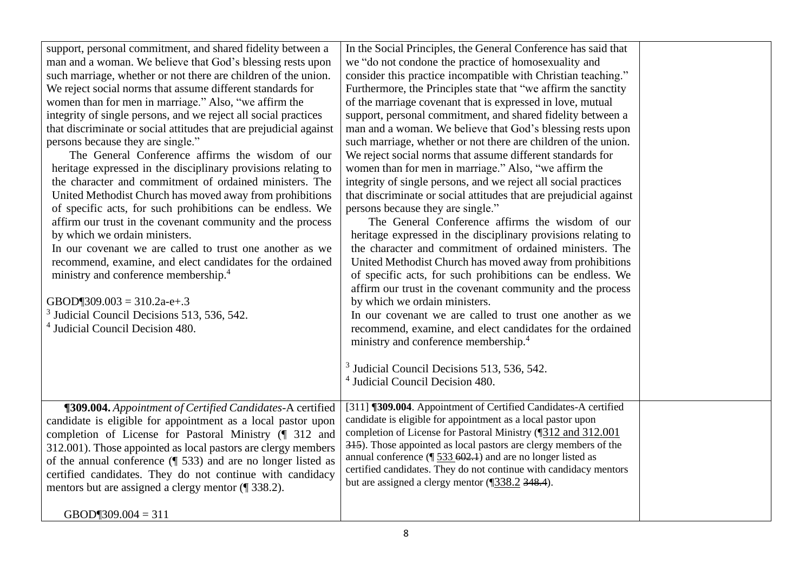| support, personal commitment, and shared fidelity between a<br>man and a woman. We believe that God's blessing rests upon<br>such marriage, whether or not there are children of the union.<br>We reject social norms that assume different standards for<br>women than for men in marriage." Also, "we affirm the<br>integrity of single persons, and we reject all social practices<br>that discriminate or social attitudes that are prejudicial against<br>persons because they are single."<br>The General Conference affirms the wisdom of our<br>heritage expressed in the disciplinary provisions relating to<br>the character and commitment of ordained ministers. The<br>United Methodist Church has moved away from prohibitions<br>of specific acts, for such prohibitions can be endless. We<br>affirm our trust in the covenant community and the process<br>by which we ordain ministers.<br>In our covenant we are called to trust one another as we<br>recommend, examine, and elect candidates for the ordained<br>ministry and conference membership. <sup>4</sup><br>GBOD¶309.003 = 310.2a-e+.3<br><sup>3</sup> Judicial Council Decisions 513, 536, 542.<br><sup>4</sup> Judicial Council Decision 480. | In the Social Principles, the General Conference has said that<br>we "do not condone the practice of homosexuality and<br>consider this practice incompatible with Christian teaching."<br>Furthermore, the Principles state that "we affirm the sanctity<br>of the marriage covenant that is expressed in love, mutual<br>support, personal commitment, and shared fidelity between a<br>man and a woman. We believe that God's blessing rests upon<br>such marriage, whether or not there are children of the union.<br>We reject social norms that assume different standards for<br>women than for men in marriage." Also, "we affirm the<br>integrity of single persons, and we reject all social practices<br>that discriminate or social attitudes that are prejudicial against<br>persons because they are single."<br>The General Conference affirms the wisdom of our<br>heritage expressed in the disciplinary provisions relating to<br>the character and commitment of ordained ministers. The<br>United Methodist Church has moved away from prohibitions<br>of specific acts, for such prohibitions can be endless. We<br>affirm our trust in the covenant community and the process<br>by which we ordain ministers.<br>In our covenant we are called to trust one another as we<br>recommend, examine, and elect candidates for the ordained<br>ministry and conference membership. <sup>4</sup><br><sup>3</sup> Judicial Council Decisions 513, 536, 542.<br><sup>4</sup> Judicial Council Decision 480. |  |
|-------------------------------------------------------------------------------------------------------------------------------------------------------------------------------------------------------------------------------------------------------------------------------------------------------------------------------------------------------------------------------------------------------------------------------------------------------------------------------------------------------------------------------------------------------------------------------------------------------------------------------------------------------------------------------------------------------------------------------------------------------------------------------------------------------------------------------------------------------------------------------------------------------------------------------------------------------------------------------------------------------------------------------------------------------------------------------------------------------------------------------------------------------------------------------------------------------------------------------|----------------------------------------------------------------------------------------------------------------------------------------------------------------------------------------------------------------------------------------------------------------------------------------------------------------------------------------------------------------------------------------------------------------------------------------------------------------------------------------------------------------------------------------------------------------------------------------------------------------------------------------------------------------------------------------------------------------------------------------------------------------------------------------------------------------------------------------------------------------------------------------------------------------------------------------------------------------------------------------------------------------------------------------------------------------------------------------------------------------------------------------------------------------------------------------------------------------------------------------------------------------------------------------------------------------------------------------------------------------------------------------------------------------------------------------------------------------------------------------------------------------------------|--|
| ¶309.004. Appointment of Certified Candidates-A certified<br>candidate is eligible for appointment as a local pastor upon<br>completion of License for Pastoral Ministry (¶ 312 and<br>312.001). Those appointed as local pastors are clergy members<br>of the annual conference $(\P 533)$ and are no longer listed as<br>certified candidates. They do not continue with candidacy<br>mentors but are assigned a clergy mentor (¶ 338.2).<br>$GBOD$ $(309.004 = 311)$                                                                                                                                                                                                                                                                                                                                                                                                                                                                                                                                                                                                                                                                                                                                                       | [311] [309.004. Appointment of Certified Candidates-A certified<br>candidate is eligible for appointment as a local pastor upon<br>completion of License for Pastoral Ministry (¶312 and 312.001<br>315). Those appointed as local pastors are clergy members of the<br>annual conference $(\frac{533602.1}{1})$ and are no longer listed as<br>certified candidates. They do not continue with candidacy mentors<br>but are assigned a clergy mentor (¶338.2 348.4).                                                                                                                                                                                                                                                                                                                                                                                                                                                                                                                                                                                                                                                                                                                                                                                                                                                                                                                                                                                                                                                      |  |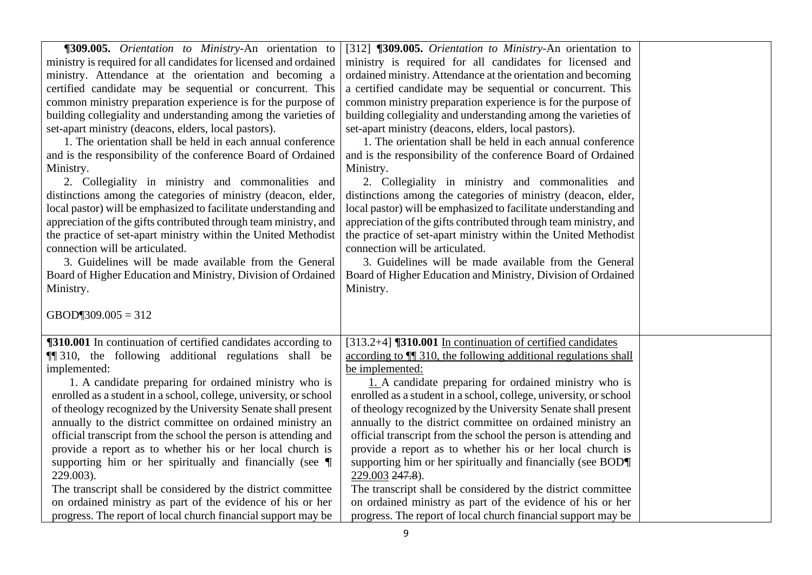| <b>[309.005.</b> Orientation to Ministry-An orientation to<br>ministry is required for all candidates for licensed and ordained | [312] <b>[309.005.</b> <i>Orientation to Ministry-An orientation to</i><br>ministry is required for all candidates for licensed and |  |
|---------------------------------------------------------------------------------------------------------------------------------|-------------------------------------------------------------------------------------------------------------------------------------|--|
| ministry. Attendance at the orientation and becoming a                                                                          | ordained ministry. Attendance at the orientation and becoming                                                                       |  |
| certified candidate may be sequential or concurrent. This                                                                       | a certified candidate may be sequential or concurrent. This                                                                         |  |
| common ministry preparation experience is for the purpose of                                                                    | common ministry preparation experience is for the purpose of                                                                        |  |
| building collegiality and understanding among the varieties of                                                                  | building collegiality and understanding among the varieties of                                                                      |  |
| set-apart ministry (deacons, elders, local pastors).                                                                            | set-apart ministry (deacons, elders, local pastors).                                                                                |  |
| 1. The orientation shall be held in each annual conference                                                                      | 1. The orientation shall be held in each annual conference                                                                          |  |
| and is the responsibility of the conference Board of Ordained                                                                   | and is the responsibility of the conference Board of Ordained                                                                       |  |
| Ministry.                                                                                                                       | Ministry.                                                                                                                           |  |
| 2. Collegiality in ministry and commonalities and                                                                               | 2. Collegiality in ministry and commonalities and                                                                                   |  |
| distinctions among the categories of ministry (deacon, elder,                                                                   | distinctions among the categories of ministry (deacon, elder,                                                                       |  |
| local pastor) will be emphasized to facilitate understanding and                                                                | local pastor) will be emphasized to facilitate understanding and                                                                    |  |
| appreciation of the gifts contributed through team ministry, and                                                                | appreciation of the gifts contributed through team ministry, and                                                                    |  |
| the practice of set-apart ministry within the United Methodist                                                                  | the practice of set-apart ministry within the United Methodist                                                                      |  |
| connection will be articulated.                                                                                                 | connection will be articulated.                                                                                                     |  |
| 3. Guidelines will be made available from the General                                                                           | 3. Guidelines will be made available from the General                                                                               |  |
| Board of Higher Education and Ministry, Division of Ordained                                                                    | Board of Higher Education and Ministry, Division of Ordained                                                                        |  |
| Ministry.                                                                                                                       | Ministry.                                                                                                                           |  |
|                                                                                                                                 |                                                                                                                                     |  |
| $GBOD$ 309.005 = 312                                                                                                            |                                                                                                                                     |  |
|                                                                                                                                 |                                                                                                                                     |  |
| ¶310.001 In continuation of certified candidates according to                                                                   | $[313.2+4]$ [310.001 In continuation of certified candidates                                                                        |  |
| <b>110</b> , the following additional regulations shall be                                                                      | according to $\P$ 310, the following additional regulations shall                                                                   |  |
| implemented:                                                                                                                    | be implemented:                                                                                                                     |  |
| 1. A candidate preparing for ordained ministry who is                                                                           | 1. A candidate preparing for ordained ministry who is                                                                               |  |
| enrolled as a student in a school, college, university, or school                                                               | enrolled as a student in a school, college, university, or school                                                                   |  |
| of theology recognized by the University Senate shall present                                                                   | of theology recognized by the University Senate shall present                                                                       |  |
| annually to the district committee on ordained ministry an                                                                      | annually to the district committee on ordained ministry an                                                                          |  |
| official transcript from the school the person is attending and                                                                 | official transcript from the school the person is attending and                                                                     |  |
| provide a report as to whether his or her local church is                                                                       | provide a report as to whether his or her local church is                                                                           |  |
| supporting him or her spiritually and financially (see $\P$                                                                     | supporting him or her spiritually and financially (see BOD¶                                                                         |  |
| 229.003).                                                                                                                       | 229.003 247.8).                                                                                                                     |  |
| The transcript shall be considered by the district committee                                                                    | The transcript shall be considered by the district committee                                                                        |  |
| on ordained ministry as part of the evidence of his or her                                                                      | on ordained ministry as part of the evidence of his or her                                                                          |  |
| progress. The report of local church financial support may be                                                                   | progress. The report of local church financial support may be                                                                       |  |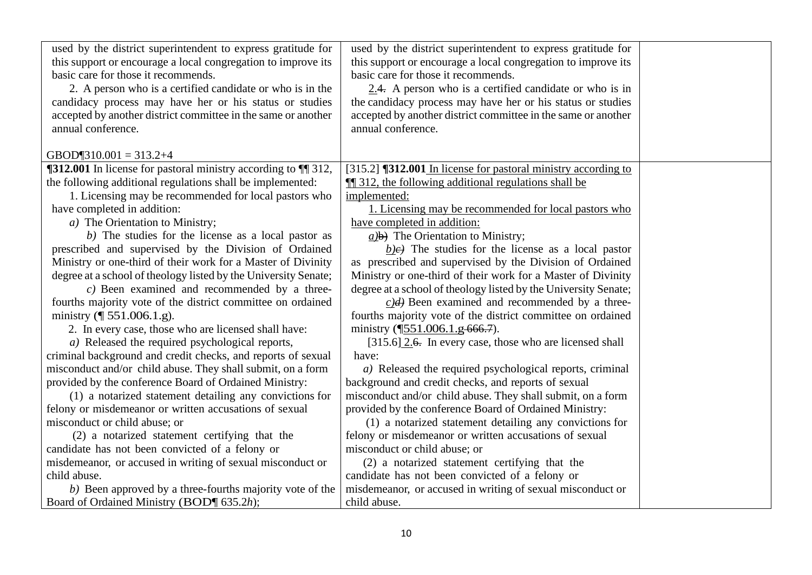| used by the district superintendent to express gratitude for<br>this support or encourage a local congregation to improve its<br>basic care for those it recommends.<br>2. A person who is a certified candidate or who is in the<br>candidacy process may have her or his status or studies<br>accepted by another district committee in the same or another<br>annual conference.                                                                                                                                                                                                                                                                                                                                                                                                                                                                                                                                                                                                                                                                                                                                                                                                              | used by the district superintendent to express gratitude for<br>this support or encourage a local congregation to improve its<br>basic care for those it recommends.<br>$2.4$ . A person who is a certified candidate or who is in<br>the candidacy process may have her or his status or studies<br>accepted by another district committee in the same or another<br>annual conference.                                                                                                                                                                                                                                                                                                                                                                                                                                                                                                                                                                                                                                                                                                                                                                                                        |  |
|--------------------------------------------------------------------------------------------------------------------------------------------------------------------------------------------------------------------------------------------------------------------------------------------------------------------------------------------------------------------------------------------------------------------------------------------------------------------------------------------------------------------------------------------------------------------------------------------------------------------------------------------------------------------------------------------------------------------------------------------------------------------------------------------------------------------------------------------------------------------------------------------------------------------------------------------------------------------------------------------------------------------------------------------------------------------------------------------------------------------------------------------------------------------------------------------------|-------------------------------------------------------------------------------------------------------------------------------------------------------------------------------------------------------------------------------------------------------------------------------------------------------------------------------------------------------------------------------------------------------------------------------------------------------------------------------------------------------------------------------------------------------------------------------------------------------------------------------------------------------------------------------------------------------------------------------------------------------------------------------------------------------------------------------------------------------------------------------------------------------------------------------------------------------------------------------------------------------------------------------------------------------------------------------------------------------------------------------------------------------------------------------------------------|--|
| GBOD¶310.001 = 313.2+4                                                                                                                                                                                                                                                                                                                                                                                                                                                                                                                                                                                                                                                                                                                                                                                                                                                                                                                                                                                                                                                                                                                                                                           |                                                                                                                                                                                                                                                                                                                                                                                                                                                                                                                                                                                                                                                                                                                                                                                                                                                                                                                                                                                                                                                                                                                                                                                                 |  |
| <b>[312.001</b> In license for pastoral ministry according to <b>[1</b> ] 312,<br>the following additional regulations shall be implemented:<br>1. Licensing may be recommended for local pastors who<br>have completed in addition:<br><i>a</i> ) The Orientation to Ministry;<br>$b)$ The studies for the license as a local pastor as<br>prescribed and supervised by the Division of Ordained<br>Ministry or one-third of their work for a Master of Divinity<br>degree at a school of theology listed by the University Senate;<br>$c)$ Been examined and recommended by a three-<br>fourths majority vote of the district committee on ordained<br>ministry $(\P 551.006.1.g).$<br>2. In every case, those who are licensed shall have:<br>a) Released the required psychological reports,<br>criminal background and credit checks, and reports of sexual<br>misconduct and/or child abuse. They shall submit, on a form<br>provided by the conference Board of Ordained Ministry:<br>(1) a notarized statement detailing any convictions for<br>felony or misdemeanor or written accusations of sexual<br>misconduct or child abuse; or<br>(2) a notarized statement certifying that the | [315.2] ¶312.001 In license for pastoral ministry according to<br><b>11 12.</b> The following additional regulations shall be<br>implemented:<br>1. Licensing may be recommended for local pastors who<br>have completed in addition:<br>$\underline{a}$ ) The Orientation to Ministry;<br>$\underline{b}$ ) $\leftrightarrow$ The studies for the license as a local pastor<br>as prescribed and supervised by the Division of Ordained<br>Ministry or one-third of their work for a Master of Divinity<br>degree at a school of theology listed by the University Senate;<br>$c/d$ Been examined and recommended by a three-<br>fourths majority vote of the district committee on ordained<br>ministry $(\sqrt{551.006.1 \cdot g \cdot 666.7})$ .<br>$[315.6]$ $2.6$ . In every case, those who are licensed shall<br>have:<br>a) Released the required psychological reports, criminal<br>background and credit checks, and reports of sexual<br>misconduct and/or child abuse. They shall submit, on a form<br>provided by the conference Board of Ordained Ministry:<br>(1) a notarized statement detailing any convictions for<br>felony or misdemeanor or written accusations of sexual |  |
| candidate has not been convicted of a felony or                                                                                                                                                                                                                                                                                                                                                                                                                                                                                                                                                                                                                                                                                                                                                                                                                                                                                                                                                                                                                                                                                                                                                  | misconduct or child abuse; or                                                                                                                                                                                                                                                                                                                                                                                                                                                                                                                                                                                                                                                                                                                                                                                                                                                                                                                                                                                                                                                                                                                                                                   |  |
| misdemeanor, or accused in writing of sexual misconduct or<br>child abuse.                                                                                                                                                                                                                                                                                                                                                                                                                                                                                                                                                                                                                                                                                                                                                                                                                                                                                                                                                                                                                                                                                                                       | (2) a notarized statement certifying that the<br>candidate has not been convicted of a felony or                                                                                                                                                                                                                                                                                                                                                                                                                                                                                                                                                                                                                                                                                                                                                                                                                                                                                                                                                                                                                                                                                                |  |
| b) Been approved by a three-fourths majority vote of the<br>Board of Ordained Ministry (BOD¶ 635.2h);                                                                                                                                                                                                                                                                                                                                                                                                                                                                                                                                                                                                                                                                                                                                                                                                                                                                                                                                                                                                                                                                                            | misdemeanor, or accused in writing of sexual misconduct or<br>child abuse.                                                                                                                                                                                                                                                                                                                                                                                                                                                                                                                                                                                                                                                                                                                                                                                                                                                                                                                                                                                                                                                                                                                      |  |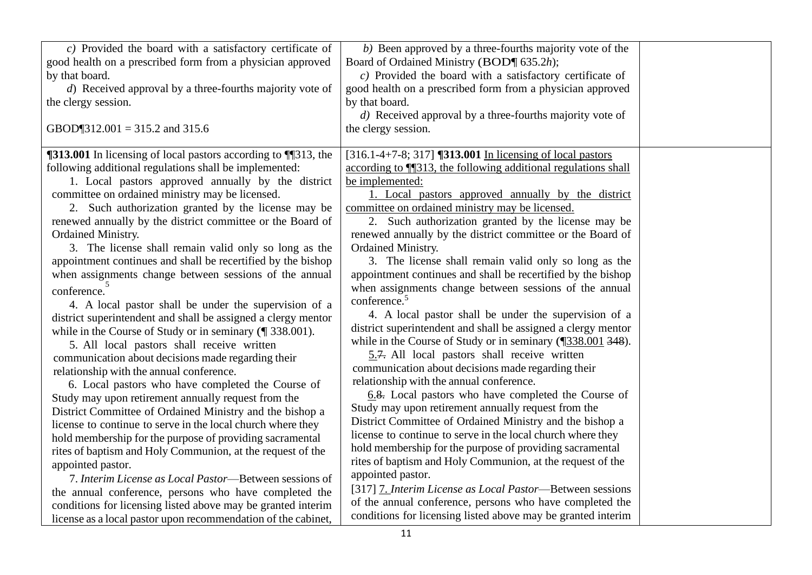| $c)$ Provided the board with a satisfactory certificate of            | b) Been approved by a three-fourths majority vote of the                                                                                                                                                                                                                                   |  |
|-----------------------------------------------------------------------|--------------------------------------------------------------------------------------------------------------------------------------------------------------------------------------------------------------------------------------------------------------------------------------------|--|
| good health on a prescribed form from a physician approved            | Board of Ordained Ministry (BOD¶ 635.2h);                                                                                                                                                                                                                                                  |  |
| by that board.                                                        | $c)$ Provided the board with a satisfactory certificate of                                                                                                                                                                                                                                 |  |
| d) Received approval by a three-fourths majority vote of              | good health on a prescribed form from a physician approved                                                                                                                                                                                                                                 |  |
| the clergy session.                                                   | by that board.                                                                                                                                                                                                                                                                             |  |
|                                                                       | d) Received approval by a three-fourths majority vote of                                                                                                                                                                                                                                   |  |
| GBOD¶312.001 = 315.2 and 315.6                                        | the clergy session.                                                                                                                                                                                                                                                                        |  |
|                                                                       |                                                                                                                                                                                                                                                                                            |  |
| <b>[313.001</b> In licensing of local pastors according to [[313, the | [316.1-4+7-8; 317] $\P$ 313.001 In licensing of local pastors                                                                                                                                                                                                                              |  |
| following additional regulations shall be implemented:                | according to <b>[16]</b> according to <b>16</b> according to <b>16</b> according to <b>16</b> according to <b>16</b> according to <b>16</b> according to <b>16</b> according to <b>16</b> according to <b>16</b> according to <b>16</b> according to <b>16</b> according to <b>16</b> acco |  |
| 1. Local pastors approved annually by the district                    | be implemented:                                                                                                                                                                                                                                                                            |  |
| committee on ordained ministry may be licensed.                       | 1. Local pastors approved annually by the district                                                                                                                                                                                                                                         |  |
| 2. Such authorization granted by the license may be                   | committee on ordained ministry may be licensed.                                                                                                                                                                                                                                            |  |
| renewed annually by the district committee or the Board of            | 2. Such authorization granted by the license may be                                                                                                                                                                                                                                        |  |
| Ordained Ministry.                                                    | renewed annually by the district committee or the Board of                                                                                                                                                                                                                                 |  |
| 3. The license shall remain valid only so long as the                 | Ordained Ministry.                                                                                                                                                                                                                                                                         |  |
| appointment continues and shall be recertified by the bishop          | 3. The license shall remain valid only so long as the                                                                                                                                                                                                                                      |  |
| when assignments change between sessions of the annual                | appointment continues and shall be recertified by the bishop                                                                                                                                                                                                                               |  |
| conference.                                                           | when assignments change between sessions of the annual                                                                                                                                                                                                                                     |  |
| 4. A local pastor shall be under the supervision of a                 | conference. <sup>5</sup>                                                                                                                                                                                                                                                                   |  |
| district superintendent and shall be assigned a clergy mentor         | 4. A local pastor shall be under the supervision of a                                                                                                                                                                                                                                      |  |
| while in the Course of Study or in seminary $(\P 338.001)$ .          | district superintendent and shall be assigned a clergy mentor                                                                                                                                                                                                                              |  |
| 5. All local pastors shall receive written                            | while in the Course of Study or in seminary (1338.001 348).                                                                                                                                                                                                                                |  |
| communication about decisions made regarding their                    | 5.7. All local pastors shall receive written                                                                                                                                                                                                                                               |  |
| relationship with the annual conference.                              | communication about decisions made regarding their                                                                                                                                                                                                                                         |  |
| 6. Local pastors who have completed the Course of                     | relationship with the annual conference.                                                                                                                                                                                                                                                   |  |
| Study may upon retirement annually request from the                   | 6.8. Local pastors who have completed the Course of                                                                                                                                                                                                                                        |  |
| District Committee of Ordained Ministry and the bishop a              | Study may upon retirement annually request from the                                                                                                                                                                                                                                        |  |
| license to continue to serve in the local church where they           | District Committee of Ordained Ministry and the bishop a                                                                                                                                                                                                                                   |  |
| hold membership for the purpose of providing sacramental              | license to continue to serve in the local church where they                                                                                                                                                                                                                                |  |
| rites of baptism and Holy Communion, at the request of the            | hold membership for the purpose of providing sacramental                                                                                                                                                                                                                                   |  |
| appointed pastor.                                                     | rites of baptism and Holy Communion, at the request of the                                                                                                                                                                                                                                 |  |
| 7. Interim License as Local Pastor—Between sessions of                | appointed pastor.                                                                                                                                                                                                                                                                          |  |
| the annual conference, persons who have completed the                 | [317] <i>T. Interim License as Local Pastor</i> —Between sessions                                                                                                                                                                                                                          |  |
| conditions for licensing listed above may be granted interim          | of the annual conference, persons who have completed the                                                                                                                                                                                                                                   |  |
| license as a local pastor upon recommendation of the cabinet,         | conditions for licensing listed above may be granted interim                                                                                                                                                                                                                               |  |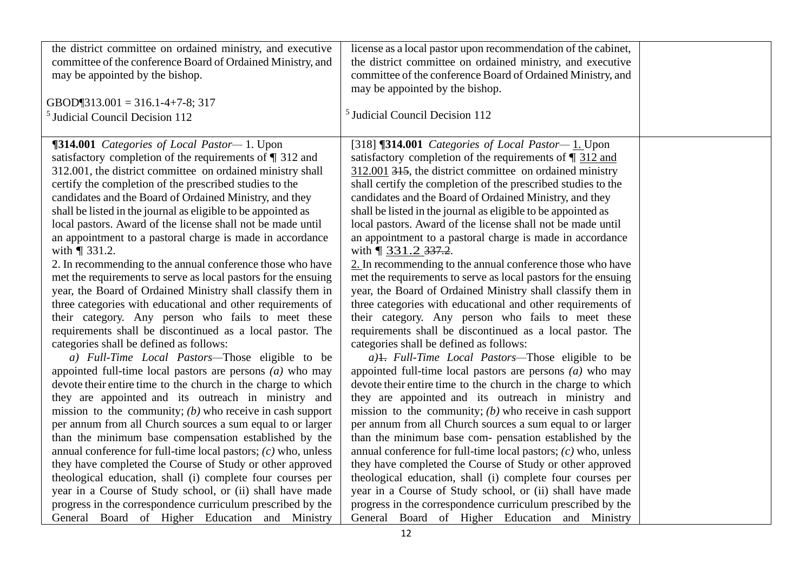| [318] $\P$ 314.001 Categories of Local Pastor- $\underline{1}$ . Upon<br><b>¶314.001</b> Categories of Local Pastor-1. Upon<br>satisfactory completion of the requirements of $\P$ 312 and<br>satisfactory completion of the requirements of $\P$ 312 and<br>312.001, the district committee on ordained ministry shall<br>312.001 315, the district committee on ordained ministry<br>shall certify the completion of the prescribed studies to the<br>certify the completion of the prescribed studies to the<br>candidates and the Board of Ordained Ministry, and they<br>candidates and the Board of Ordained Ministry, and they<br>shall be listed in the journal as eligible to be appointed as<br>shall be listed in the journal as eligible to be appointed as<br>local pastors. Award of the license shall not be made until<br>local pastors. Award of the license shall not be made until<br>an appointment to a pastoral charge is made in accordance<br>an appointment to a pastoral charge is made in accordance<br>with $\P$ 331.2.<br>with $\P$ 331.2 337.2.<br>2. In recommending to the annual conference those who have<br>2. In recommending to the annual conference those who have<br>met the requirements to serve as local pastors for the ensuing<br>met the requirements to serve as local pastors for the ensuing<br>year, the Board of Ordained Ministry shall classify them in<br>year, the Board of Ordained Ministry shall classify them in<br>three categories with educational and other requirements of<br>three categories with educational and other requirements of<br>their category. Any person who fails to meet these<br>their category. Any person who fails to meet these<br>requirements shall be discontinued as a local pastor. The<br>requirements shall be discontinued as a local pastor. The<br>categories shall be defined as follows:<br>categories shall be defined as follows:<br>a) Full-Time Local Pastors-Those eligible to be<br>$a)$ + Full-Time Local Pastors—Those eligible to be<br>appointed full-time local pastors are persons $(a)$ who may<br>appointed full-time local pastors are persons $(a)$ who may<br>devote their entire time to the church in the charge to which<br>devote their entire time to the church in the charge to which<br>they are appointed and its outreach in ministry and<br>they are appointed and its outreach in ministry and<br>mission to the community; $(b)$ who receive in cash support<br>mission to the community; $(b)$ who receive in cash support<br>per annum from all Church sources a sum equal to or larger<br>per annum from all Church sources a sum equal to or larger<br>than the minimum base compensation established by the<br>than the minimum base com- pensation established by the<br>annual conference for full-time local pastors; $(c)$ who, unless<br>annual conference for full-time local pastors; $(c)$ who, unless<br>they have completed the Course of Study or other approved<br>they have completed the Course of Study or other approved<br>theological education, shall (i) complete four courses per<br>theological education, shall (i) complete four courses per<br>year in a Course of Study school, or (ii) shall have made<br>year in a Course of Study school, or (ii) shall have made<br>progress in the correspondence curriculum prescribed by the<br>progress in the correspondence curriculum prescribed by the | the district committee on ordained ministry, and executive<br>committee of the conference Board of Ordained Ministry, and<br>may be appointed by the bishop.<br>GBOD¶313.001 = 316.1-4+7-8; 317<br><sup>5</sup> Judicial Council Decision 112 | license as a local pastor upon recommendation of the cabinet,<br>the district committee on ordained ministry, and executive<br>committee of the conference Board of Ordained Ministry, and<br>may be appointed by the bishop.<br><sup>5</sup> Judicial Council Decision 112 |  |
|-------------------------------------------------------------------------------------------------------------------------------------------------------------------------------------------------------------------------------------------------------------------------------------------------------------------------------------------------------------------------------------------------------------------------------------------------------------------------------------------------------------------------------------------------------------------------------------------------------------------------------------------------------------------------------------------------------------------------------------------------------------------------------------------------------------------------------------------------------------------------------------------------------------------------------------------------------------------------------------------------------------------------------------------------------------------------------------------------------------------------------------------------------------------------------------------------------------------------------------------------------------------------------------------------------------------------------------------------------------------------------------------------------------------------------------------------------------------------------------------------------------------------------------------------------------------------------------------------------------------------------------------------------------------------------------------------------------------------------------------------------------------------------------------------------------------------------------------------------------------------------------------------------------------------------------------------------------------------------------------------------------------------------------------------------------------------------------------------------------------------------------------------------------------------------------------------------------------------------------------------------------------------------------------------------------------------------------------------------------------------------------------------------------------------------------------------------------------------------------------------------------------------------------------------------------------------------------------------------------------------------------------------------------------------------------------------------------------------------------------------------------------------------------------------------------------------------------------------------------------------------------------------------------------------------------------------------------------------------------------------------------------------------------------------------------------------------------------------------------------------------------------------------------------------------------------------------------------------------------------------------------------------------------------------------------------------------------------------------------------------------------------------------------------------------------------------------------------|-----------------------------------------------------------------------------------------------------------------------------------------------------------------------------------------------------------------------------------------------|-----------------------------------------------------------------------------------------------------------------------------------------------------------------------------------------------------------------------------------------------------------------------------|--|
|                                                                                                                                                                                                                                                                                                                                                                                                                                                                                                                                                                                                                                                                                                                                                                                                                                                                                                                                                                                                                                                                                                                                                                                                                                                                                                                                                                                                                                                                                                                                                                                                                                                                                                                                                                                                                                                                                                                                                                                                                                                                                                                                                                                                                                                                                                                                                                                                                                                                                                                                                                                                                                                                                                                                                                                                                                                                                                                                                                                                                                                                                                                                                                                                                                                                                                                                                                                                                                                                   |                                                                                                                                                                                                                                               |                                                                                                                                                                                                                                                                             |  |
|                                                                                                                                                                                                                                                                                                                                                                                                                                                                                                                                                                                                                                                                                                                                                                                                                                                                                                                                                                                                                                                                                                                                                                                                                                                                                                                                                                                                                                                                                                                                                                                                                                                                                                                                                                                                                                                                                                                                                                                                                                                                                                                                                                                                                                                                                                                                                                                                                                                                                                                                                                                                                                                                                                                                                                                                                                                                                                                                                                                                                                                                                                                                                                                                                                                                                                                                                                                                                                                                   |                                                                                                                                                                                                                                               |                                                                                                                                                                                                                                                                             |  |
|                                                                                                                                                                                                                                                                                                                                                                                                                                                                                                                                                                                                                                                                                                                                                                                                                                                                                                                                                                                                                                                                                                                                                                                                                                                                                                                                                                                                                                                                                                                                                                                                                                                                                                                                                                                                                                                                                                                                                                                                                                                                                                                                                                                                                                                                                                                                                                                                                                                                                                                                                                                                                                                                                                                                                                                                                                                                                                                                                                                                                                                                                                                                                                                                                                                                                                                                                                                                                                                                   | General Board of Higher Education and Ministry                                                                                                                                                                                                | General Board of Higher Education and Ministry                                                                                                                                                                                                                              |  |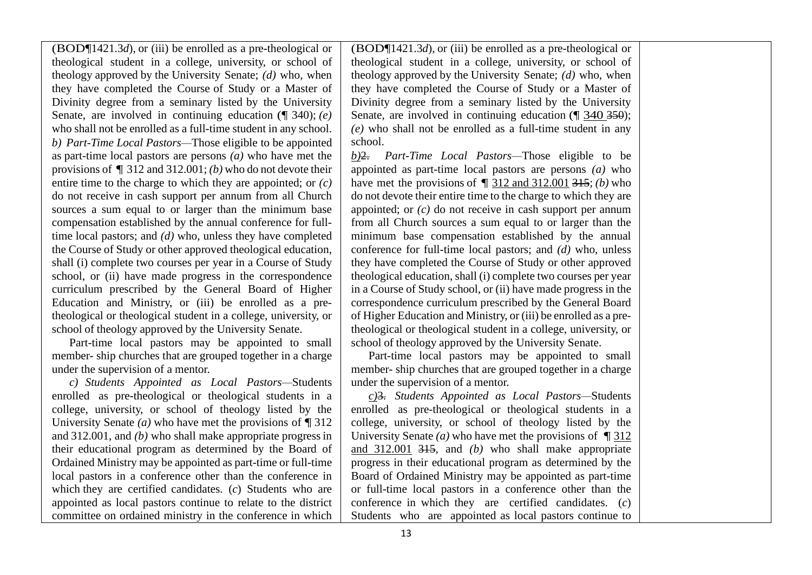(BOD¶1421.3*d*), or (iii) be enrolled as a pre-theological or theological student in a college, university, or school of theology approved by the University Senate; *(d)* who, when they have completed the Course of Study or a Master of Divinity degree from a seminary listed by the University Senate, are involved in continuing education (¶ 340); *(e)* who shall not be enrolled as a full-time student in any school. *b) Part-Time Local Pastors—*Those eligible to be appointed as part-time local pastors are persons *(a)* who have met the provisions of ¶ 312 and 312.001; *(b)* who do not devote their entire time to the charge to which they are appointed; or *(c)*  do not receive in cash support per annum from all Church sources a sum equal to or larger than the minimum base compensation established by the annual conference for fulltime local pastors; and *(d)* who, unless they have completed the Course of Study or other approved theological education, shall (i) complete two courses per year in a Course of Study school, or (ii) have made progress in the correspondence curriculum prescribed by the General Board of Higher Education and Ministry, or (iii) be enrolled as a pretheological or theological student in a college, university, or school of theology approved by the University Senate.

Part-time local pastors may be appointed to small member- ship churches that are grouped together in a charge under the supervision of a mentor.

*c) Students Appointed as Local Pastors—*Students enrolled as pre-theological or theological students in a college, university, or school of theology listed by the University Senate *(a)* who have met the provisions of  $\P$  312 and 312.001, and *(b)* who shall make appropriate progressin their educational program as determined by the Board of Ordained Ministry may be appointed as part-time or full-time local pastors in a conference other than the conference in which they are certified candidates. (*c*) Students who are appointed as local pastors continue to relate to the district committee on ordained ministry in the conference in which

(BOD¶1421.3*d*), or (iii) be enrolled as a pre-theological or theological student in a college, university, or school of theology approved by the University Senate; *(d)* who, when they have completed the Course of Study or a Master of Divinity degree from a seminary listed by the University Senate, are involved in continuing education (¶ 340 350); *(e)* who shall not be enrolled as a full-time student in any school.

*b)*2. *Part-Time Local Pastors—*Those eligible to be appointed as part-time local pastors are persons *(a)* who have met the provisions of ¶ 312 and 312.001 315; *(b)* who do not devote their entire time to the charge to which they are appointed; or *(c)* do not receive in cash support per annum from all Church sources a sum equal to or larger than the minimum base compensation established by the annual conference for full-time local pastors; and *(d)* who, unless they have completed the Course of Study or other approved theological education, shall (i) complete two courses per year in a Course of Study school, or (ii) have made progress in the correspondence curriculum prescribed by the General Board of Higher Education and Ministry, or (iii) be enrolled as a pretheological or theological student in a college, university, or school of theology approved by the University Senate.

Part-time local pastors may be appointed to small member- ship churches that are grouped together in a charge under the supervision of a mentor.

*c)*3. *Students Appointed as Local Pastors—*Students enrolled as pre-theological or theological students in a college, university, or school of theology listed by the University Senate *(a)* who have met the provisions of  $\P$  312 and 312.001 315, and *(b)* who shall make appropriate progress in their educational program as determined by the Board of Ordained Ministry may be appointed as part-time or full-time local pastors in a conference other than the conference in which they are certified candidates. (*c*) Students who are appointed as local pastors continue to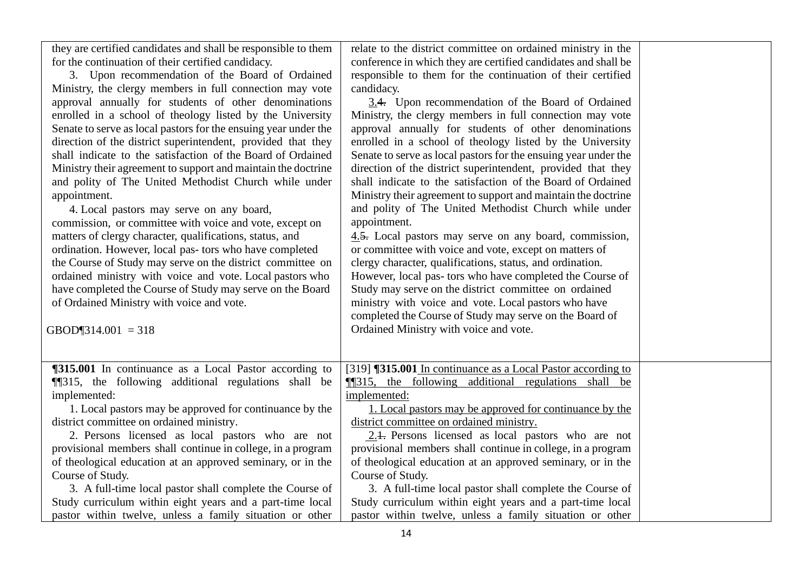| they are certified candidates and shall be responsible to them<br>for the continuation of their certified candidacy.<br>3. Upon recommendation of the Board of Ordained<br>Ministry, the clergy members in full connection may vote<br>approval annually for students of other denominations<br>enrolled in a school of theology listed by the University<br>Senate to serve as local pastors for the ensuing year under the<br>direction of the district superintendent, provided that they<br>shall indicate to the satisfaction of the Board of Ordained<br>Ministry their agreement to support and maintain the doctrine<br>and polity of The United Methodist Church while under<br>appointment.<br>4. Local pastors may serve on any board,<br>commission, or committee with voice and vote, except on<br>matters of clergy character, qualifications, status, and<br>ordination. However, local pas- tors who have completed<br>the Course of Study may serve on the district committee on<br>ordained ministry with voice and vote. Local pastors who<br>have completed the Course of Study may serve on the Board<br>of Ordained Ministry with voice and vote.<br>GBOD¶314.001 = 318 | relate to the district committee on ordained ministry in the<br>conference in which they are certified candidates and shall be<br>responsible to them for the continuation of their certified<br>candidacy.<br>3.4. Upon recommendation of the Board of Ordained<br>Ministry, the clergy members in full connection may vote<br>approval annually for students of other denominations<br>enrolled in a school of theology listed by the University<br>Senate to serve as local pastors for the ensuing year under the<br>direction of the district superintendent, provided that they<br>shall indicate to the satisfaction of the Board of Ordained<br>Ministry their agreement to support and maintain the doctrine<br>and polity of The United Methodist Church while under<br>appointment.<br>4.5. Local pastors may serve on any board, commission,<br>or committee with voice and vote, except on matters of<br>clergy character, qualifications, status, and ordination.<br>However, local pas- tors who have completed the Course of<br>Study may serve on the district committee on ordained<br>ministry with voice and vote. Local pastors who have<br>completed the Course of Study may serve on the Board of<br>Ordained Ministry with voice and vote. |  |
|-----------------------------------------------------------------------------------------------------------------------------------------------------------------------------------------------------------------------------------------------------------------------------------------------------------------------------------------------------------------------------------------------------------------------------------------------------------------------------------------------------------------------------------------------------------------------------------------------------------------------------------------------------------------------------------------------------------------------------------------------------------------------------------------------------------------------------------------------------------------------------------------------------------------------------------------------------------------------------------------------------------------------------------------------------------------------------------------------------------------------------------------------------------------------------------------------|--------------------------------------------------------------------------------------------------------------------------------------------------------------------------------------------------------------------------------------------------------------------------------------------------------------------------------------------------------------------------------------------------------------------------------------------------------------------------------------------------------------------------------------------------------------------------------------------------------------------------------------------------------------------------------------------------------------------------------------------------------------------------------------------------------------------------------------------------------------------------------------------------------------------------------------------------------------------------------------------------------------------------------------------------------------------------------------------------------------------------------------------------------------------------------------------------------------------------------------------------------------------|--|
| <b>[315.001</b> In continuance as a Local Pastor according to                                                                                                                                                                                                                                                                                                                                                                                                                                                                                                                                                                                                                                                                                                                                                                                                                                                                                                                                                                                                                                                                                                                                 | [319] <b>[315.001</b> In continuance as a Local Pastor according to                                                                                                                                                                                                                                                                                                                                                                                                                                                                                                                                                                                                                                                                                                                                                                                                                                                                                                                                                                                                                                                                                                                                                                                                |  |
| <b>IS</b> 15, the following additional regulations shall be<br>implemented:<br>1. Local pastors may be approved for continuance by the<br>district committee on ordained ministry.<br>2. Persons licensed as local pastors who are not<br>provisional members shall continue in college, in a program<br>of theological education at an approved seminary, or in the<br>Course of Study.<br>3. A full-time local pastor shall complete the Course of<br>Study curriculum within eight years and a part-time local<br>pastor within twelve, unless a family situation or other                                                                                                                                                                                                                                                                                                                                                                                                                                                                                                                                                                                                                 | <b>IS</b> 15, the following additional regulations shall be<br>implemented:<br>1. Local pastors may be approved for continuance by the<br>district committee on ordained ministry.<br>2.1. Persons licensed as local pastors who are not<br>provisional members shall continue in college, in a program<br>of theological education at an approved seminary, or in the<br>Course of Study.<br>3. A full-time local pastor shall complete the Course of<br>Study curriculum within eight years and a part-time local<br>pastor within twelve, unless a family situation or other                                                                                                                                                                                                                                                                                                                                                                                                                                                                                                                                                                                                                                                                                    |  |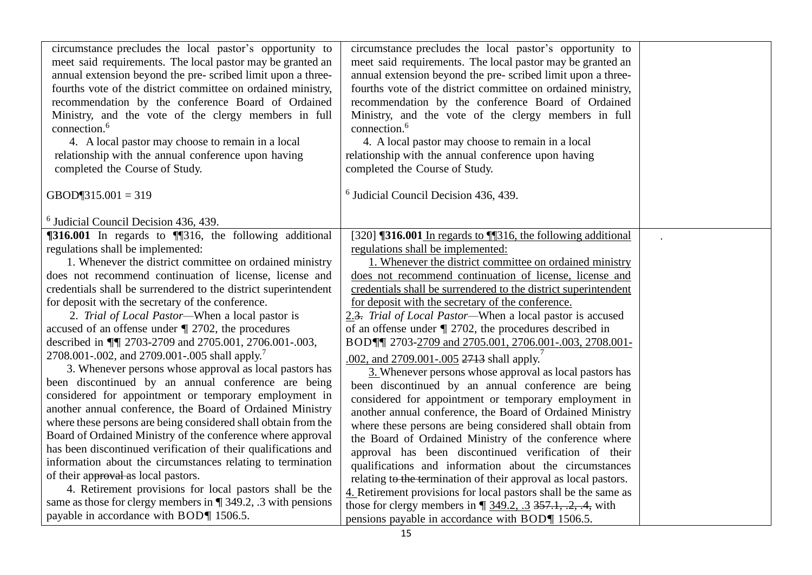| circumstance precludes the local pastor's opportunity to<br>meet said requirements. The local pastor may be granted an<br>annual extension beyond the pre-scribed limit upon a three-<br>fourths vote of the district committee on ordained ministry,<br>recommendation by the conference Board of Ordained<br>Ministry, and the vote of the clergy members in full<br>connection. <sup>6</sup><br>4. A local pastor may choose to remain in a local<br>relationship with the annual conference upon having<br>completed the Course of Study.                                                                                                                                                                                                                                                                                                                                                                                                                                                                                                                                                                                                     | circumstance precludes the local pastor's opportunity to<br>meet said requirements. The local pastor may be granted an<br>annual extension beyond the pre-scribed limit upon a three-<br>fourths vote of the district committee on ordained ministry,<br>recommendation by the conference Board of Ordained<br>Ministry, and the vote of the clergy members in full<br>connection. <sup>6</sup><br>4. A local pastor may choose to remain in a local<br>relationship with the annual conference upon having<br>completed the Course of Study.                                                                                                                                                                                                                                                                                                                                                                                                                                                                                                                                                                                          |  |
|---------------------------------------------------------------------------------------------------------------------------------------------------------------------------------------------------------------------------------------------------------------------------------------------------------------------------------------------------------------------------------------------------------------------------------------------------------------------------------------------------------------------------------------------------------------------------------------------------------------------------------------------------------------------------------------------------------------------------------------------------------------------------------------------------------------------------------------------------------------------------------------------------------------------------------------------------------------------------------------------------------------------------------------------------------------------------------------------------------------------------------------------------|----------------------------------------------------------------------------------------------------------------------------------------------------------------------------------------------------------------------------------------------------------------------------------------------------------------------------------------------------------------------------------------------------------------------------------------------------------------------------------------------------------------------------------------------------------------------------------------------------------------------------------------------------------------------------------------------------------------------------------------------------------------------------------------------------------------------------------------------------------------------------------------------------------------------------------------------------------------------------------------------------------------------------------------------------------------------------------------------------------------------------------------|--|
| $GBOD$ [315.001 = 319                                                                                                                                                                                                                                                                                                                                                                                                                                                                                                                                                                                                                                                                                                                                                                                                                                                                                                                                                                                                                                                                                                                             | <sup>6</sup> Judicial Council Decision 436, 439.                                                                                                                                                                                                                                                                                                                                                                                                                                                                                                                                                                                                                                                                                                                                                                                                                                                                                                                                                                                                                                                                                       |  |
| <sup>6</sup> Judicial Council Decision 436, 439.                                                                                                                                                                                                                                                                                                                                                                                                                                                                                                                                                                                                                                                                                                                                                                                                                                                                                                                                                                                                                                                                                                  |                                                                                                                                                                                                                                                                                                                                                                                                                                                                                                                                                                                                                                                                                                                                                                                                                                                                                                                                                                                                                                                                                                                                        |  |
| <b>[316.001</b> In regards to <b>[</b> [316, the following additional<br>regulations shall be implemented:<br>1. Whenever the district committee on ordained ministry<br>does not recommend continuation of license, license and<br>credentials shall be surrendered to the district superintendent<br>for deposit with the secretary of the conference.<br>2. Trial of Local Pastor-When a local pastor is<br>accused of an offense under $\P$ 2702, the procedures<br>described in $\P\P$ 2703-2709 and 2705.001, 2706.001-.003,<br>2708.001-.002, and 2709.001-.005 shall apply. <sup>7</sup><br>3. Whenever persons whose approval as local pastors has<br>been discontinued by an annual conference are being<br>considered for appointment or temporary employment in<br>another annual conference, the Board of Ordained Ministry<br>where these persons are being considered shall obtain from the<br>Board of Ordained Ministry of the conference where approval<br>has been discontinued verification of their qualifications and<br>information about the circumstances relating to termination<br>of their approval as local pastors. | [320] [316.001 In regards to [[316, the following additional]<br>regulations shall be implemented:<br>1. Whenever the district committee on ordained ministry<br>does not recommend continuation of license, license and<br>credentials shall be surrendered to the district superintendent<br>for deposit with the secretary of the conference.<br>2.3. Trial of Local Pastor—When a local pastor is accused<br>of an offense under $\P$ 2702, the procedures described in<br>BOD¶ 2703-2709 and 2705.001, 2706.001-.003, 2708.001-<br>.002, and 2709.001-.005 2713 shall apply.<br>3. Whenever persons whose approval as local pastors has<br>been discontinued by an annual conference are being<br>considered for appointment or temporary employment in<br>another annual conference, the Board of Ordained Ministry<br>where these persons are being considered shall obtain from<br>the Board of Ordained Ministry of the conference where<br>approval has been discontinued verification of their<br>qualifications and information about the circumstances<br>relating to the termination of their approval as local pastors. |  |
| 4. Retirement provisions for local pastors shall be the<br>same as those for clergy members in $\P$ 349.2, .3 with pensions<br>payable in accordance with BOD¶ 1506.5.                                                                                                                                                                                                                                                                                                                                                                                                                                                                                                                                                                                                                                                                                                                                                                                                                                                                                                                                                                            | 4. Retirement provisions for local pastors shall be the same as<br>those for clergy members in $\P$ 349.2, .3 357.1, .2, .4, with<br>pensions payable in accordance with BOD¶ 1506.5.                                                                                                                                                                                                                                                                                                                                                                                                                                                                                                                                                                                                                                                                                                                                                                                                                                                                                                                                                  |  |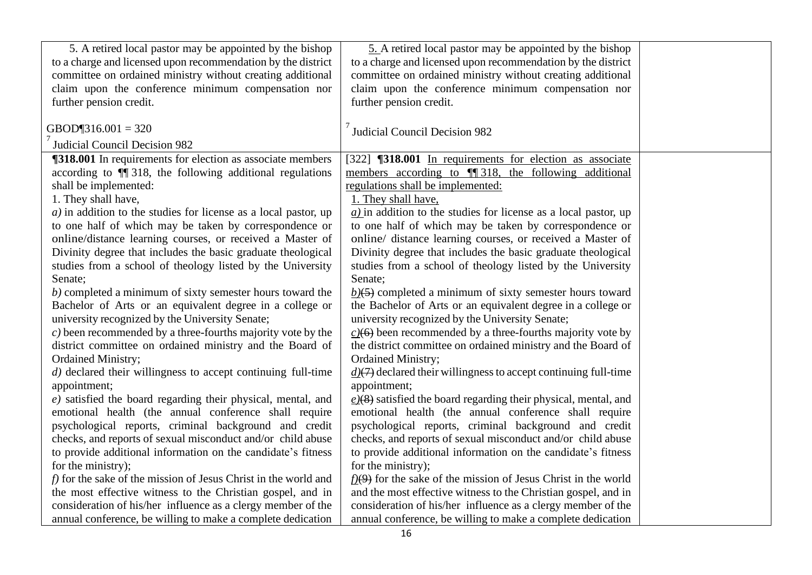| 5. A retired local pastor may be appointed by the bishop<br>to a charge and licensed upon recommendation by the district<br>committee on ordained ministry without creating additional<br>claim upon the conference minimum compensation nor<br>further pension credit.                                                                                                                                                                                                                                                                                                                                                                                                                                                                                                                                                                                                                                                                                                                                                                                                                                                                                                                                                                                                                                                                                                                                                | 5. A retired local pastor may be appointed by the bishop<br>to a charge and licensed upon recommendation by the district<br>committee on ordained ministry without creating additional<br>claim upon the conference minimum compensation nor<br>further pension credit.                                                                                                                                                                                                                                                                                                                                                                                                                                                                                                                                                                                                                                                                                                                                                                                                                                                                                                                                                                                                                                                                                                                                                                                                               |  |
|------------------------------------------------------------------------------------------------------------------------------------------------------------------------------------------------------------------------------------------------------------------------------------------------------------------------------------------------------------------------------------------------------------------------------------------------------------------------------------------------------------------------------------------------------------------------------------------------------------------------------------------------------------------------------------------------------------------------------------------------------------------------------------------------------------------------------------------------------------------------------------------------------------------------------------------------------------------------------------------------------------------------------------------------------------------------------------------------------------------------------------------------------------------------------------------------------------------------------------------------------------------------------------------------------------------------------------------------------------------------------------------------------------------------|---------------------------------------------------------------------------------------------------------------------------------------------------------------------------------------------------------------------------------------------------------------------------------------------------------------------------------------------------------------------------------------------------------------------------------------------------------------------------------------------------------------------------------------------------------------------------------------------------------------------------------------------------------------------------------------------------------------------------------------------------------------------------------------------------------------------------------------------------------------------------------------------------------------------------------------------------------------------------------------------------------------------------------------------------------------------------------------------------------------------------------------------------------------------------------------------------------------------------------------------------------------------------------------------------------------------------------------------------------------------------------------------------------------------------------------------------------------------------------------|--|
| GBOD¶316.001 = 320<br>Judicial Council Decision 982                                                                                                                                                                                                                                                                                                                                                                                                                                                                                                                                                                                                                                                                                                                                                                                                                                                                                                                                                                                                                                                                                                                                                                                                                                                                                                                                                                    | Judicial Council Decision 982                                                                                                                                                                                                                                                                                                                                                                                                                                                                                                                                                                                                                                                                                                                                                                                                                                                                                                                                                                                                                                                                                                                                                                                                                                                                                                                                                                                                                                                         |  |
| <b>[318.001</b> In requirements for election as associate members<br>according to $\P$ 318, the following additional regulations<br>shall be implemented:<br>1. They shall have,<br>$a)$ in addition to the studies for license as a local pastor, up<br>to one half of which may be taken by correspondence or<br>online/distance learning courses, or received a Master of<br>Divinity degree that includes the basic graduate theological<br>studies from a school of theology listed by the University<br>Senate;<br>$b$ ) completed a minimum of sixty semester hours toward the<br>Bachelor of Arts or an equivalent degree in a college or<br>university recognized by the University Senate;<br>$c$ ) been recommended by a three-fourths majority vote by the<br>district committee on ordained ministry and the Board of<br>Ordained Ministry;<br>d) declared their willingness to accept continuing full-time<br>appointment;<br>$e$ ) satisfied the board regarding their physical, mental, and<br>emotional health (the annual conference shall require<br>psychological reports, criminal background and credit<br>checks, and reports of sexual misconduct and/or child abuse<br>to provide additional information on the candidate's fitness<br>for the ministry);<br>$f$ ) for the sake of the mission of Jesus Christ in the world and<br>the most effective witness to the Christian gospel, and in | [322] <b>[318.001</b> In requirements for election as associate<br>members according to ¶ 318, the following additional<br>regulations shall be implemented:<br>1. They shall have,<br>$\underline{a}$ in addition to the studies for license as a local pastor, up<br>to one half of which may be taken by correspondence or<br>online/ distance learning courses, or received a Master of<br>Divinity degree that includes the basic graduate theological<br>studies from a school of theology listed by the University<br>Senate;<br>$\underline{b}(\overline{5})$ completed a minimum of sixty semester hours toward<br>the Bachelor of Arts or an equivalent degree in a college or<br>university recognized by the University Senate;<br>$c$ )(6) been recommended by a three-fourths majority vote by<br>the district committee on ordained ministry and the Board of<br>Ordained Ministry;<br>$d(\mathcal{H})$ declared their willingness to accept continuing full-time<br>appointment;<br>$e(8)$ satisfied the board regarding their physical, mental, and<br>emotional health (the annual conference shall require<br>psychological reports, criminal background and credit<br>checks, and reports of sexual misconduct and/or child abuse<br>to provide additional information on the candidate's fitness<br>for the ministry);<br>$f(\Theta)$ for the sake of the mission of Jesus Christ in the world<br>and the most effective witness to the Christian gospel, and in |  |
| consideration of his/her influence as a clergy member of the<br>annual conference, be willing to make a complete dedication                                                                                                                                                                                                                                                                                                                                                                                                                                                                                                                                                                                                                                                                                                                                                                                                                                                                                                                                                                                                                                                                                                                                                                                                                                                                                            | consideration of his/her influence as a clergy member of the<br>annual conference, be willing to make a complete dedication                                                                                                                                                                                                                                                                                                                                                                                                                                                                                                                                                                                                                                                                                                                                                                                                                                                                                                                                                                                                                                                                                                                                                                                                                                                                                                                                                           |  |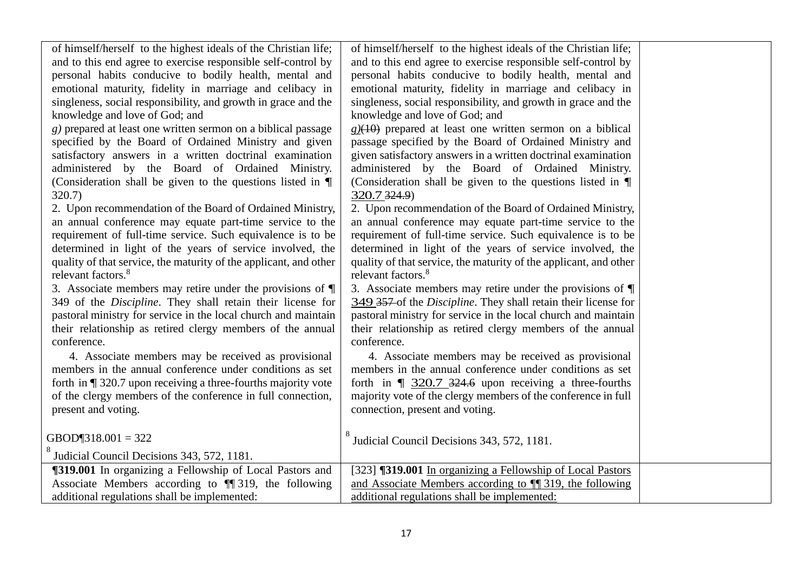| of himself/herself to the highest ideals of the Christian life;    | of himself/herself to the highest ideals of the Christian life;   |  |
|--------------------------------------------------------------------|-------------------------------------------------------------------|--|
| and to this end agree to exercise responsible self-control by      | and to this end agree to exercise responsible self-control by     |  |
| personal habits conducive to bodily health, mental and             | personal habits conducive to bodily health, mental and            |  |
| emotional maturity, fidelity in marriage and celibacy in           | emotional maturity, fidelity in marriage and celibacy in          |  |
| singleness, social responsibility, and growth in grace and the     | singleness, social responsibility, and growth in grace and the    |  |
| knowledge and love of God; and                                     | knowledge and love of God; and                                    |  |
| g) prepared at least one written sermon on a biblical passage      | $g$ (40) prepared at least one written sermon on a biblical       |  |
| specified by the Board of Ordained Ministry and given              | passage specified by the Board of Ordained Ministry and           |  |
| satisfactory answers in a written doctrinal examination            | given satisfactory answers in a written doctrinal examination     |  |
| administered by the Board of Ordained Ministry.                    | administered by the Board of Ordained Ministry.                   |  |
| (Consideration shall be given to the questions listed in $\P$      | (Consideration shall be given to the questions listed in $\P$     |  |
| 320.7)                                                             | 320.7324.9                                                        |  |
| 2. Upon recommendation of the Board of Ordained Ministry,          | 2. Upon recommendation of the Board of Ordained Ministry,         |  |
| an annual conference may equate part-time service to the           | an annual conference may equate part-time service to the          |  |
| requirement of full-time service. Such equivalence is to be        | requirement of full-time service. Such equivalence is to be       |  |
| determined in light of the years of service involved, the          | determined in light of the years of service involved, the         |  |
| quality of that service, the maturity of the applicant, and other  | quality of that service, the maturity of the applicant, and other |  |
| relevant factors. <sup>8</sup>                                     | relevant factors. <sup>8</sup>                                    |  |
| 3. Associate members may retire under the provisions of $\P$       | 3. Associate members may retire under the provisions of $\P$      |  |
| 349 of the <i>Discipline</i> . They shall retain their license for | 349 357-of the Discipline. They shall retain their license for    |  |
| pastoral ministry for service in the local church and maintain     | pastoral ministry for service in the local church and maintain    |  |
| their relationship as retired clergy members of the annual         | their relationship as retired clergy members of the annual        |  |
| conference.                                                        | conference.                                                       |  |
| 4. Associate members may be received as provisional                | 4. Associate members may be received as provisional               |  |
| members in the annual conference under conditions as set           | members in the annual conference under conditions as set          |  |
| forth in $\P$ 320.7 upon receiving a three-fourths majority vote   | forth in $\P$ 320.7 324.6 upon receiving a three-fourths          |  |
| of the clergy members of the conference in full connection,        | majority vote of the clergy members of the conference in full     |  |
| present and voting.                                                | connection, present and voting.                                   |  |
|                                                                    |                                                                   |  |
| GBOD¶318.001 = 322                                                 | Judicial Council Decisions 343, 572, 1181.                        |  |
| Judicial Council Decisions 343, 572, 1181.                         |                                                                   |  |
| ¶319.001 In organizing a Fellowship of Local Pastors and           | [323] ¶319.001 In organizing a Fellowship of Local Pastors        |  |
| Associate Members according to ¶ 319, the following                | and Associate Members according to ¶ 319, the following           |  |
| additional regulations shall be implemented:                       | additional regulations shall be implemented:                      |  |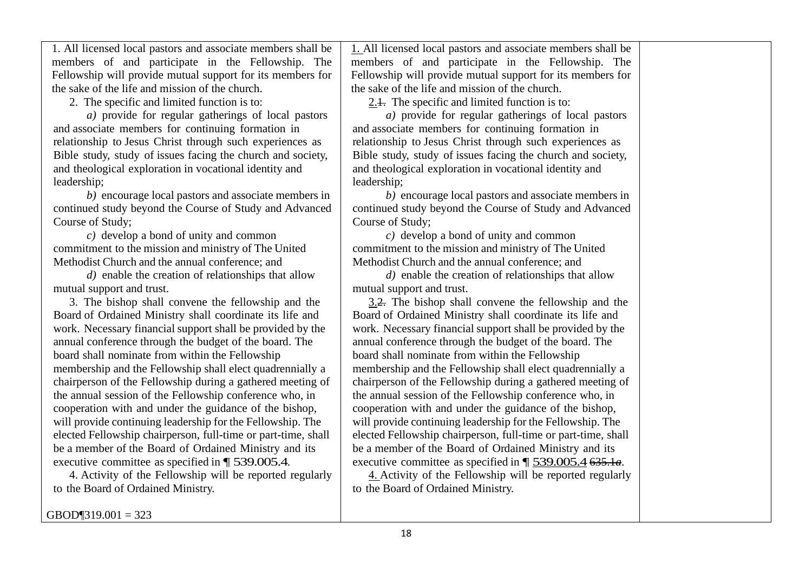1. All licensed local pastors and associate members shall be members of and participate in the Fellowship. The Fellowship will provide mutual support for its members for the sake of the life and mission of the church.

2. The specific and limited function is to:

*a)* provide for regular gatherings of local pastors and associate members for continuing formation in relationship to Jesus Christ through such experiences as Bible study, study of issues facing the church and society, and theological exploration in vocational identity and leadership;

*b)* encourage local pastors and associate members in continued study beyond the Course of Study and Advanced Course of Study;

*c)* develop a bond of unity and common commitment to the mission and ministry of The United Methodist Church and the annual conference; and

*d)* enable the creation of relationships that allow mutual support and trust.

3. The bishop shall convene the fellowship and the Board of Ordained Ministry shall coordinate its life and work. Necessary financial support shall be provided by the annual conference through the budget of the board. The board shall nominate from within the Fellowship membership and the Fellowship shall elect quadrennially a chairperson of the Fellowship during a gathered meeting of the annual session of the Fellowship conference who, in cooperation with and under the guidance of the bishop, will provide continuing leadership for the Fellowship. The elected Fellowship chairperson, full-time or part-time, shall be a member of the Board of Ordained Ministry and its executive committee as specified in ¶ 539.005.4.

4. Activity of the Fellowship will be reported regularly to the Board of Ordained Ministry.

 $GBOD$  1319.001 = 323

1. All licensed local pastors and associate members shall be members of and participate in the Fellowship. The Fellowship will provide mutual support for its members for the sake of the life and mission of the church.

2.1. The specific and limited function is to:

*a)* provide for regular gatherings of local pastors and associate members for continuing formation in relationship to Jesus Christ through such experiences as Bible study, study of issues facing the church and society, and theological exploration in vocational identity and leadership;

*b)* encourage local pastors and associate members in continued study beyond the Course of Study and Advanced Course of Study;

*c)* develop a bond of unity and common commitment to the mission and ministry of The United Methodist Church and the annual conference; and

*d)* enable the creation of relationships that allow mutual support and trust.

3.2. The bishop shall convene the fellowship and the Board of Ordained Ministry shall coordinate its life and work. Necessary financial support shall be provided by the annual conference through the budget of the board. The board shall nominate from within the Fellowship membership and the Fellowship shall elect quadrennially a chairperson of the Fellowship during a gathered meeting of the annual session of the Fellowship conference who, in cooperation with and under the guidance of the bishop, will provide continuing leadership for the Fellowship. The elected Fellowship chairperson, full-time or part-time, shall be a member of the Board of Ordained Ministry and its executive committee as specified in ¶ 539.005.4 635.1*a*.

4. Activity of the Fellowship will be reported regularly to the Board of Ordained Ministry.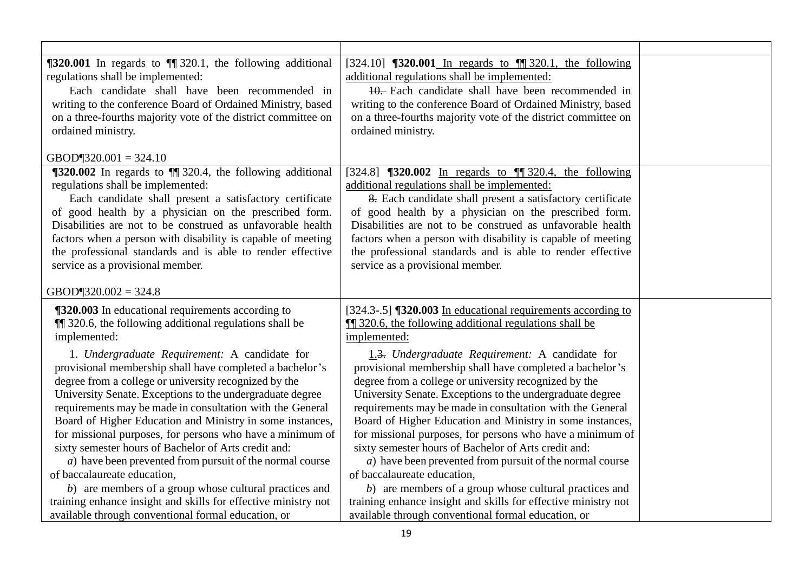| <b><math>\sqrt{320.001}</math></b> In regards to $\sqrt{\sqrt{3}}$ 320.1, the following additional<br>regulations shall be implemented:<br>Each candidate shall have been recommended in<br>writing to the conference Board of Ordained Ministry, based<br>on a three-fourths majority vote of the district committee on<br>ordained ministry.                                                                                                                                                                                                                                                                                                                                                                                                               | [324.10] $\sqrt{320.001}$ In regards to $\sqrt{\sqrt{320.1}}$ , the following<br>additional regulations shall be implemented:<br>40. Each candidate shall have been recommended in<br>writing to the conference Board of Ordained Ministry, based<br>on a three-fourths majority vote of the district committee on<br>ordained ministry.                                                                                                                                                                                                                                                                                                                                                                                                                       |  |
|--------------------------------------------------------------------------------------------------------------------------------------------------------------------------------------------------------------------------------------------------------------------------------------------------------------------------------------------------------------------------------------------------------------------------------------------------------------------------------------------------------------------------------------------------------------------------------------------------------------------------------------------------------------------------------------------------------------------------------------------------------------|----------------------------------------------------------------------------------------------------------------------------------------------------------------------------------------------------------------------------------------------------------------------------------------------------------------------------------------------------------------------------------------------------------------------------------------------------------------------------------------------------------------------------------------------------------------------------------------------------------------------------------------------------------------------------------------------------------------------------------------------------------------|--|
| GBOD¶320.001 = 324.10                                                                                                                                                                                                                                                                                                                                                                                                                                                                                                                                                                                                                                                                                                                                        |                                                                                                                                                                                                                                                                                                                                                                                                                                                                                                                                                                                                                                                                                                                                                                |  |
| ¶320.002 In regards to ¶ 320.4, the following additional<br>regulations shall be implemented:<br>Each candidate shall present a satisfactory certificate<br>of good health by a physician on the prescribed form.<br>Disabilities are not to be construed as unfavorable health<br>factors when a person with disability is capable of meeting<br>the professional standards and is able to render effective<br>service as a provisional member.<br>$GBOD$ 320.002 = 324.8                                                                                                                                                                                                                                                                                   | [324.8] $$320.002$ In regards to $$120.4$ , the following<br>additional regulations shall be implemented:<br>8. Each candidate shall present a satisfactory certificate<br>of good health by a physician on the prescribed form.<br>Disabilities are not to be construed as unfavorable health<br>factors when a person with disability is capable of meeting<br>the professional standards and is able to render effective<br>service as a provisional member.                                                                                                                                                                                                                                                                                                |  |
|                                                                                                                                                                                                                                                                                                                                                                                                                                                                                                                                                                                                                                                                                                                                                              |                                                                                                                                                                                                                                                                                                                                                                                                                                                                                                                                                                                                                                                                                                                                                                |  |
| ¶320.003 In educational requirements according to<br><b>II</b> 320.6, the following additional regulations shall be<br>implemented:                                                                                                                                                                                                                                                                                                                                                                                                                                                                                                                                                                                                                          | [324.3-.5] [320.003 In educational requirements according to<br><b>11</b> 320.6, the following additional regulations shall be<br>implemented:                                                                                                                                                                                                                                                                                                                                                                                                                                                                                                                                                                                                                 |  |
| 1. Undergraduate Requirement: A candidate for<br>provisional membership shall have completed a bachelor's<br>degree from a college or university recognized by the<br>University Senate. Exceptions to the undergraduate degree<br>requirements may be made in consultation with the General<br>Board of Higher Education and Ministry in some instances,<br>for missional purposes, for persons who have a minimum of<br>sixty semester hours of Bachelor of Arts credit and:<br>a) have been prevented from pursuit of the normal course<br>of baccalaureate education,<br>b) are members of a group whose cultural practices and<br>training enhance insight and skills for effective ministry not<br>available through conventional formal education, or | 1.3. Undergraduate Requirement: A candidate for<br>provisional membership shall have completed a bachelor's<br>degree from a college or university recognized by the<br>University Senate. Exceptions to the undergraduate degree<br>requirements may be made in consultation with the General<br>Board of Higher Education and Ministry in some instances,<br>for missional purposes, for persons who have a minimum of<br>sixty semester hours of Bachelor of Arts credit and:<br>a) have been prevented from pursuit of the normal course<br>of baccalaureate education,<br>b) are members of a group whose cultural practices and<br>training enhance insight and skills for effective ministry not<br>available through conventional formal education, or |  |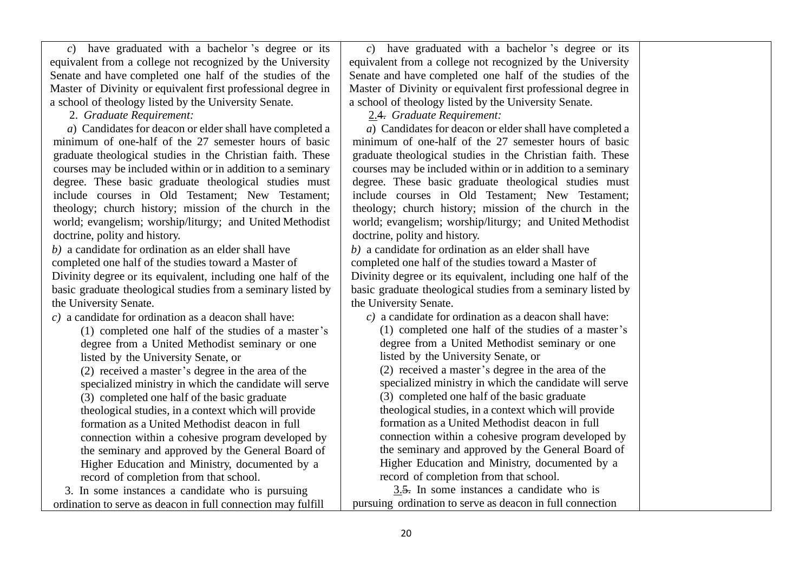*c*) have graduated with a bachelor 's degree or its equivalent from a college not recognized by the University Senate and have completed one half of the studies of the Master of Divinity or equivalent first professional degree in a school of theology listed by the University Senate.

2. *Graduate Requirement:*

*a*) Candidates for deacon or elder shall have completed a minimum of one-half of the 27 semester hours of basic graduate theological studies in the Christian faith. These courses may be included within or in addition to a seminary degree. These basic graduate theological studies must include courses in Old Testament; New Testament; theology; church history; mission of the church in the world; evangelism; worship/liturgy; and United Methodist doctrine, polity and history.

*b)* a candidate for ordination as an elder shall have completed one half of the studies toward a Master of Divinity degree or its equivalent, including one half of the basic graduate theological studies from a seminary listed by the University Senate.

*c)* a candidate for ordination as a deacon shall have:

(1) completed one half of the studies of a master's degree from a United Methodist seminary or one listed by the University Senate, or (2) received a master's degree in the area of the specialized ministry in which the candidate will serve (3) completed one half of the basic graduate theological studies, in a context which will provide formation as a United Methodist deacon in full connection within a cohesive program developed by the seminary and approved by the General Board of Higher Education and Ministry, documented by a record of completion from that school.

 3. In some instances a candidate who is pursuing ordination to serve as deacon in full connection may fulfill

*c*) have graduated with a bachelor 's degree or its equivalent from a college not recognized by the University Senate and have completed one half of the studies of the Master of Divinity or equivalent first professional degree in a school of theology listed by the University Senate.

2.4. *Graduate Requirement:*

*a*) Candidates for deacon or elder shall have completed a minimum of one-half of the 27 semester hours of basic graduate theological studies in the Christian faith. These courses may be included within or in addition to a seminary degree. These basic graduate theological studies must include courses in Old Testament; New Testament; theology; church history; mission of the church in the world; evangelism; worship/liturgy; and United Methodist doctrine, polity and history.

*b)* a candidate for ordination as an elder shall have completed one half of the studies toward a Master of Divinity degree or its equivalent, including one half of the basic graduate theological studies from a seminary listed by the University Senate.

*c)* a candidate for ordination as a deacon shall have:

(1) completed one half of the studies of a master's degree from a United Methodist seminary or one listed by the University Senate, or (2) received a master's degree in the area of the specialized ministry in which the candidate will serve (3) completed one half of the basic graduate theological studies, in a context which will provide formation as a United Methodist deacon in full connection within a cohesive program developed by the seminary and approved by the General Board of Higher Education and Ministry, documented by a record of completion from that school.

3.5. In some instances a candidate who is pursuing ordination to serve as deacon in full connection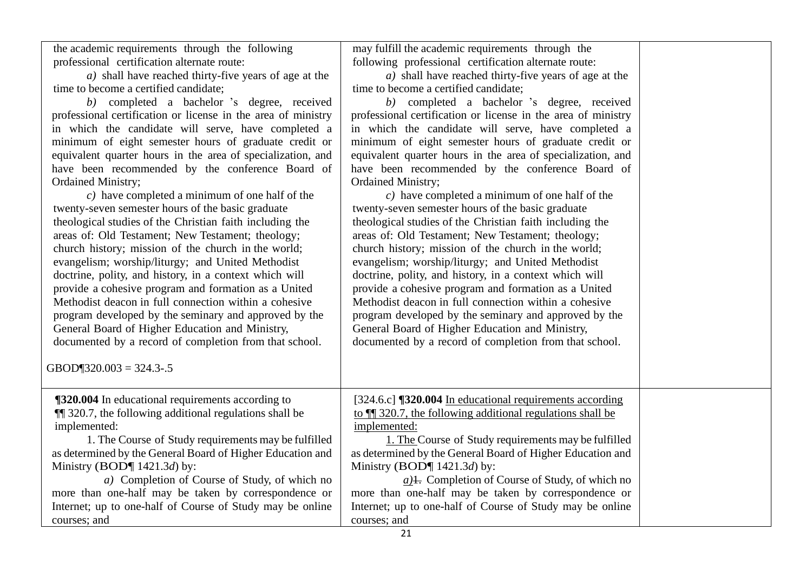the academic requirements through the following professional certification alternate route:

*a)* shall have reached thirty-five years of age at the time to become a certified candidate;

*b)* completed a bachelor 's degree, received professional certification or license in the area of ministry in which the candidate will serve, have completed a minimum of eight semester hours of graduate credit or equivalent quarter hours in the area of specialization, and have been recommended by the conference Board of Ordained Ministry;

*c)* have completed a minimum of one half of the twenty-seven semester hours of the basic graduate theological studies of the Christian faith including the areas of: Old Testament; New Testament; theology; church history; mission of the church in the world; evangelism; worship/liturgy; and United Methodist doctrine, polity, and history, in a context which will provide a cohesive program and formation as a United Methodist deacon in full connection within a cohesive program developed by the seminary and approved by the General Board of Higher Education and Ministry, documented by a record of completion from that school.

GBOD¶320.003 = 324.3-.5

**¶320.004** In educational requirements according to ¶¶ 320.7, the following additional regulations shall be implemented:

1. The Course of Study requirements may be fulfilled as determined by the General Board of Higher Education and Ministry (BOD¶ 1421.3*d*) by:

*a)* Completion of Course of Study, of which no more than one-half may be taken by correspondence or Internet; up to one-half of Course of Study may be online courses; and

may fulfill the academic requirements through the following professional certification alternate route:

*a)* shall have reached thirty-five years of age at the time to become a certified candidate;

*b)* completed a bachelor 's degree, received professional certification or license in the area of ministry in which the candidate will serve, have completed a minimum of eight semester hours of graduate credit or equivalent quarter hours in the area of specialization, and have been recommended by the conference Board of Ordained Ministry;

*c)* have completed a minimum of one half of the twenty-seven semester hours of the basic graduate theological studies of the Christian faith including the areas of: Old Testament; New Testament; theology; church history; mission of the church in the world; evangelism; worship/liturgy; and United Methodist doctrine, polity, and history, in a context which will provide a cohesive program and formation as a United Methodist deacon in full connection within a cohesive program developed by the seminary and approved by the General Board of Higher Education and Ministry, documented by a record of completion from that school.

[324.6.c] **¶320.004** In educational requirements according to ¶¶ 320.7, the following additional regulations shall be implemented:

1. The Course of Study requirements may be fulfilled as determined by the General Board of Higher Education and Ministry (BOD¶ 1421.3*d*) by:

*a)*1. Completion of Course of Study, of which no more than one-half may be taken by correspondence or Internet; up to one-half of Course of Study may be online courses; and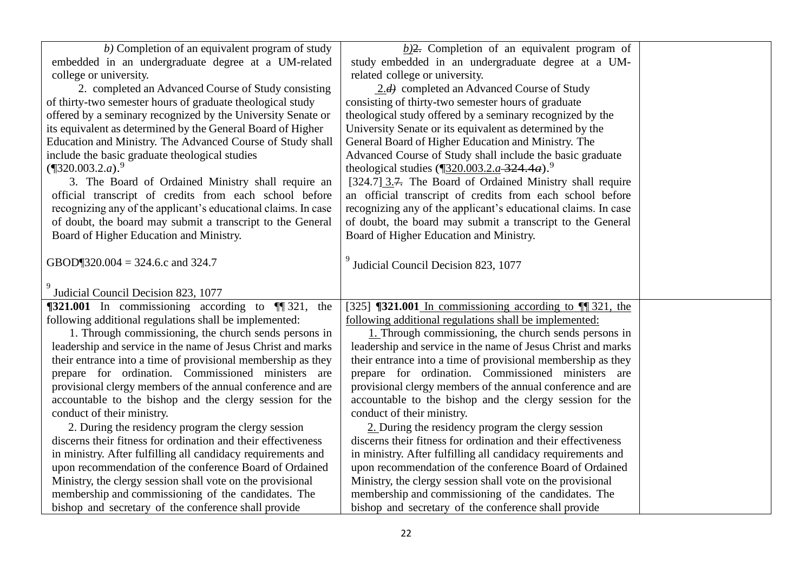| $b$ ) Completion of an equivalent program of study             | $b$ )2. Completion of an equivalent program of                           |  |
|----------------------------------------------------------------|--------------------------------------------------------------------------|--|
| embedded in an undergraduate degree at a UM-related            | study embedded in an undergraduate degree at a UM-                       |  |
| college or university.                                         | related college or university.                                           |  |
| 2. completed an Advanced Course of Study consisting            | $2.4$ ) completed an Advanced Course of Study                            |  |
| of thirty-two semester hours of graduate theological study     | consisting of thirty-two semester hours of graduate                      |  |
| offered by a seminary recognized by the University Senate or   | theological study offered by a seminary recognized by the                |  |
| its equivalent as determined by the General Board of Higher    | University Senate or its equivalent as determined by the                 |  |
| Education and Ministry. The Advanced Course of Study shall     | General Board of Higher Education and Ministry. The                      |  |
| include the basic graduate theological studies                 | Advanced Course of Study shall include the basic graduate                |  |
| $\P$ 320.003.2.a). <sup>9</sup>                                | theological studies $(\frac{320.003.2a}{324.4a})$ . <sup>9</sup>         |  |
| 3. The Board of Ordained Ministry shall require an             | [324.7] 3.7. The Board of Ordained Ministry shall require                |  |
| official transcript of credits from each school before         | an official transcript of credits from each school before                |  |
| recognizing any of the applicant's educational claims. In case | recognizing any of the applicant's educational claims. In case           |  |
| of doubt, the board may submit a transcript to the General     | of doubt, the board may submit a transcript to the General               |  |
| Board of Higher Education and Ministry.                        | Board of Higher Education and Ministry.                                  |  |
|                                                                |                                                                          |  |
| GBOD¶320.004 = 324.6.c and 324.7                               | Judicial Council Decision 823, 1077                                      |  |
|                                                                |                                                                          |  |
| Judicial Council Decision 823, 1077                            |                                                                          |  |
| ¶321.001 In commissioning according to ¶ 321, the              | [325] <b>[321.001</b> In commissioning according to $\P$ $\eta$ 321, the |  |
| following additional regulations shall be implemented:         | following additional regulations shall be implemented:                   |  |
| 1. Through commissioning, the church sends persons in          | 1. Through commissioning, the church sends persons in                    |  |
| leadership and service in the name of Jesus Christ and marks   | leadership and service in the name of Jesus Christ and marks             |  |
| their entrance into a time of provisional membership as they   | their entrance into a time of provisional membership as they             |  |
| prepare for ordination. Commissioned ministers are             | prepare for ordination. Commissioned ministers are                       |  |
| provisional clergy members of the annual conference and are    | provisional clergy members of the annual conference and are              |  |
| accountable to the bishop and the clergy session for the       | accountable to the bishop and the clergy session for the                 |  |
| conduct of their ministry.                                     | conduct of their ministry.                                               |  |
| 2. During the residency program the clergy session             | 2. During the residency program the clergy session                       |  |
| discerns their fitness for ordination and their effectiveness  | discerns their fitness for ordination and their effectiveness            |  |
| in ministry. After fulfilling all candidacy requirements and   | in ministry. After fulfilling all candidacy requirements and             |  |
| upon recommendation of the conference Board of Ordained        | upon recommendation of the conference Board of Ordained                  |  |
| Ministry, the clergy session shall vote on the provisional     | Ministry, the clergy session shall vote on the provisional               |  |
| membership and commissioning of the candidates. The            | membership and commissioning of the candidates. The                      |  |
| bishop and secretary of the conference shall provide           | bishop and secretary of the conference shall provide                     |  |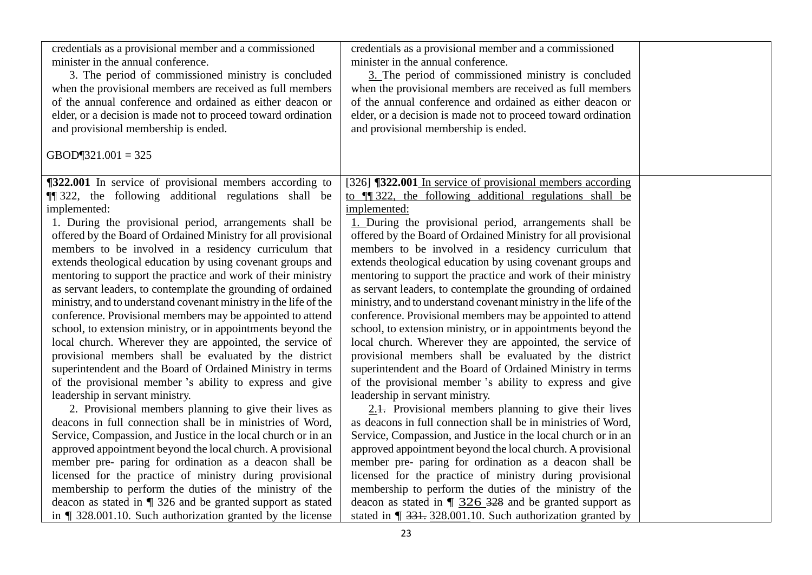| credentials as a provisional member and a commissioned<br>minister in the annual conference.<br>3. The period of commissioned ministry is concluded<br>when the provisional members are received as full members<br>of the annual conference and ordained as either deacon or<br>elder, or a decision is made not to proceed toward ordination<br>and provisional membership is ended.<br>$GBOD$ 321.001 = 325                                                                                                                                                                                                                                                                                                                                                                                                                                                                                                                                                                                                                                                                                                                                                                                                                                                                                                                                                                                                                                                                                                                                                                              | credentials as a provisional member and a commissioned<br>minister in the annual conference.<br>3. The period of commissioned ministry is concluded<br>when the provisional members are received as full members<br>of the annual conference and ordained as either deacon or<br>elder, or a decision is made not to proceed toward ordination<br>and provisional membership is ended.                                                                                                                                                                                                                                                                                                                                                                                                                                                                                                                                                                                                                                                                                                                                                                                                                                                                                                                                                                                                                                                                                                                                                                                                             |  |
|---------------------------------------------------------------------------------------------------------------------------------------------------------------------------------------------------------------------------------------------------------------------------------------------------------------------------------------------------------------------------------------------------------------------------------------------------------------------------------------------------------------------------------------------------------------------------------------------------------------------------------------------------------------------------------------------------------------------------------------------------------------------------------------------------------------------------------------------------------------------------------------------------------------------------------------------------------------------------------------------------------------------------------------------------------------------------------------------------------------------------------------------------------------------------------------------------------------------------------------------------------------------------------------------------------------------------------------------------------------------------------------------------------------------------------------------------------------------------------------------------------------------------------------------------------------------------------------------|----------------------------------------------------------------------------------------------------------------------------------------------------------------------------------------------------------------------------------------------------------------------------------------------------------------------------------------------------------------------------------------------------------------------------------------------------------------------------------------------------------------------------------------------------------------------------------------------------------------------------------------------------------------------------------------------------------------------------------------------------------------------------------------------------------------------------------------------------------------------------------------------------------------------------------------------------------------------------------------------------------------------------------------------------------------------------------------------------------------------------------------------------------------------------------------------------------------------------------------------------------------------------------------------------------------------------------------------------------------------------------------------------------------------------------------------------------------------------------------------------------------------------------------------------------------------------------------------------|--|
| <b>[322.001</b> In service of provisional members according to<br>II 322, the following additional regulations shall be<br>implemented:<br>1. During the provisional period, arrangements shall be<br>offered by the Board of Ordained Ministry for all provisional<br>members to be involved in a residency curriculum that<br>extends theological education by using covenant groups and<br>mentoring to support the practice and work of their ministry<br>as servant leaders, to contemplate the grounding of ordained<br>ministry, and to understand covenant ministry in the life of the<br>conference. Provisional members may be appointed to attend<br>school, to extension ministry, or in appointments beyond the<br>local church. Wherever they are appointed, the service of<br>provisional members shall be evaluated by the district<br>superintendent and the Board of Ordained Ministry in terms<br>of the provisional member 's ability to express and give<br>leadership in servant ministry.<br>2. Provisional members planning to give their lives as<br>deacons in full connection shall be in ministries of Word,<br>Service, Compassion, and Justice in the local church or in an<br>approved appointment beyond the local church. A provisional<br>member pre- paring for ordination as a deacon shall be<br>licensed for the practice of ministry during provisional<br>membership to perform the duties of the ministry of the<br>deacon as stated in $\P$ 326 and be granted support as stated<br>in $\P$ 328.001.10. Such authorization granted by the license | [326] <b>[322.001</b> In service of provisional members according<br>to ¶ 322, the following additional regulations shall be<br>implemented:<br>1. During the provisional period, arrangements shall be<br>offered by the Board of Ordained Ministry for all provisional<br>members to be involved in a residency curriculum that<br>extends theological education by using covenant groups and<br>mentoring to support the practice and work of their ministry<br>as servant leaders, to contemplate the grounding of ordained<br>ministry, and to understand covenant ministry in the life of the<br>conference. Provisional members may be appointed to attend<br>school, to extension ministry, or in appointments beyond the<br>local church. Wherever they are appointed, the service of<br>provisional members shall be evaluated by the district<br>superintendent and the Board of Ordained Ministry in terms<br>of the provisional member 's ability to express and give<br>leadership in servant ministry.<br>$2.1$ . Provisional members planning to give their lives<br>as deacons in full connection shall be in ministries of Word,<br>Service, Compassion, and Justice in the local church or in an<br>approved appointment beyond the local church. A provisional<br>member pre- paring for ordination as a deacon shall be<br>licensed for the practice of ministry during provisional<br>membership to perform the duties of the ministry of the<br>deacon as stated in $\P$ 326 328 and be granted support as<br>stated in $\P$ 331. 328.001.10. Such authorization granted by |  |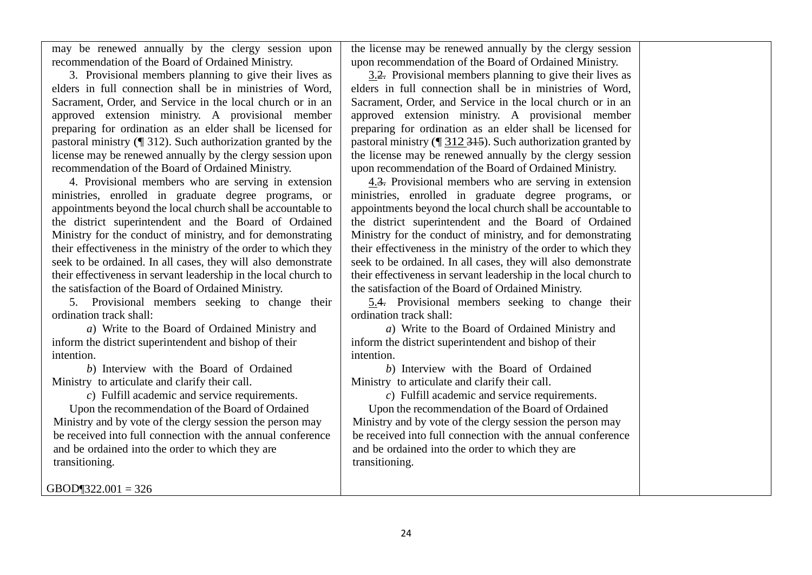may be renewed annually by the clergy session upon recommendation of the Board of Ordained Ministry.

3. Provisional members planning to give their lives as elders in full connection shall be in ministries of Word, Sacrament, Order, and Service in the local church or in an approved extension ministry. A provisional member preparing for ordination as an elder shall be licensed for pastoral ministry (¶ 312). Such authorization granted by the license may be renewed annually by the clergy session upon recommendation of the Board of Ordained Ministry.

4. Provisional members who are serving in extension ministries, enrolled in graduate degree programs, or appointments beyond the local church shall be accountable to the district superintendent and the Board of Ordained Ministry for the conduct of ministry, and for demonstrating their effectiveness in the ministry of the order to which they seek to be ordained. In all cases, they will also demonstrate their effectiveness in servant leadership in the local church to the satisfaction of the Board of Ordained Ministry.

5. Provisional members seeking to change their ordination track shall:

*a*) Write to the Board of Ordained Ministry and inform the district superintendent and bishop of their intention.

*b*) Interview with the Board of Ordained Ministry to articulate and clarify their call.

*c*) Fulfill academic and service requirements.

Upon the recommendation of the Board of Ordained Ministry and by vote of the clergy session the person may be received into full connection with the annual conference and be ordained into the order to which they are transitioning.

 $GBOD$ ¶322.001 = 326

the license may be renewed annually by the clergy session upon recommendation of the Board of Ordained Ministry.

3.2. Provisional members planning to give their lives as elders in full connection shall be in ministries of Word, Sacrament, Order, and Service in the local church or in an approved extension ministry. A provisional member preparing for ordination as an elder shall be licensed for pastoral ministry (¶ 312 315). Such authorization granted by the license may be renewed annually by the clergy session upon recommendation of the Board of Ordained Ministry.

4.3. Provisional members who are serving in extension ministries, enrolled in graduate degree programs, or appointments beyond the local church shall be accountable to the district superintendent and the Board of Ordained Ministry for the conduct of ministry, and for demonstrating their effectiveness in the ministry of the order to which they seek to be ordained. In all cases, they will also demonstrate their effectiveness in servant leadership in the local church to the satisfaction of the Board of Ordained Ministry.

5.4. Provisional members seeking to change their ordination track shall:

*a*) Write to the Board of Ordained Ministry and inform the district superintendent and bishop of their intention.

*b*) Interview with the Board of Ordained Ministry to articulate and clarify their call.

*c*) Fulfill academic and service requirements.

Upon the recommendation of the Board of Ordained Ministry and by vote of the clergy session the person may be received into full connection with the annual conference and be ordained into the order to which they are transitioning.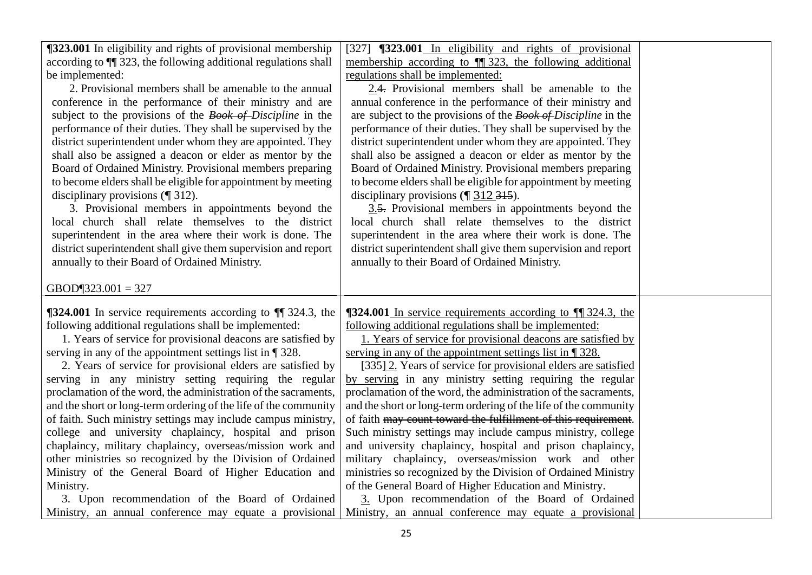| <b>[323.001</b> In eligibility and rights of provisional membership                                                      | [327] <b>[323.001</b> In eligibility and rights of provisional                                                              |  |
|--------------------------------------------------------------------------------------------------------------------------|-----------------------------------------------------------------------------------------------------------------------------|--|
| according to $\P$ 323, the following additional regulations shall                                                        | membership according to ¶ 323, the following additional                                                                     |  |
| be implemented:                                                                                                          | regulations shall be implemented:                                                                                           |  |
| 2. Provisional members shall be amenable to the annual                                                                   | $2.4$ . Provisional members shall be amenable to the                                                                        |  |
| conference in the performance of their ministry and are                                                                  | annual conference in the performance of their ministry and                                                                  |  |
| subject to the provisions of the <b>Book of</b> Discipline in the                                                        | are subject to the provisions of the <b>Book of</b> Discipline in the                                                       |  |
| performance of their duties. They shall be supervised by the                                                             | performance of their duties. They shall be supervised by the                                                                |  |
| district superintendent under whom they are appointed. They                                                              | district superintendent under whom they are appointed. They                                                                 |  |
| shall also be assigned a deacon or elder as mentor by the                                                                | shall also be assigned a deacon or elder as mentor by the                                                                   |  |
| Board of Ordained Ministry. Provisional members preparing                                                                | Board of Ordained Ministry. Provisional members preparing                                                                   |  |
| to become elders shall be eligible for appointment by meeting                                                            | to become elders shall be eligible for appointment by meeting                                                               |  |
| disciplinary provisions $(\P 312)$ .                                                                                     | disciplinary provisions $(\sqrt{\frac{312.315}{}})$ .                                                                       |  |
| 3. Provisional members in appointments beyond the                                                                        | 3.5. Provisional members in appointments beyond the                                                                         |  |
| local church shall relate themselves to the district                                                                     | local church shall relate themselves to the district                                                                        |  |
| superintendent in the area where their work is done. The                                                                 | superintendent in the area where their work is done. The                                                                    |  |
| district superintendent shall give them supervision and report                                                           | district superintendent shall give them supervision and report                                                              |  |
| annually to their Board of Ordained Ministry.                                                                            | annually to their Board of Ordained Ministry.                                                                               |  |
|                                                                                                                          |                                                                                                                             |  |
| $GBOD$ 323.001 = 327                                                                                                     |                                                                                                                             |  |
|                                                                                                                          |                                                                                                                             |  |
| <b><math>\P</math>324.001</b> In service requirements according to $\P$ $\P$ 324.3, the                                  | <b>¶324.001</b> In service requirements according to <b>[</b> ¶ 324.3, the                                                  |  |
| following additional regulations shall be implemented:                                                                   | following additional regulations shall be implemented:                                                                      |  |
| 1. Years of service for provisional deacons are satisfied by                                                             | 1. Years of service for provisional deacons are satisfied by                                                                |  |
| serving in any of the appointment settings list in $\P$ 328.                                                             | serving in any of the appointment settings list in $\P$ 328.                                                                |  |
| 2. Years of service for provisional elders are satisfied by                                                              | [335] 2. Years of service for provisional elders are satisfied                                                              |  |
| serving in any ministry setting requiring the regular<br>proclamation of the word, the administration of the sacraments, | by serving in any ministry setting requiring the regular<br>proclamation of the word, the administration of the sacraments, |  |
| and the short or long-term ordering of the life of the community                                                         | and the short or long-term ordering of the life of the community                                                            |  |
| of faith. Such ministry settings may include campus ministry,                                                            | of faith may count toward the fulfillment of this requirement.                                                              |  |
| college and university chaplaincy, hospital and prison                                                                   | Such ministry settings may include campus ministry, college                                                                 |  |
| chaplaincy, military chaplaincy, overseas/mission work and                                                               | and university chaplaincy, hospital and prison chaplaincy,                                                                  |  |
| other ministries so recognized by the Division of Ordained                                                               | military chaplaincy, overseas/mission work and other                                                                        |  |
| Ministry of the General Board of Higher Education and                                                                    | ministries so recognized by the Division of Ordained Ministry                                                               |  |
| Ministry.                                                                                                                | of the General Board of Higher Education and Ministry.                                                                      |  |
| 3. Upon recommendation of the Board of Ordained                                                                          | 3. Upon recommendation of the Board of Ordained                                                                             |  |
|                                                                                                                          |                                                                                                                             |  |
| Ministry, an annual conference may equate a provisional                                                                  | Ministry, an annual conference may equate a provisional                                                                     |  |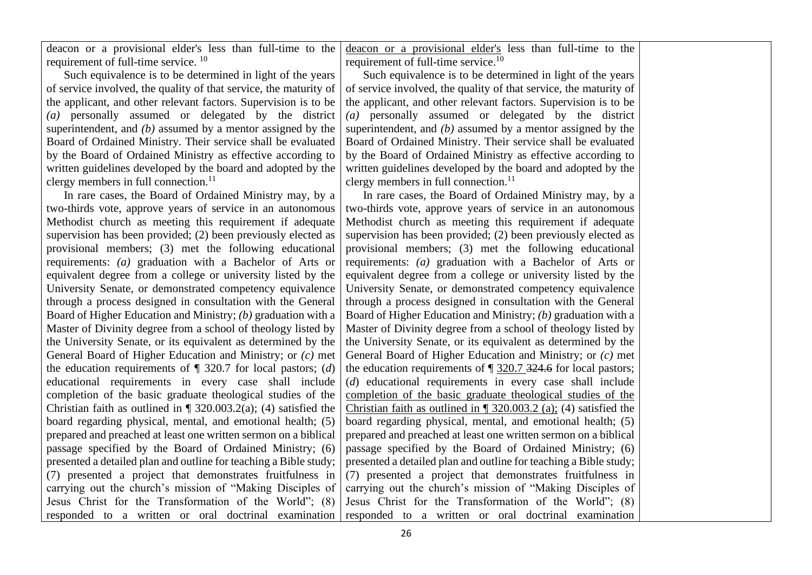deacon or a provisional elder's less than full-time to the requirement of full-time service. <sup>10</sup>

Such equivalence is to be determined in light of the years of service involved, the quality of that service, the maturity of the applicant, and other relevant factors. Supervision is to be *(a)* personally assumed or delegated by the district superintendent, and *(b)* assumed by a mentor assigned by the Board of Ordained Ministry. Their service shall be evaluated by the Board of Ordained Ministry as effective according to written guidelines developed by the board and adopted by the clergy members in full connection. $11$ 

In rare cases, the Board of Ordained Ministry may, by a two-thirds vote, approve years of service in an autonomous Methodist church as meeting this requirement if adequate supervision has been provided; (2) been previously elected as provisional members; (3) met the following educational requirements: *(a)* graduation with a Bachelor of Arts or equivalent degree from a college or university listed by the University Senate, or demonstrated competency equivalence through a process designed in consultation with the General Board of Higher Education and Ministry; *(b)* graduation with a Master of Divinity degree from a school of theology listed by the University Senate, or its equivalent as determined by the General Board of Higher Education and Ministry; or *(c)* met the education requirements of ¶ 320.7 for local pastors; (*d*) educational requirements in every case shall include completion of the basic graduate theological studies of the Christian faith as outlined in  $\P$  320.003.2(a); (4) satisfied the board regarding physical, mental, and emotional health; (5) prepared and preached at least one written sermon on a biblical passage specified by the Board of Ordained Ministry; (6) presented a detailed plan and outline for teaching a Bible study; (7) presented a project that demonstrates fruitfulness in carrying out the church's mission of "Making Disciples of Jesus Christ for the Transformation of the World"; (8) responded to a written or oral doctrinal examination

deacon or a provisional elder's less than full-time to the requirement of full-time service.<sup>10</sup>

Such equivalence is to be determined in light of the years of service involved, the quality of that service, the maturity of the applicant, and other relevant factors. Supervision is to be *(a)* personally assumed or delegated by the district superintendent, and *(b)* assumed by a mentor assigned by the Board of Ordained Ministry. Their service shall be evaluated by the Board of Ordained Ministry as effective according to written guidelines developed by the board and adopted by the clergy members in full connection. $^{11}$ 

In rare cases, the Board of Ordained Ministry may, by a two-thirds vote, approve years of service in an autonomous Methodist church as meeting this requirement if adequate supervision has been provided; (2) been previously elected as provisional members; (3) met the following educational requirements: *(a)* graduation with a Bachelor of Arts or equivalent degree from a college or university listed by the University Senate, or demonstrated competency equivalence through a process designed in consultation with the General Board of Higher Education and Ministry; *(b)* graduation with a Master of Divinity degree from a school of theology listed by the University Senate, or its equivalent as determined by the General Board of Higher Education and Ministry; or *(c)* met the education requirements of ¶ 320.7 324.6 for local pastors; (*d*) educational requirements in every case shall include completion of the basic graduate theological studies of the Christian faith as outlined in ¶ 320.003.2 (a); (4) satisfied the board regarding physical, mental, and emotional health; (5) prepared and preached at least one written sermon on a biblical passage specified by the Board of Ordained Ministry; (6) presented a detailed plan and outline for teaching a Bible study; (7) presented a project that demonstrates fruitfulness in carrying out the church's mission of "Making Disciples of Jesus Christ for the Transformation of the World"; (8) responded to a written or oral doctrinal examination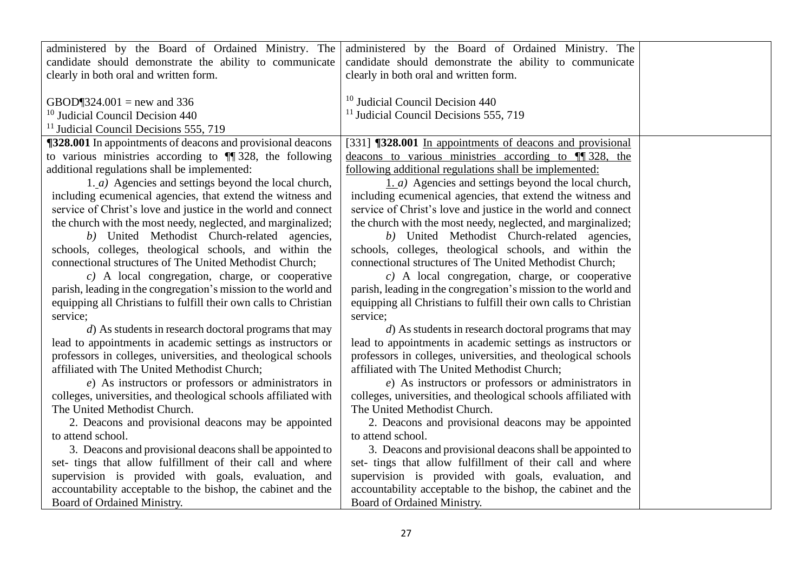| administered by the Board of Ordained Ministry. The              | administered by the Board of Ordained Ministry. The              |  |
|------------------------------------------------------------------|------------------------------------------------------------------|--|
| candidate should demonstrate the ability to communicate          | candidate should demonstrate the ability to communicate          |  |
| clearly in both oral and written form.                           | clearly in both oral and written form.                           |  |
|                                                                  |                                                                  |  |
| GBOD¶324.001 = new and 336                                       | <sup>10</sup> Judicial Council Decision 440                      |  |
| <sup>10</sup> Judicial Council Decision 440                      | <sup>11</sup> Judicial Council Decisions 555, 719                |  |
| $11$ Judicial Council Decisions 555, 719                         |                                                                  |  |
| ¶328.001 In appointments of deacons and provisional deacons      | [331] <b>[328.001</b> In appointments of deacons and provisional |  |
| to various ministries according to $\P$ 328, the following       | deacons to various ministries according to ¶ 328, the            |  |
| additional regulations shall be implemented:                     | following additional regulations shall be implemented:           |  |
| 1. $a$ ) Agencies and settings beyond the local church,          | $1. a)$ Agencies and settings beyond the local church,           |  |
| including ecumenical agencies, that extend the witness and       | including ecumenical agencies, that extend the witness and       |  |
| service of Christ's love and justice in the world and connect    | service of Christ's love and justice in the world and connect    |  |
| the church with the most needy, neglected, and marginalized;     | the church with the most needy, neglected, and marginalized;     |  |
| b) United Methodist Church-related agencies,                     | b) United Methodist Church-related agencies,                     |  |
| schools, colleges, theological schools, and within the           | schools, colleges, theological schools, and within the           |  |
| connectional structures of The United Methodist Church;          | connectional structures of The United Methodist Church;          |  |
| $c)$ A local congregation, charge, or cooperative                | $c)$ A local congregation, charge, or cooperative                |  |
| parish, leading in the congregation's mission to the world and   | parish, leading in the congregation's mission to the world and   |  |
| equipping all Christians to fulfill their own calls to Christian | equipping all Christians to fulfill their own calls to Christian |  |
| service;                                                         | service;                                                         |  |
| d) As students in research doctoral programs that may            | d) As students in research doctoral programs that may            |  |
| lead to appointments in academic settings as instructors or      | lead to appointments in academic settings as instructors or      |  |
| professors in colleges, universities, and theological schools    | professors in colleges, universities, and theological schools    |  |
| affiliated with The United Methodist Church;                     | affiliated with The United Methodist Church;                     |  |
| $e$ ) As instructors or professors or administrators in          | $e$ ) As instructors or professors or administrators in          |  |
| colleges, universities, and theological schools affiliated with  | colleges, universities, and theological schools affiliated with  |  |
| The United Methodist Church.                                     | The United Methodist Church.                                     |  |
| 2. Deacons and provisional deacons may be appointed              | 2. Deacons and provisional deacons may be appointed              |  |
| to attend school.                                                | to attend school.                                                |  |
| 3. Deacons and provisional deacons shall be appointed to         | 3. Deacons and provisional deacons shall be appointed to         |  |
| set- tings that allow fulfillment of their call and where        | set- tings that allow fulfillment of their call and where        |  |
| supervision is provided with goals, evaluation, and              | supervision is provided with goals, evaluation, and              |  |
| accountability acceptable to the bishop, the cabinet and the     | accountability acceptable to the bishop, the cabinet and the     |  |
| Board of Ordained Ministry.                                      | Board of Ordained Ministry.                                      |  |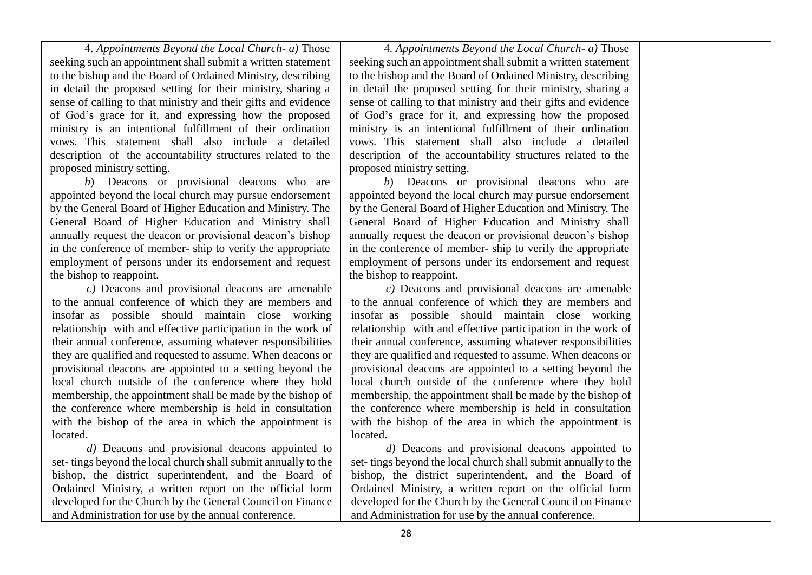4. *Appointments Beyond the Local Church- a)* Those seeking such an appointment shall submit a written statement to the bishop and the Board of Ordained Ministry, describing in detail the proposed setting for their ministry, sharing a sense of calling to that ministry and their gifts and evidence of God's grace for it, and expressing how the proposed ministry is an intentional fulfillment of their ordination vows. This statement shall also include a detailed description of the accountability structures related to the proposed ministry setting.

*b*) Deacons or provisional deacons who are appointed beyond the local church may pursue endorsement by the General Board of Higher Education and Ministry. The General Board of Higher Education and Ministry shall annually request the deacon or provisional deacon's bishop in the conference of member- ship to verify the appropriate employment of persons under its endorsement and request the bishop to reappoint.

*c)* Deacons and provisional deacons are amenable to the annual conference of which they are members and insofar as possible should maintain close working relationship with and effective participation in the work of their annual conference, assuming whatever responsibilities they are qualified and requested to assume. When deacons or provisional deacons are appointed to a setting beyond the local church outside of the conference where they hold membership, the appointment shall be made by the bishop of the conference where membership is held in consultation with the bishop of the area in which the appointment is located.

*d)* Deacons and provisional deacons appointed to set- tings beyond the local church shall submit annually to the bishop, the district superintendent, and the Board of Ordained Ministry, a written report on the official form developed for the Church by the General Council on Finance and Administration for use by the annual conference.

4. *Appointments Beyond the Local Church- a)* Those seeking such an appointment shall submit a written statement to the bishop and the Board of Ordained Ministry, describing in detail the proposed setting for their ministry, sharing a sense of calling to that ministry and their gifts and evidence of God's grace for it, and expressing how the proposed ministry is an intentional fulfillment of their ordination vows. This statement shall also include a detailed description of the accountability structures related to the proposed ministry setting.

*b*) Deacons or provisional deacons who are appointed beyond the local church may pursue endorsement by the General Board of Higher Education and Ministry. The General Board of Higher Education and Ministry shall annually request the deacon or provisional deacon's bishop in the conference of member- ship to verify the appropriate employment of persons under its endorsement and request the bishop to reappoint.

*c)* Deacons and provisional deacons are amenable to the annual conference of which they are members and insofar as possible should maintain close working relationship with and effective participation in the work of their annual conference, assuming whatever responsibilities they are qualified and requested to assume. When deacons or provisional deacons are appointed to a setting beyond the local church outside of the conference where they hold membership, the appointment shall be made by the bishop of the conference where membership is held in consultation with the bishop of the area in which the appointment is located.

*d)* Deacons and provisional deacons appointed to set- tings beyond the local church shall submit annually to the bishop, the district superintendent, and the Board of Ordained Ministry, a written report on the official form developed for the Church by the General Council on Finance and Administration for use by the annual conference.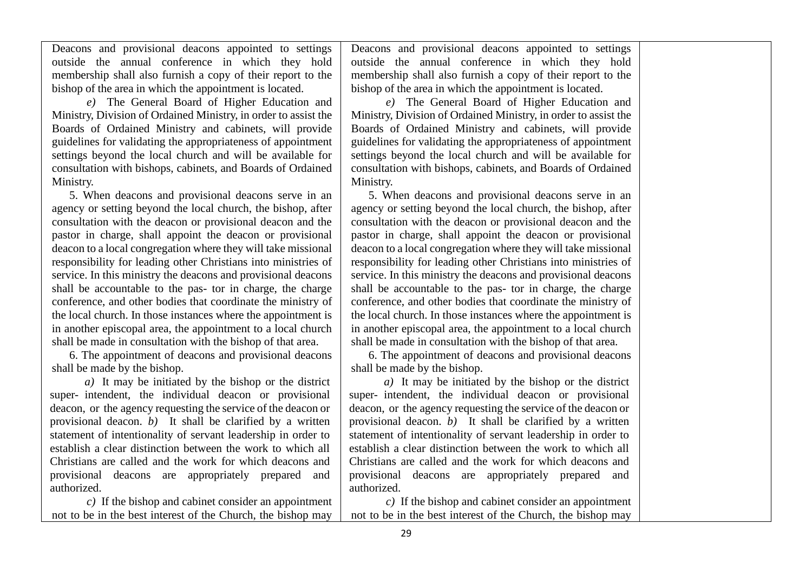Deacons and provisional deacons appointed to settings outside the annual conference in which they hold membership shall also furnish a copy of their report to the bishop of the area in which the appointment is located.

*e)* The General Board of Higher Education and Ministry, Division of Ordained Ministry, in order to assist the Boards of Ordained Ministry and cabinets, will provide guidelines for validating the appropriateness of appointment settings beyond the local church and will be available for consultation with bishops, cabinets, and Boards of Ordained Ministry.

5. When deacons and provisional deacons serve in an agency or setting beyond the local church, the bishop, after consultation with the deacon or provisional deacon and the pastor in charge, shall appoint the deacon or provisional deacon to a local congregation where they will take missional responsibility for leading other Christians into ministries of service. In this ministry the deacons and provisional deacons shall be accountable to the pas- tor in charge, the charge conference, and other bodies that coordinate the ministry of the local church. In those instances where the appointment is in another episcopal area, the appointment to a local church shall be made in consultation with the bishop of that area.

6. The appointment of deacons and provisional deacons shall be made by the bishop.

*a)* It may be initiated by the bishop or the district super- intendent, the individual deacon or provisional deacon, or the agency requesting the service of the deacon or provisional deacon. *b)* It shall be clarified by a written statement of intentionality of servant leadership in order to establish a clear distinction between the work to which all Christians are called and the work for which deacons and provisional deacons are appropriately prepared and authorized.

*c)* If the bishop and cabinet consider an appointment not to be in the best interest of the Church, the bishop may

Deacons and provisional deacons appointed to settings outside the annual conference in which they hold membership shall also furnish a copy of their report to the bishop of the area in which the appointment is located.

*e)* The General Board of Higher Education and Ministry, Division of Ordained Ministry, in order to assist the Boards of Ordained Ministry and cabinets, will provide guidelines for validating the appropriateness of appointment settings beyond the local church and will be available for consultation with bishops, cabinets, and Boards of Ordained Ministry.

5. When deacons and provisional deacons serve in an agency or setting beyond the local church, the bishop, after consultation with the deacon or provisional deacon and the pastor in charge, shall appoint the deacon or provisional deacon to a local congregation where they will take missional responsibility for leading other Christians into ministries of service. In this ministry the deacons and provisional deacons shall be accountable to the pas- tor in charge, the charge conference, and other bodies that coordinate the ministry of the local church. In those instances where the appointment is in another episcopal area, the appointment to a local church shall be made in consultation with the bishop of that area.

6. The appointment of deacons and provisional deacons shall be made by the bishop.

*a)* It may be initiated by the bishop or the district super- intendent, the individual deacon or provisional deacon, or the agency requesting the service of the deacon or provisional deacon. *b)* It shall be clarified by a written statement of intentionality of servant leadership in order to establish a clear distinction between the work to which all Christians are called and the work for which deacons and provisional deacons are appropriately prepared and authorized.

*c)* If the bishop and cabinet consider an appointment not to be in the best interest of the Church, the bishop may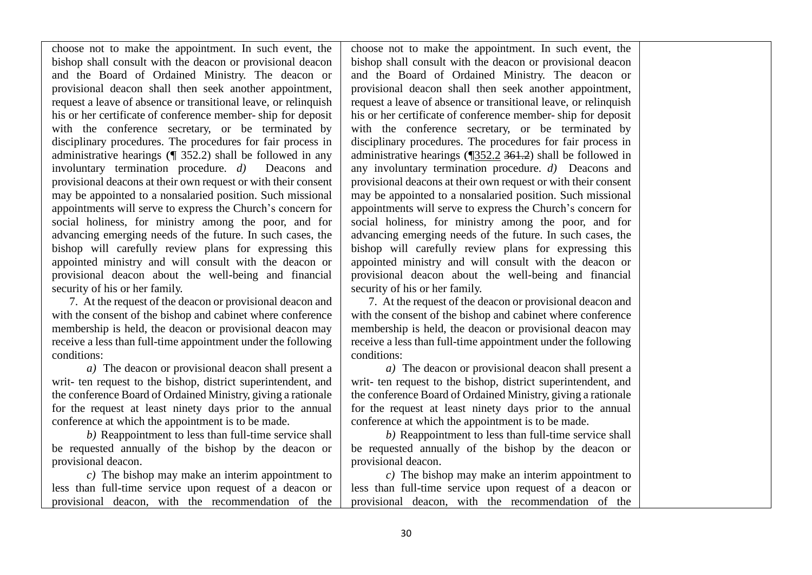choose not to make the appointment. In such event, the bishop shall consult with the deacon or provisional deacon and the Board of Ordained Ministry. The deacon or provisional deacon shall then seek another appointment, request a leave of absence or transitional leave, or relinquish his or her certificate of conference member- ship for deposit with the conference secretary, or be terminated by disciplinary procedures. The procedures for fair process in administrative hearings (¶ 352.2) shall be followed in any involuntary termination procedure. *d*) Deacons and provisional deacons at their own request or with their consent may be appointed to a nonsalaried position. Such missional appointments will serve to express the Church's concern for social holiness, for ministry among the poor, and for advancing emerging needs of the future. In such cases, the bishop will carefully review plans for expressing this appointed ministry and will consult with the deacon or provisional deacon about the well-being and financial security of his or her family.

7. At the request of the deacon or provisional deacon and with the consent of the bishop and cabinet where conference membership is held, the deacon or provisional deacon may receive a less than full-time appointment under the following conditions:

*a)* The deacon or provisional deacon shall present a writ- ten request to the bishop, district superintendent, and the conference Board of Ordained Ministry, giving a rationale for the request at least ninety days prior to the annual conference at which the appointment is to be made.

*b)* Reappointment to less than full-time service shall be requested annually of the bishop by the deacon or provisional deacon.

*c)* The bishop may make an interim appointment to less than full-time service upon request of a deacon or provisional deacon, with the recommendation of the choose not to make the appointment. In such event, the bishop shall consult with the deacon or provisional deacon and the Board of Ordained Ministry. The deacon or provisional deacon shall then seek another appointment, request a leave of absence or transitional leave, or relinquish his or her certificate of conference member- ship for deposit with the conference secretary, or be terminated by disciplinary procedures. The procedures for fair process in administrative hearings (¶352.2 361.2) shall be followed in any involuntary termination procedure. *d)* Deacons and provisional deacons at their own request or with their consent may be appointed to a nonsalaried position. Such missional appointments will serve to express the Church's concern for social holiness, for ministry among the poor, and for advancing emerging needs of the future. In such cases, the bishop will carefully review plans for expressing this appointed ministry and will consult with the deacon or provisional deacon about the well-being and financial security of his or her family.

7. At the request of the deacon or provisional deacon and with the consent of the bishop and cabinet where conference membership is held, the deacon or provisional deacon may receive a less than full-time appointment under the following conditions:

*a)* The deacon or provisional deacon shall present a writ- ten request to the bishop, district superintendent, and the conference Board of Ordained Ministry, giving a rationale for the request at least ninety days prior to the annual conference at which the appointment is to be made.

*b)* Reappointment to less than full-time service shall be requested annually of the bishop by the deacon or provisional deacon.

*c)* The bishop may make an interim appointment to less than full-time service upon request of a deacon or provisional deacon, with the recommendation of the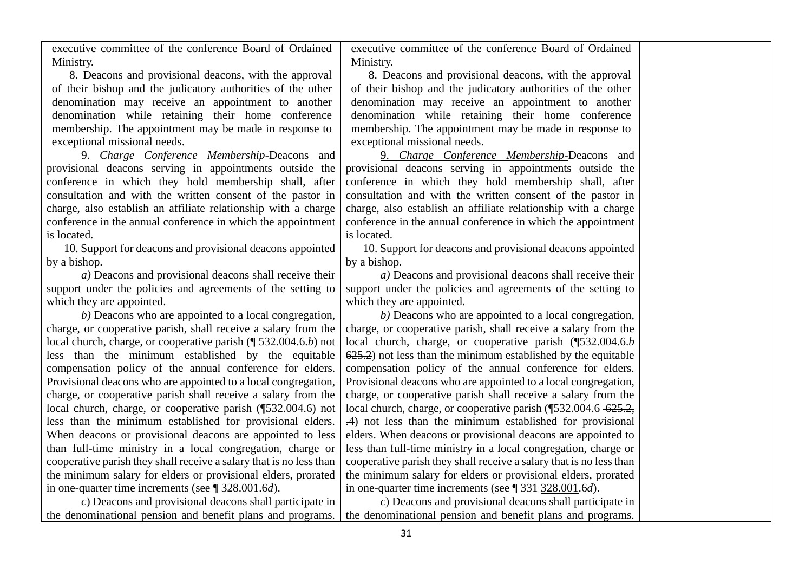executive committee of the conference Board of Ordained Ministry.

8. Deacons and provisional deacons, with the approval of their bishop and the judicatory authorities of the other denomination may receive an appointment to another denomination while retaining their home conference membership. The appointment may be made in response to exceptional missional needs.

9. *Charge Conference Membership-*Deacons and provisional deacons serving in appointments outside the conference in which they hold membership shall, after consultation and with the written consent of the pastor in charge, also establish an affiliate relationship with a charge conference in the annual conference in which the appointment is located.

10. Support for deacons and provisional deacons appointed by a bishop.

*a)* Deacons and provisional deacons shall receive their support under the policies and agreements of the setting to which they are appointed.

*b)* Deacons who are appointed to a local congregation, charge, or cooperative parish, shall receive a salary from the local church, charge, or cooperative parish (¶ 532.004.6.*b*) not less than the minimum established by the equitable compensation policy of the annual conference for elders. Provisional deacons who are appointed to a local congregation, charge, or cooperative parish shall receive a salary from the local church, charge, or cooperative parish (¶532.004.6) not less than the minimum established for provisional elders. When deacons or provisional deacons are appointed to less than full-time ministry in a local congregation, charge or cooperative parish they shall receive a salary that is no less than the minimum salary for elders or provisional elders, prorated in one-quarter time increments (see ¶ 328.001.6*d*).

*c*) Deacons and provisional deacons shall participate in the denominational pension and benefit plans and programs.

executive committee of the conference Board of Ordained Ministry.

8. Deacons and provisional deacons, with the approval of their bishop and the judicatory authorities of the other denomination may receive an appointment to another denomination while retaining their home conference membership. The appointment may be made in response to exceptional missional needs.

9. *Charge Conference Membership-*Deacons and provisional deacons serving in appointments outside the conference in which they hold membership shall, after consultation and with the written consent of the pastor in charge, also establish an affiliate relationship with a charge conference in the annual conference in which the appointment is located.

10. Support for deacons and provisional deacons appointed by a bishop.

*a)* Deacons and provisional deacons shall receive their support under the policies and agreements of the setting to which they are appointed.

*b)* Deacons who are appointed to a local congregation, charge, or cooperative parish, shall receive a salary from the local church, charge, or cooperative parish (¶532.004.6.*b*  $625.2$ ) not less than the minimum established by the equitable compensation policy of the annual conference for elders. Provisional deacons who are appointed to a local congregation, charge, or cooperative parish shall receive a salary from the local church, charge, or cooperative parish (¶532.004.6 <del>625.2,</del> .4) not less than the minimum established for provisional elders. When deacons or provisional deacons are appointed to less than full-time ministry in a local congregation, charge or cooperative parish they shall receive a salary that is no less than the minimum salary for elders or provisional elders, prorated in one-quarter time increments (see ¶ 331 328.001.6*d*).

*c*) Deacons and provisional deacons shall participate in the denominational pension and benefit plans and programs.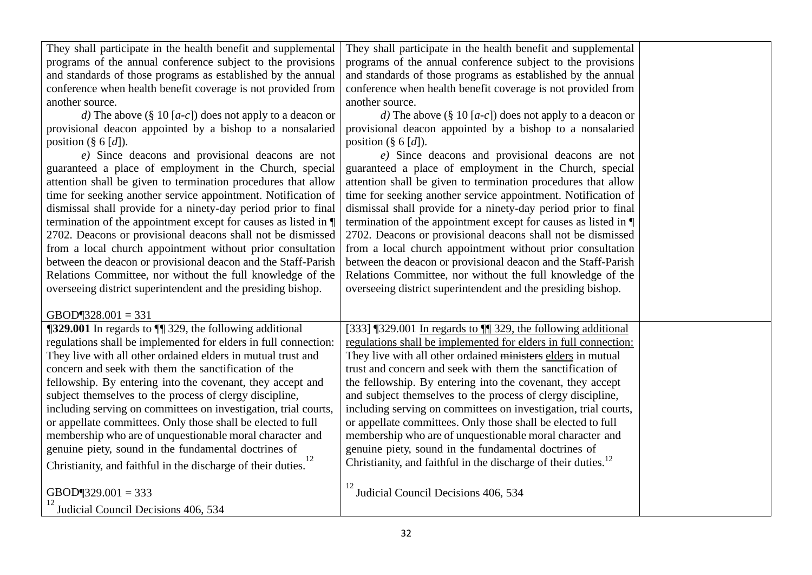| They shall participate in the health benefit and supplemental              | They shall participate in the health benefit and supplemental              |  |
|----------------------------------------------------------------------------|----------------------------------------------------------------------------|--|
| programs of the annual conference subject to the provisions                | programs of the annual conference subject to the provisions                |  |
| and standards of those programs as established by the annual               | and standards of those programs as established by the annual               |  |
| conference when health benefit coverage is not provided from               | conference when health benefit coverage is not provided from               |  |
| another source.                                                            | another source.                                                            |  |
| d) The above (§ 10 [a-c]) does not apply to a deacon or                    | d) The above (§ 10 [a-c]) does not apply to a deacon or                    |  |
| provisional deacon appointed by a bishop to a nonsalaried                  | provisional deacon appointed by a bishop to a nonsalaried                  |  |
| position $(\S 6[d])$ .                                                     | position $(\S 6[d])$ .                                                     |  |
| $e$ ) Since deacons and provisional deacons are not                        | $e$ ) Since deacons and provisional deacons are not                        |  |
| guaranteed a place of employment in the Church, special                    | guaranteed a place of employment in the Church, special                    |  |
| attention shall be given to termination procedures that allow              | attention shall be given to termination procedures that allow              |  |
| time for seeking another service appointment. Notification of              | time for seeking another service appointment. Notification of              |  |
| dismissal shall provide for a ninety-day period prior to final             | dismissal shall provide for a ninety-day period prior to final             |  |
| termination of the appointment except for causes as listed in $\P$         | termination of the appointment except for causes as listed in $\P$         |  |
| 2702. Deacons or provisional deacons shall not be dismissed                | 2702. Deacons or provisional deacons shall not be dismissed                |  |
| from a local church appointment without prior consultation                 | from a local church appointment without prior consultation                 |  |
| between the deacon or provisional deacon and the Staff-Parish              | between the deacon or provisional deacon and the Staff-Parish              |  |
| Relations Committee, nor without the full knowledge of the                 | Relations Committee, nor without the full knowledge of the                 |  |
| overseeing district superintendent and the presiding bishop.               | overseeing district superintendent and the presiding bishop.               |  |
|                                                                            |                                                                            |  |
| $GBOD$ 328.001 = 331                                                       |                                                                            |  |
| ¶329.001 In regards to ¶¶ 329, the following additional                    | [333] [329.001 In regards to [[ 329, the following additional              |  |
| regulations shall be implemented for elders in full connection:            | regulations shall be implemented for elders in full connection:            |  |
| They live with all other ordained elders in mutual trust and               | They live with all other ordained ministers elders in mutual               |  |
| concern and seek with them the sanctification of the                       | trust and concern and seek with them the sanctification of                 |  |
| fellowship. By entering into the covenant, they accept and                 | the fellowship. By entering into the covenant, they accept                 |  |
| subject themselves to the process of clergy discipline,                    | and subject themselves to the process of clergy discipline,                |  |
| including serving on committees on investigation, trial courts,            | including serving on committees on investigation, trial courts,            |  |
| or appellate committees. Only those shall be elected to full               | or appellate committees. Only those shall be elected to full               |  |
| membership who are of unquestionable moral character and                   | membership who are of unquestionable moral character and                   |  |
| genuine piety, sound in the fundamental doctrines of                       | genuine piety, sound in the fundamental doctrines of                       |  |
| Christianity, and faithful in the discharge of their duties. <sup>12</sup> | Christianity, and faithful in the discharge of their duties. <sup>12</sup> |  |
| $GBOD$ 329.001 = 333                                                       | Judicial Council Decisions 406, 534                                        |  |
|                                                                            |                                                                            |  |
| Judicial Council Decisions 406, 534                                        |                                                                            |  |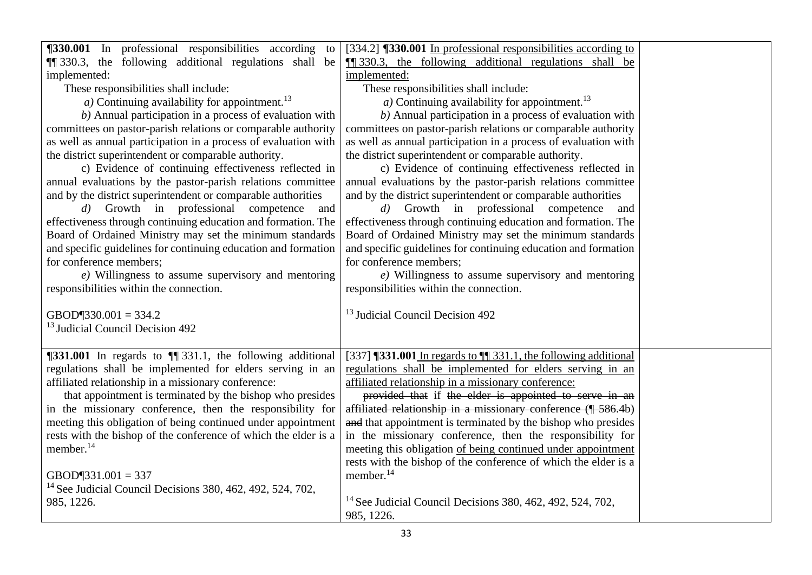| ¶330.001 In professional responsibilities according to                   | [334.2] <b>[330.001</b> In professional responsibilities according to |  |
|--------------------------------------------------------------------------|-----------------------------------------------------------------------|--|
| <b>II</b> 330.3, the following additional regulations shall be           | <b>II</b> 330.3, the following additional regulations shall be        |  |
| implemented:                                                             | implemented:                                                          |  |
| These responsibilities shall include:                                    | These responsibilities shall include:                                 |  |
| $a)$ Continuing availability for appointment. <sup>13</sup>              | a) Continuing availability for appointment. <sup>13</sup>             |  |
| $b)$ Annual participation in a process of evaluation with                | $b)$ Annual participation in a process of evaluation with             |  |
| committees on pastor-parish relations or comparable authority            | committees on pastor-parish relations or comparable authority         |  |
| as well as annual participation in a process of evaluation with          | as well as annual participation in a process of evaluation with       |  |
| the district superintendent or comparable authority.                     | the district superintendent or comparable authority.                  |  |
| c) Evidence of continuing effectiveness reflected in                     | c) Evidence of continuing effectiveness reflected in                  |  |
| annual evaluations by the pastor-parish relations committee              | annual evaluations by the pastor-parish relations committee           |  |
| and by the district superintendent or comparable authorities             | and by the district superintendent or comparable authorities          |  |
| d) Growth in professional competence<br>and                              | d) Growth in professional competence<br>and                           |  |
| effectiveness through continuing education and formation. The            | effectiveness through continuing education and formation. The         |  |
| Board of Ordained Ministry may set the minimum standards                 | Board of Ordained Ministry may set the minimum standards              |  |
| and specific guidelines for continuing education and formation           | and specific guidelines for continuing education and formation        |  |
| for conference members:                                                  | for conference members:                                               |  |
| $e$ ) Willingness to assume supervisory and mentoring                    | $e$ ) Willingness to assume supervisory and mentoring                 |  |
| responsibilities within the connection.                                  | responsibilities within the connection.                               |  |
|                                                                          |                                                                       |  |
| GBOD¶330.001 = 334.2                                                     | <sup>13</sup> Judicial Council Decision 492                           |  |
| <sup>13</sup> Judicial Council Decision 492                              |                                                                       |  |
|                                                                          |                                                                       |  |
| <b>[331.001</b> In regards to <b>[</b> [ 331.1, the following additional | [337] $\P$ 331.001 In regards to $\P$ 331.1, the following additional |  |
| regulations shall be implemented for elders serving in an                | regulations shall be implemented for elders serving in an             |  |
| affiliated relationship in a missionary conference:                      | affiliated relationship in a missionary conference:                   |  |
| that appointment is terminated by the bishop who presides                | provided that if the elder is appointed to serve in an                |  |
| in the missionary conference, then the responsibility for                | affiliated relationship in a missionary conference (¶ 586.4b)         |  |
| meeting this obligation of being continued under appointment             | and that appointment is terminated by the bishop who presides         |  |
| rests with the bishop of the conference of which the elder is a          | in the missionary conference, then the responsibility for             |  |
| member. <sup>14</sup>                                                    | meeting this obligation of being continued under appointment          |  |
|                                                                          | rests with the bishop of the conference of which the elder is a       |  |
| $GBOD$ [331.001 = 337                                                    | member. <sup>14</sup>                                                 |  |
| <sup>14</sup> See Judicial Council Decisions 380, 462, 492, 524, 702,    |                                                                       |  |
| 985, 1226.                                                               | <sup>14</sup> See Judicial Council Decisions 380, 462, 492, 524, 702, |  |
|                                                                          | 985, 1226.                                                            |  |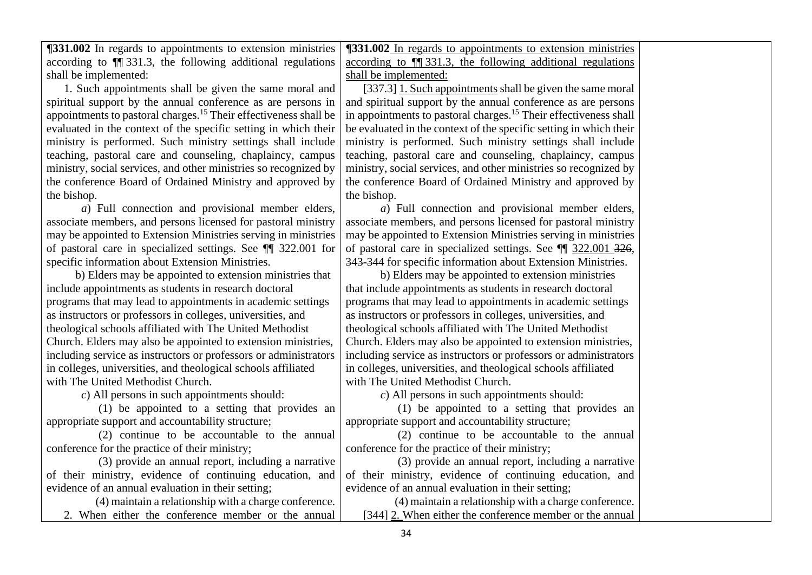$\P$ **331.002** In regards to appointments to extension ministries according to ¶¶ 331.3, the following additional regulations shall be implemented:

1. Such appointments shall be given the same moral and spiritual support by the annual conference as are persons in appointments to pastoral charges.<sup>15</sup> Their effectiveness shall be evaluated in the context of the specific setting in which their ministry is performed. Such ministry settings shall include teaching, pastoral care and counseling, chaplaincy, campus ministry, social services, and other ministries so recognized by the conference Board of Ordained Ministry and approved by the bishop.

*a*) Full connection and provisional member elders, associate members, and persons licensed for pastoral ministry may be appointed to Extension Ministries serving in ministries of pastoral care in specialized settings. See ¶¶ 322.001 for specific information about Extension Ministries.

 b) Elders may be appointed to extension ministries that include appointments as students in research doctoral programs that may lead to appointments in academic settings as instructors or professors in colleges, universities, and theological schools affiliated with The United Methodist Church. Elders may also be appointed to extension ministries, including service as instructors or professors or administrators in colleges, universities, and theological schools affiliated with The United Methodist Church.

*c*) All persons in such appointments should:

(1) be appointed to a setting that provides an appropriate support and accountability structure;

(2) continue to be accountable to the annual conference for the practice of their ministry;

(3) provide an annual report, including a narrative of their ministry, evidence of continuing education, and evidence of an annual evaluation in their setting;

(4) maintain a relationship with a charge conference. 2. When either the conference member or the annual

 $\P$ **331.002** In regards to appointments to extension ministries according to ¶¶ 331.3, the following additional regulations shall be implemented:

[337.3] 1. Such appointments shall be given the same moral and spiritual support by the annual conference as are persons in appointments to pastoral charges.<sup>15</sup> Their effectiveness shall be evaluated in the context of the specific setting in which their ministry is performed. Such ministry settings shall include teaching, pastoral care and counseling, chaplaincy, campus ministry, social services, and other ministries so recognized by the conference Board of Ordained Ministry and approved by the bishop.

*a*) Full connection and provisional member elders, associate members, and persons licensed for pastoral ministry may be appointed to Extension Ministries serving in ministries of pastoral care in specialized settings. See ¶¶ 322.001 326, 343-344 for specific information about Extension Ministries.

 b) Elders may be appointed to extension ministries that include appointments as students in research doctoral programs that may lead to appointments in academic settings as instructors or professors in colleges, universities, and theological schools affiliated with The United Methodist Church. Elders may also be appointed to extension ministries, including service as instructors or professors or administrators in colleges, universities, and theological schools affiliated with The United Methodist Church.

*c*) All persons in such appointments should:

(1) be appointed to a setting that provides an appropriate support and accountability structure;

(2) continue to be accountable to the annual conference for the practice of their ministry;

(3) provide an annual report, including a narrative of their ministry, evidence of continuing education, and evidence of an annual evaluation in their setting;

(4) maintain a relationship with a charge conference. [344] 2. When either the conference member or the annual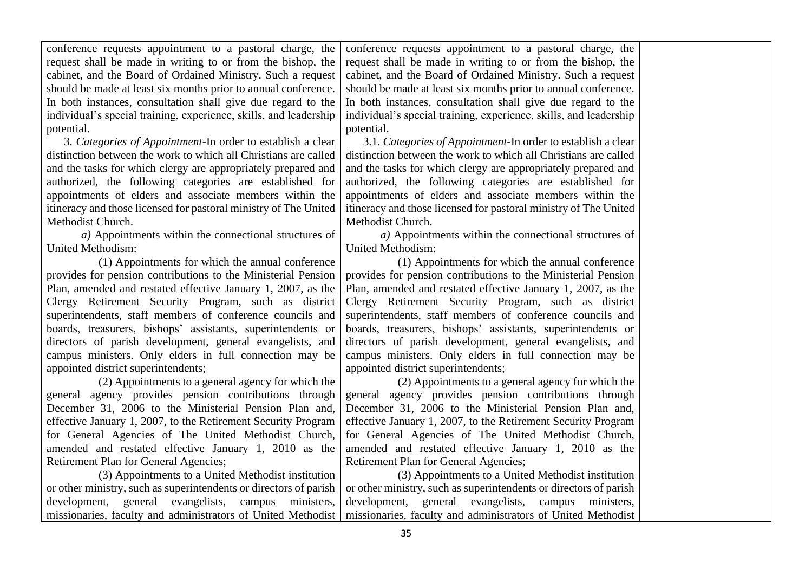conference requests appointment to a pastoral charge, the request shall be made in writing to or from the bishop, the cabinet, and the Board of Ordained Ministry. Such a request should be made at least six months prior to annual conference. In both instances, consultation shall give due regard to the individual's special training, experience, skills, and leadership potential.

3. *Categories of Appointment*-In order to establish a clear distinction between the work to which all Christians are called and the tasks for which clergy are appropriately prepared and authorized, the following categories are established for appointments of elders and associate members within the itineracy and those licensed for pastoral ministry of The United Methodist Church.

*a)* Appointments within the connectional structures of United Methodism:

(1) Appointments for which the annual conference provides for pension contributions to the Ministerial Pension Plan, amended and restated effective January 1, 2007, as the Clergy Retirement Security Program, such as district superintendents, staff members of conference councils and boards, treasurers, bishops' assistants, superintendents or directors of parish development, general evangelists, and campus ministers. Only elders in full connection may be appointed district superintendents;

(2) Appointments to a general agency for which the general agency provides pension contributions through December 31, 2006 to the Ministerial Pension Plan and, effective January 1, 2007, to the Retirement Security Program for General Agencies of The United Methodist Church, amended and restated effective January 1, 2010 as the Retirement Plan for General Agencies;

(3) Appointments to a United Methodist institution or other ministry, such as superintendents or directors of parish development, general evangelists, campus ministers, missionaries, faculty and administrators of United Methodist

conference requests appointment to a pastoral charge, the request shall be made in writing to or from the bishop, the cabinet, and the Board of Ordained Ministry. Such a request should be made at least six months prior to annual conference. In both instances, consultation shall give due regard to the individual's special training, experience, skills, and leadership potential.

3.1. *Categories of Appointment*-In order to establish a clear distinction between the work to which all Christians are called and the tasks for which clergy are appropriately prepared and authorized, the following categories are established for appointments of elders and associate members within the itineracy and those licensed for pastoral ministry of The United Methodist Church.

*a)* Appointments within the connectional structures of United Methodism:

(1) Appointments for which the annual conference provides for pension contributions to the Ministerial Pension Plan, amended and restated effective January 1, 2007, as the Clergy Retirement Security Program, such as district superintendents, staff members of conference councils and boards, treasurers, bishops' assistants, superintendents or directors of parish development, general evangelists, and campus ministers. Only elders in full connection may be appointed district superintendents;

(2) Appointments to a general agency for which the general agency provides pension contributions through December 31, 2006 to the Ministerial Pension Plan and, effective January 1, 2007, to the Retirement Security Program for General Agencies of The United Methodist Church, amended and restated effective January 1, 2010 as the Retirement Plan for General Agencies;

(3) Appointments to a United Methodist institution or other ministry, such as superintendents or directors of parish development, general evangelists, campus ministers, missionaries, faculty and administrators of United Methodist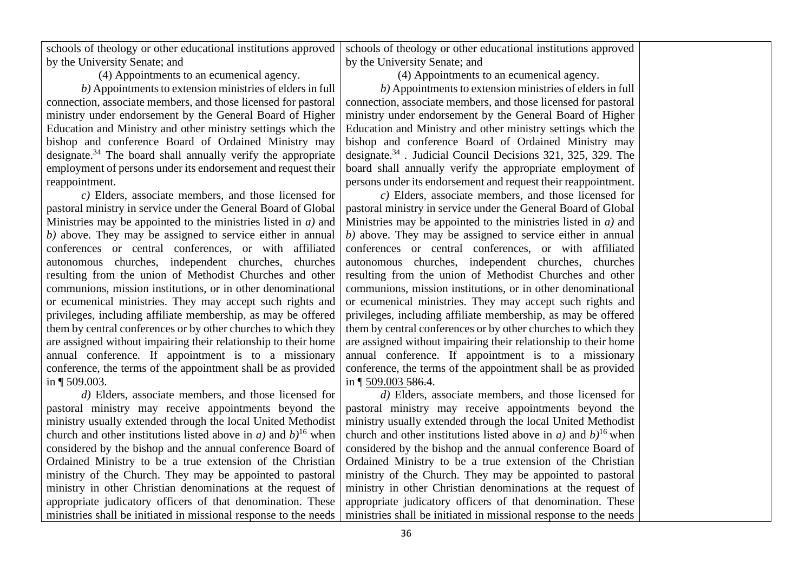schools of theology or other educational institutions approved by the University Senate; and schools of theology or other educational institutions approved by the University Senate; and

(4) Appointments to an ecumenical agency.

*b)* Appointments to extension ministries of elders in full connection, associate members, and those licensed for pastoral ministry under endorsement by the General Board of Higher Education and Ministry and other ministry settings which the bishop and conference Board of Ordained Ministry may designate.<sup>34</sup> The board shall annually verify the appropriate employment of persons under its endorsement and request their reappointment.

*c)* Elders, associate members, and those licensed for pastoral ministry in service under the General Board of Global Ministries may be appointed to the ministries listed in *a)* and *b)* above. They may be assigned to service either in annual conferences or central conferences, or with affiliated autonomous churches, independent churches, churches resulting from the union of Methodist Churches and other communions, mission institutions, or in other denominational or ecumenical ministries. They may accept such rights and privileges, including affiliate membership, as may be offered them by central conferences or by other churches to which they are assigned without impairing their relationship to their home annual conference. If appointment is to a missionary conference, the terms of the appointment shall be as provided in ¶ 509.003.

*d*) Elders, associate members, and those licensed for pastoral ministry may receive appointments beyond the ministry usually extended through the local United Methodist church and other institutions listed above in *a*) and  $b$ <sup>16</sup> when considered by the bishop and the annual conference Board of Ordained Ministry to be a true extension of the Christian ministry of the Church. They may be appointed to pastoral ministry in other Christian denominations at the request of appropriate judicatory officers of that denomination. These ministries shall be initiated in missional response to the needs

(4) Appointments to an ecumenical agency.

*b)* Appointments to extension ministries of elders in full connection, associate members, and those licensed for pastoral ministry under endorsement by the General Board of Higher Education and Ministry and other ministry settings which the bishop and conference Board of Ordained Ministry may designate.<sup>34</sup>. Judicial Council Decisions 321, 325, 329. The board shall annually verify the appropriate employment of persons under its endorsement and request their reappointment.

*c)* Elders, associate members, and those licensed for pastoral ministry in service under the General Board of Global Ministries may be appointed to the ministries listed in *a)* and *b)* above. They may be assigned to service either in annual conferences or central conferences, or with affiliated autonomous churches, independent churches, churches resulting from the union of Methodist Churches and other communions, mission institutions, or in other denominational or ecumenical ministries. They may accept such rights and privileges, including affiliate membership, as may be offered them by central conferences or by other churches to which they are assigned without impairing their relationship to their home annual conference. If appointment is to a missionary conference, the terms of the appointment shall be as provided in ¶ 509.003 586.4.

*d*) Elders, associate members, and those licensed for pastoral ministry may receive appointments beyond the ministry usually extended through the local United Methodist church and other institutions listed above in *a*) and  $b$ <sup>16</sup> when considered by the bishop and the annual conference Board of Ordained Ministry to be a true extension of the Christian ministry of the Church. They may be appointed to pastoral ministry in other Christian denominations at the request of appropriate judicatory officers of that denomination. These ministries shall be initiated in missional response to the needs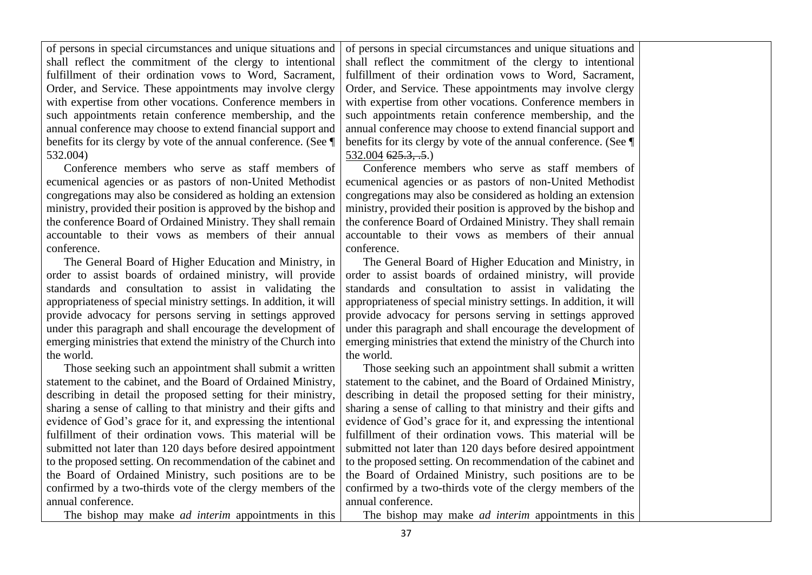of persons in special circumstances and unique situations and shall reflect the commitment of the clergy to intentional fulfillment of their ordination vows to Word, Sacrament, Order, and Service. These appointments may involve clergy with expertise from other vocations. Conference members in such appointments retain conference membership, and the annual conference may choose to extend financial support and benefits for its clergy by vote of the annual conference. (See ¶ 532.004)

Conference members who serve as staff members of ecumenical agencies or as pastors of non-United Methodist congregations may also be considered as holding an extension ministry, provided their position is approved by the bishop and the conference Board of Ordained Ministry. They shall remain accountable to their vows as members of their annual conference.

The General Board of Higher Education and Ministry, in order to assist boards of ordained ministry, will provide standards and consultation to assist in validating the appropriateness of special ministry settings. In addition, it will provide advocacy for persons serving in settings approved under this paragraph and shall encourage the development of emerging ministries that extend the ministry of the Church into the world.

Those seeking such an appointment shall submit a written statement to the cabinet, and the Board of Ordained Ministry, describing in detail the proposed setting for their ministry, sharing a sense of calling to that ministry and their gifts and evidence of God's grace for it, and expressing the intentional fulfillment of their ordination vows. This material will be submitted not later than 120 days before desired appointment to the proposed setting. On recommendation of the cabinet and the Board of Ordained Ministry, such positions are to be confirmed by a two-thirds vote of the clergy members of the annual conference.

The bishop may make *ad interim* appointments in this

of persons in special circumstances and unique situations and shall reflect the commitment of the clergy to intentional fulfillment of their ordination vows to Word, Sacrament, Order, and Service. These appointments may involve clergy with expertise from other vocations. Conference members in such appointments retain conference membership, and the annual conference may choose to extend financial support and benefits for its clergy by vote of the annual conference. (See ¶ 532.004 625.3, .5.)

Conference members who serve as staff members of ecumenical agencies or as pastors of non-United Methodist congregations may also be considered as holding an extension ministry, provided their position is approved by the bishop and the conference Board of Ordained Ministry. They shall remain accountable to their vows as members of their annual conference.

The General Board of Higher Education and Ministry, in order to assist boards of ordained ministry, will provide standards and consultation to assist in validating the appropriateness of special ministry settings. In addition, it will provide advocacy for persons serving in settings approved under this paragraph and shall encourage the development of emerging ministries that extend the ministry of the Church into the world.

Those seeking such an appointment shall submit a written statement to the cabinet, and the Board of Ordained Ministry, describing in detail the proposed setting for their ministry, sharing a sense of calling to that ministry and their gifts and evidence of God's grace for it, and expressing the intentional fulfillment of their ordination vows. This material will be submitted not later than 120 days before desired appointment to the proposed setting. On recommendation of the cabinet and the Board of Ordained Ministry, such positions are to be confirmed by a two-thirds vote of the clergy members of the annual conference.

The bishop may make *ad interim* appointments in this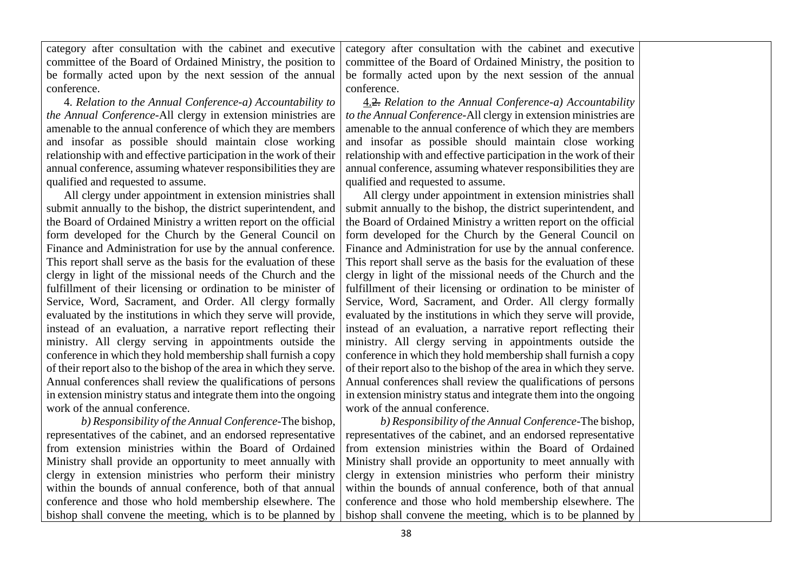category after consultation with the cabinet and executive committee of the Board of Ordained Ministry, the position to be formally acted upon by the next session of the annual conference.

4. *Relation to the Annual Conference*-*a) Accountability to the Annual Conference*-All clergy in extension ministries are amenable to the annual conference of which they are members and insofar as possible should maintain close working relationship with and effective participation in the work of their annual conference, assuming whatever responsibilities they are qualified and requested to assume.

All clergy under appointment in extension ministries shall submit annually to the bishop, the district superintendent, and the Board of Ordained Ministry a written report on the official form developed for the Church by the General Council on Finance and Administration for use by the annual conference. This report shall serve as the basis for the evaluation of these clergy in light of the missional needs of the Church and the fulfillment of their licensing or ordination to be minister of Service, Word, Sacrament, and Order. All clergy formally evaluated by the institutions in which they serve will provide, instead of an evaluation, a narrative report reflecting their ministry. All clergy serving in appointments outside the conference in which they hold membership shall furnish a copy of their report also to the bishop of the area in which they serve. Annual conferences shall review the qualifications of persons in extension ministry status and integrate them into the ongoing work of the annual conference.

*b) Responsibility of the Annual Conference*-The bishop, representatives of the cabinet, and an endorsed representative from extension ministries within the Board of Ordained Ministry shall provide an opportunity to meet annually with clergy in extension ministries who perform their ministry within the bounds of annual conference, both of that annual conference and those who hold membership elsewhere. The bishop shall convene the meeting, which is to be planned by

category after consultation with the cabinet and executive committee of the Board of Ordained Ministry, the position to be formally acted upon by the next session of the annual conference.

4.2. *Relation to the Annual Conference*-*a) Accountability to the Annual Conference*-All clergy in extension ministries are amenable to the annual conference of which they are members and insofar as possible should maintain close working relationship with and effective participation in the work of their annual conference, assuming whatever responsibilities they are qualified and requested to assume.

All clergy under appointment in extension ministries shall submit annually to the bishop, the district superintendent, and the Board of Ordained Ministry a written report on the official form developed for the Church by the General Council on Finance and Administration for use by the annual conference. This report shall serve as the basis for the evaluation of these clergy in light of the missional needs of the Church and the fulfillment of their licensing or ordination to be minister of Service, Word, Sacrament, and Order. All clergy formally evaluated by the institutions in which they serve will provide, instead of an evaluation, a narrative report reflecting their ministry. All clergy serving in appointments outside the conference in which they hold membership shall furnish a copy of their report also to the bishop of the area in which they serve. Annual conferences shall review the qualifications of persons in extension ministry status and integrate them into the ongoing work of the annual conference.

*b) Responsibility of the Annual Conference*-The bishop, representatives of the cabinet, and an endorsed representative from extension ministries within the Board of Ordained Ministry shall provide an opportunity to meet annually with clergy in extension ministries who perform their ministry within the bounds of annual conference, both of that annual conference and those who hold membership elsewhere. The bishop shall convene the meeting, which is to be planned by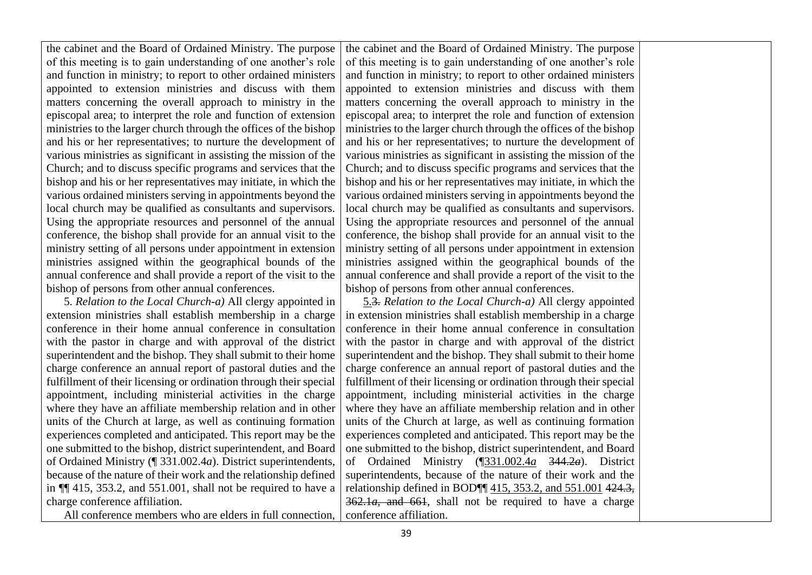the cabinet and the Board of Ordained Ministry. The purpose of this meeting is to gain understanding of one another's role and function in ministry; to report to other ordained ministers appointed to extension ministries and discuss with them matters concerning the overall approach to ministry in the episcopal area; to interpret the role and function of extension ministries to the larger church through the offices of the bishop and his or her representatives; to nurture the development of various ministries as significant in assisting the mission of the Church; and to discuss specific programs and services that the bishop and his or her representatives may initiate, in which the various ordained ministers serving in appointments beyond the local church may be qualified as consultants and supervisors. Using the appropriate resources and personnel of the annual conference, the bishop shall provide for an annual visit to the ministry setting of all persons under appointment in extension ministries assigned within the geographical bounds of the annual conference and shall provide a report of the visit to the bishop of persons from other annual conferences.

5. *Relation to the Local Church*-*a)* All clergy appointed in extension ministries shall establish membership in a charge conference in their home annual conference in consultation with the pastor in charge and with approval of the district superintendent and the bishop. They shall submit to their home charge conference an annual report of pastoral duties and the fulfillment of their licensing or ordination through their special appointment, including ministerial activities in the charge where they have an affiliate membership relation and in other units of the Church at large, as well as continuing formation experiences completed and anticipated. This report may be the one submitted to the bishop, district superintendent, and Board of Ordained Ministry (¶ 331.002.4*a*). District superintendents, because of the nature of their work and the relationship defined in ¶¶ 415, 353.2*,* and 551.001, shall not be required to have a charge conference affiliation.

All conference members who are elders in full connection,

the cabinet and the Board of Ordained Ministry. The purpose of this meeting is to gain understanding of one another's role and function in ministry; to report to other ordained ministers appointed to extension ministries and discuss with them matters concerning the overall approach to ministry in the episcopal area; to interpret the role and function of extension ministries to the larger church through the offices of the bishop and his or her representatives; to nurture the development of various ministries as significant in assisting the mission of the Church; and to discuss specific programs and services that the bishop and his or her representatives may initiate, in which the various ordained ministers serving in appointments beyond the local church may be qualified as consultants and supervisors. Using the appropriate resources and personnel of the annual conference, the bishop shall provide for an annual visit to the ministry setting of all persons under appointment in extension ministries assigned within the geographical bounds of the annual conference and shall provide a report of the visit to the bishop of persons from other annual conferences.

5.3. *Relation to the Local Church*-*a)* All clergy appointed in extension ministries shall establish membership in a charge conference in their home annual conference in consultation with the pastor in charge and with approval of the district superintendent and the bishop. They shall submit to their home charge conference an annual report of pastoral duties and the fulfillment of their licensing or ordination through their special appointment, including ministerial activities in the charge where they have an affiliate membership relation and in other units of the Church at large, as well as continuing formation experiences completed and anticipated. This report may be the one submitted to the bishop, district superintendent, and Board of Ordained Ministry (¶331.002.4*a* 344.2*a*). District superintendents, because of the nature of their work and the relationship defined in BOD¶¶ 415, 353.2*,* and 551.001 424.3, 362.1*a,* and 661, shall not be required to have a charge conference affiliation.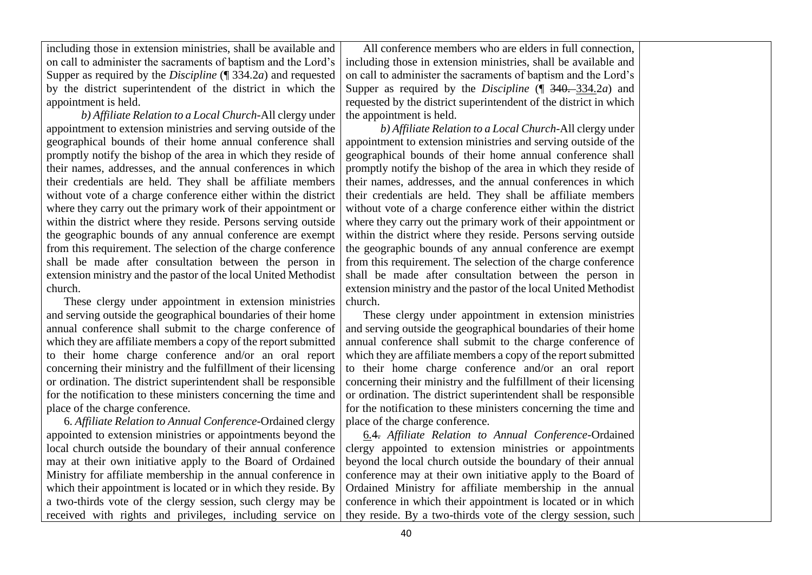including those in extension ministries, shall be available and on call to administer the sacraments of baptism and the Lord's Supper as required by the *Discipline* (¶ 334.2*a*) and requested by the district superintendent of the district in which the appointment is held.

*b) Affiliate Relation to a Local Church*-All clergy under appointment to extension ministries and serving outside of the geographical bounds of their home annual conference shall promptly notify the bishop of the area in which they reside of their names, addresses, and the annual conferences in which their credentials are held. They shall be affiliate members without vote of a charge conference either within the district where they carry out the primary work of their appointment or within the district where they reside. Persons serving outside the geographic bounds of any annual conference are exempt from this requirement. The selection of the charge conference shall be made after consultation between the person in extension ministry and the pastor of the local United Methodist church.

These clergy under appointment in extension ministries and serving outside the geographical boundaries of their home annual conference shall submit to the charge conference of which they are affiliate members a copy of the report submitted to their home charge conference and/or an oral report concerning their ministry and the fulfillment of their licensing or ordination. The district superintendent shall be responsible for the notification to these ministers concerning the time and place of the charge conference.

6. *Affiliate Relation to Annual Conference*-Ordained clergy appointed to extension ministries or appointments beyond the local church outside the boundary of their annual conference may at their own initiative apply to the Board of Ordained Ministry for affiliate membership in the annual conference in which their appointment is located or in which they reside. By a two-thirds vote of the clergy session, such clergy may be received with rights and privileges, including service on

All conference members who are elders in full connection, including those in extension ministries, shall be available and on call to administer the sacraments of baptism and the Lord's Supper as required by the *Discipline* (¶ 340. 334.2*a*) and requested by the district superintendent of the district in which the appointment is held.

*b) Affiliate Relation to a Local Church*-All clergy under appointment to extension ministries and serving outside of the geographical bounds of their home annual conference shall promptly notify the bishop of the area in which they reside of their names, addresses, and the annual conferences in which their credentials are held. They shall be affiliate members without vote of a charge conference either within the district where they carry out the primary work of their appointment or within the district where they reside. Persons serving outside the geographic bounds of any annual conference are exempt from this requirement. The selection of the charge conference shall be made after consultation between the person in extension ministry and the pastor of the local United Methodist church.

These clergy under appointment in extension ministries and serving outside the geographical boundaries of their home annual conference shall submit to the charge conference of which they are affiliate members a copy of the report submitted to their home charge conference and/or an oral report concerning their ministry and the fulfillment of their licensing or ordination. The district superintendent shall be responsible for the notification to these ministers concerning the time and place of the charge conference.

6.4. *Affiliate Relation to Annual Conference*-Ordained clergy appointed to extension ministries or appointments beyond the local church outside the boundary of their annual conference may at their own initiative apply to the Board of Ordained Ministry for affiliate membership in the annual conference in which their appointment is located or in which they reside. By a two-thirds vote of the clergy session, such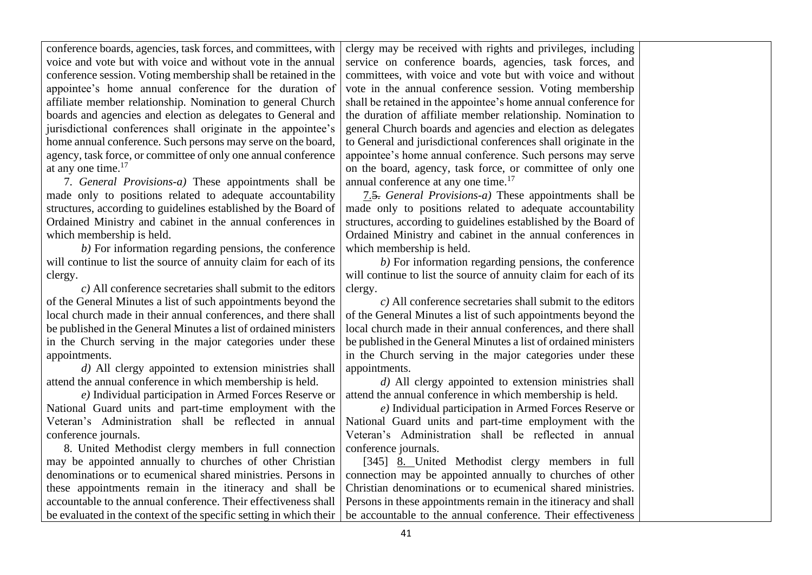conference boards, agencies, task forces, and committees, with voice and vote but with voice and without vote in the annual conference session. Voting membership shall be retained in the appointee's home annual conference for the duration of affiliate member relationship. Nomination to general Church boards and agencies and election as delegates to General and jurisdictional conferences shall originate in the appointee's home annual conference. Such persons may serve on the board, agency, task force, or committee of only one annual conference at any one time.<sup>17</sup>

7. *General Provisions*-*a)* These appointments shall be made only to positions related to adequate accountability structures, according to guidelines established by the Board of Ordained Ministry and cabinet in the annual conferences in which membership is held.

*b)* For information regarding pensions, the conference will continue to list the source of annuity claim for each of its clergy.

*c)* All conference secretaries shall submit to the editors of the General Minutes a list of such appointments beyond the local church made in their annual conferences, and there shall be published in the General Minutes a list of ordained ministers in the Church serving in the major categories under these appointments.

*d)* All clergy appointed to extension ministries shall attend the annual conference in which membership is held.

*e)* Individual participation in Armed Forces Reserve or National Guard units and part-time employment with the Veteran's Administration shall be reflected in annual conference journals.

8. United Methodist clergy members in full connection may be appointed annually to churches of other Christian denominations or to ecumenical shared ministries. Persons in these appointments remain in the itineracy and shall be accountable to the annual conference. Their effectiveness shall be evaluated in the context of the specific setting in which their

clergy may be received with rights and privileges, including service on conference boards, agencies, task forces, and committees, with voice and vote but with voice and without vote in the annual conference session. Voting membership shall be retained in the appointee's home annual conference for the duration of affiliate member relationship. Nomination to general Church boards and agencies and election as delegates to General and jurisdictional conferences shall originate in the appointee's home annual conference. Such persons may serve on the board, agency, task force, or committee of only one annual conference at any one time.<sup>17</sup>

7.5. *General Provisions*-*a)* These appointments shall be made only to positions related to adequate accountability structures, according to guidelines established by the Board of Ordained Ministry and cabinet in the annual conferences in which membership is held.

*b)* For information regarding pensions, the conference will continue to list the source of annuity claim for each of its clergy.

*c)* All conference secretaries shall submit to the editors of the General Minutes a list of such appointments beyond the local church made in their annual conferences, and there shall be published in the General Minutes a list of ordained ministers in the Church serving in the major categories under these appointments.

*d)* All clergy appointed to extension ministries shall attend the annual conference in which membership is held.

*e)* Individual participation in Armed Forces Reserve or National Guard units and part-time employment with the Veteran's Administration shall be reflected in annual conference journals.

[345] 8. United Methodist clergy members in full connection may be appointed annually to churches of other Christian denominations or to ecumenical shared ministries. Persons in these appointments remain in the itineracy and shall be accountable to the annual conference. Their effectiveness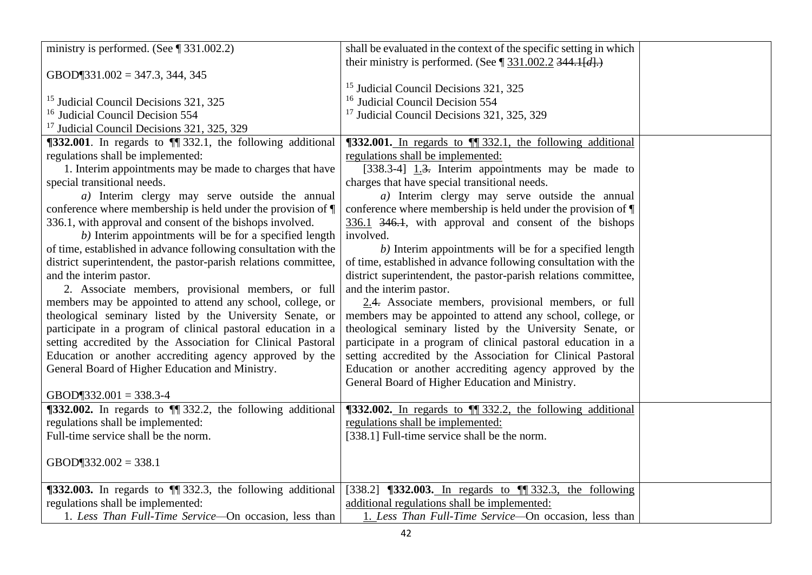| ministry is performed. (See $\P$ 331.002.2)                                                            | shall be evaluated in the context of the specific setting in which           |  |
|--------------------------------------------------------------------------------------------------------|------------------------------------------------------------------------------|--|
|                                                                                                        | their ministry is performed. (See $\sqrt{331.002.2344.1[d]}$ .)              |  |
| GBOD¶331.002 = 347.3, 344, 345                                                                         |                                                                              |  |
|                                                                                                        | <sup>15</sup> Judicial Council Decisions 321, 325                            |  |
| <sup>15</sup> Judicial Council Decisions 321, 325                                                      | <sup>16</sup> Judicial Council Decision 554                                  |  |
| <sup>16</sup> Judicial Council Decision 554                                                            | <sup>17</sup> Judicial Council Decisions 321, 325, 329                       |  |
| <sup>17</sup> Judicial Council Decisions 321, 325, 329                                                 |                                                                              |  |
| <b><math>\mathbf{\\$332.001}</math></b> . In regards to $\mathbf{\$T}$ 332.1, the following additional | <b>[332.001.</b> In regards to <b>[</b> ] 332.1, the following additional    |  |
| regulations shall be implemented:                                                                      | regulations shall be implemented:                                            |  |
| 1. Interim appointments may be made to charges that have                                               | [338.3-4] $1.\overline{3}$ . Interim appointments may be made to             |  |
| special transitional needs.                                                                            | charges that have special transitional needs.                                |  |
| a) Interim clergy may serve outside the annual                                                         | a) Interim clergy may serve outside the annual                               |  |
| conference where membership is held under the provision of $\P$                                        | conference where membership is held under the provision of $\P$              |  |
| 336.1, with approval and consent of the bishops involved.                                              | 336.1 346.1, with approval and consent of the bishops                        |  |
| $b)$ Interim appointments will be for a specified length                                               | involved.                                                                    |  |
| of time, established in advance following consultation with the                                        | $b)$ Interim appointments will be for a specified length                     |  |
| district superintendent, the pastor-parish relations committee,                                        | of time, established in advance following consultation with the              |  |
| and the interim pastor.                                                                                | district superintendent, the pastor-parish relations committee,              |  |
| 2. Associate members, provisional members, or full                                                     | and the interim pastor.                                                      |  |
| members may be appointed to attend any school, college, or                                             | 2.4. Associate members, provisional members, or full                         |  |
| theological seminary listed by the University Senate, or                                               | members may be appointed to attend any school, college, or                   |  |
| participate in a program of clinical pastoral education in a                                           | theological seminary listed by the University Senate, or                     |  |
| setting accredited by the Association for Clinical Pastoral                                            | participate in a program of clinical pastoral education in a                 |  |
| Education or another accrediting agency approved by the                                                | setting accredited by the Association for Clinical Pastoral                  |  |
| General Board of Higher Education and Ministry.                                                        | Education or another accrediting agency approved by the                      |  |
|                                                                                                        | General Board of Higher Education and Ministry.                              |  |
| GBOD¶332.001 = 338.3-4                                                                                 |                                                                              |  |
| <b>[332.002.</b> In regards to <b>[</b> ] 332.2, the following additional                              | ¶332.002. In regards to ¶ 332.2, the following additional                    |  |
| regulations shall be implemented:                                                                      | regulations shall be implemented:                                            |  |
| Full-time service shall be the norm.                                                                   | [338.1] Full-time service shall be the norm.                                 |  |
|                                                                                                        |                                                                              |  |
| GBOD¶332.002 = 338.1                                                                                   |                                                                              |  |
|                                                                                                        |                                                                              |  |
| <b>[332.003.</b> In regards to <b>[</b> ] 332.3, the following additional                              | [338.2] $\sqrt{332.003}$ . In regards to $\sqrt{11}$ 332.3,<br>the following |  |
| regulations shall be implemented:                                                                      | additional regulations shall be implemented:                                 |  |
| 1. Less Than Full-Time Service-On occasion, less than                                                  | Less Than Full-Time Service—On occasion, less than                           |  |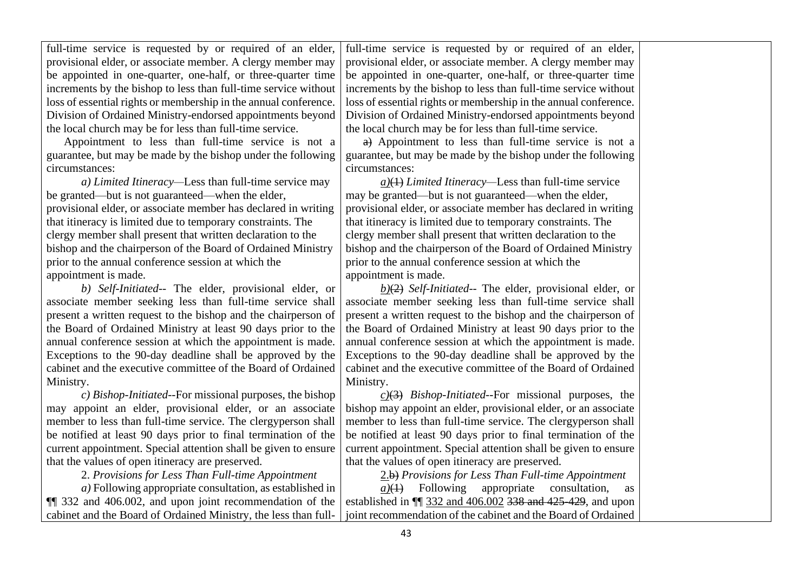full-time service is requested by or required of an elder, provisional elder, or associate member. A clergy member may be appointed in one-quarter, one-half, or three-quarter time increments by the bishop to less than full-time service without loss of essential rights or membership in the annual conference. Division of Ordained Ministry-endorsed appointments beyond the local church may be for less than full-time service.

Appointment to less than full-time service is not a guarantee, but may be made by the bishop under the following circumstances:

*a) Limited Itineracy—*Less than full-time service may be granted—but is not guaranteed—when the elder, provisional elder, or associate member has declared in writing that itineracy is limited due to temporary constraints. The clergy member shall present that written declaration to the bishop and the chairperson of the Board of Ordained Ministry prior to the annual conference session at which the appointment is made.

*b) Self-Initiated--* The elder, provisional elder, or associate member seeking less than full-time service shall present a written request to the bishop and the chairperson of the Board of Ordained Ministry at least 90 days prior to the annual conference session at which the appointment is made. Exceptions to the 90-day deadline shall be approved by the cabinet and the executive committee of the Board of Ordained Ministry.

*c) Bishop-Initiated*--For missional purposes, the bishop may appoint an elder, provisional elder, or an associate member to less than full-time service. The clergyperson shall be notified at least 90 days prior to final termination of the current appointment. Special attention shall be given to ensure that the values of open itineracy are preserved.

2. *Provisions for Less Than Full-time Appointment*

*a)* Following appropriate consultation, as established in ¶¶ 332 and 406.002, and upon joint recommendation of the cabinet and the Board of Ordained Ministry, the less than fullfull-time service is requested by or required of an elder, provisional elder, or associate member. A clergy member may be appointed in one-quarter, one-half, or three-quarter time increments by the bishop to less than full-time service without loss of essential rights or membership in the annual conference. Division of Ordained Ministry-endorsed appointments beyond the local church may be for less than full-time service.

a) Appointment to less than full-time service is not a guarantee, but may be made by the bishop under the following circumstances:

*a)*(1) *Limited Itineracy—*Less than full-time service may be granted—but is not guaranteed—when the elder, provisional elder, or associate member has declared in writing that itineracy is limited due to temporary constraints. The clergy member shall present that written declaration to the bishop and the chairperson of the Board of Ordained Ministry prior to the annual conference session at which the appointment is made.

*b)*(2) *Self-Initiated--* The elder, provisional elder, or associate member seeking less than full-time service shall present a written request to the bishop and the chairperson of the Board of Ordained Ministry at least 90 days prior to the annual conference session at which the appointment is made. Exceptions to the 90-day deadline shall be approved by the cabinet and the executive committee of the Board of Ordained Ministry.

*c)*(3) *Bishop-Initiated*--For missional purposes, the bishop may appoint an elder, provisional elder, or an associate member to less than full-time service. The clergyperson shall be notified at least 90 days prior to final termination of the current appointment. Special attention shall be given to ensure that the values of open itineracy are preserved.

2.b) *Provisions for Less Than Full-time Appointment a)*(1) Following appropriate consultation, as established in ¶¶ 332 and 406.002 338 and 425-429, and upon joint recommendation of the cabinet and the Board of Ordained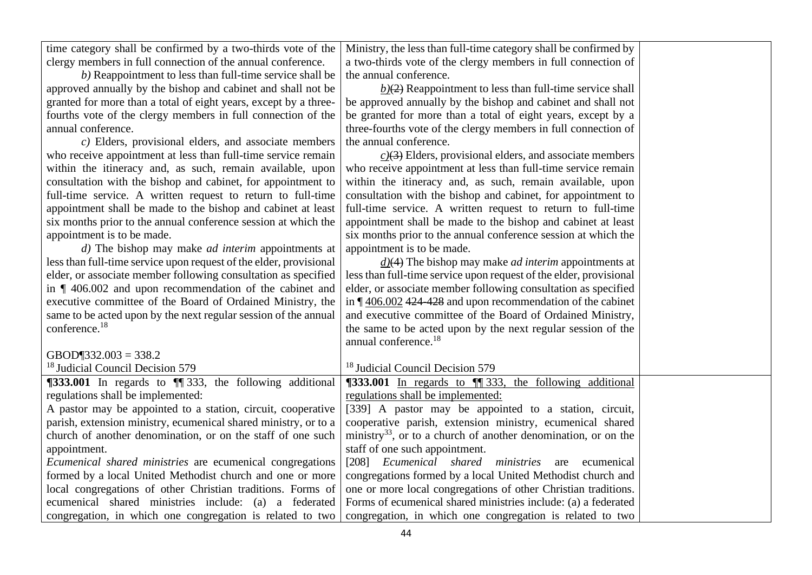| time category shall be confirmed by a two-thirds vote of the           | Ministry, the less than full-time category shall be confirmed by           |  |
|------------------------------------------------------------------------|----------------------------------------------------------------------------|--|
| clergy members in full connection of the annual conference.            | a two-thirds vote of the clergy members in full connection of              |  |
| $b)$ Reappointment to less than full-time service shall be             | the annual conference.                                                     |  |
| approved annually by the bishop and cabinet and shall not be           | $\underline{b}$ Reappointment to less than full-time service shall         |  |
| granted for more than a total of eight years, except by a three-       | be approved annually by the bishop and cabinet and shall not               |  |
| fourths vote of the clergy members in full connection of the           | be granted for more than a total of eight years, except by a               |  |
| annual conference.                                                     | three-fourths vote of the clergy members in full connection of             |  |
| $c)$ Elders, provisional elders, and associate members                 | the annual conference.                                                     |  |
| who receive appointment at less than full-time service remain          | $c$ )(3) Elders, provisional elders, and associate members                 |  |
| within the itineracy and, as such, remain available, upon              | who receive appointment at less than full-time service remain              |  |
| consultation with the bishop and cabinet, for appointment to           | within the itineracy and, as such, remain available, upon                  |  |
| full-time service. A written request to return to full-time            | consultation with the bishop and cabinet, for appointment to               |  |
| appointment shall be made to the bishop and cabinet at least           | full-time service. A written request to return to full-time                |  |
| six months prior to the annual conference session at which the         | appointment shall be made to the bishop and cabinet at least               |  |
| appointment is to be made.                                             | six months prior to the annual conference session at which the             |  |
| d) The bishop may make <i>ad interim</i> appointments at               | appointment is to be made.                                                 |  |
| less than full-time service upon request of the elder, provisional     | $d$ )(4) The bishop may make <i>ad interim</i> appointments at             |  |
| elder, or associate member following consultation as specified         | less than full-time service upon request of the elder, provisional         |  |
| in $\P$ 406.002 and upon recommendation of the cabinet and             | elder, or associate member following consultation as specified             |  |
| executive committee of the Board of Ordained Ministry, the             | in $\P$ 406.002 424 428 and upon recommendation of the cabinet             |  |
| same to be acted upon by the next regular session of the annual        | and executive committee of the Board of Ordained Ministry,                 |  |
| conference. <sup>18</sup>                                              | the same to be acted upon by the next regular session of the               |  |
|                                                                        | annual conference. <sup>18</sup>                                           |  |
| GBOD¶332.003 = 338.2                                                   |                                                                            |  |
| <sup>18</sup> Judicial Council Decision 579                            | <sup>18</sup> Judicial Council Decision 579                                |  |
| <b>[333.001</b> In regards to <b>[</b> [ 333, the following additional | <b>[333.001</b> In regards to <b>[1]</b> 333, the following additional     |  |
| regulations shall be implemented:                                      | regulations shall be implemented:                                          |  |
| A pastor may be appointed to a station, circuit, cooperative           | [339] A pastor may be appointed to a station, circuit,                     |  |
| parish, extension ministry, ecumenical shared ministry, or to a        | cooperative parish, extension ministry, ecumenical shared                  |  |
| church of another denomination, or on the staff of one such            | ministry <sup>33</sup> , or to a church of another denomination, or on the |  |
| appointment.                                                           | staff of one such appointment.                                             |  |
| Ecumenical shared ministries are ecumenical congregations              | [208] Ecumenical shared ministries<br>ecumenical<br>are                    |  |
| formed by a local United Methodist church and one or more              | congregations formed by a local United Methodist church and                |  |
| local congregations of other Christian traditions. Forms of            | one or more local congregations of other Christian traditions.             |  |
| ecumenical shared ministries include: (a) a federated                  | Forms of ecumenical shared ministries include: (a) a federated             |  |
| congregation, in which one congregation is related to two              | congregation, in which one congregation is related to two                  |  |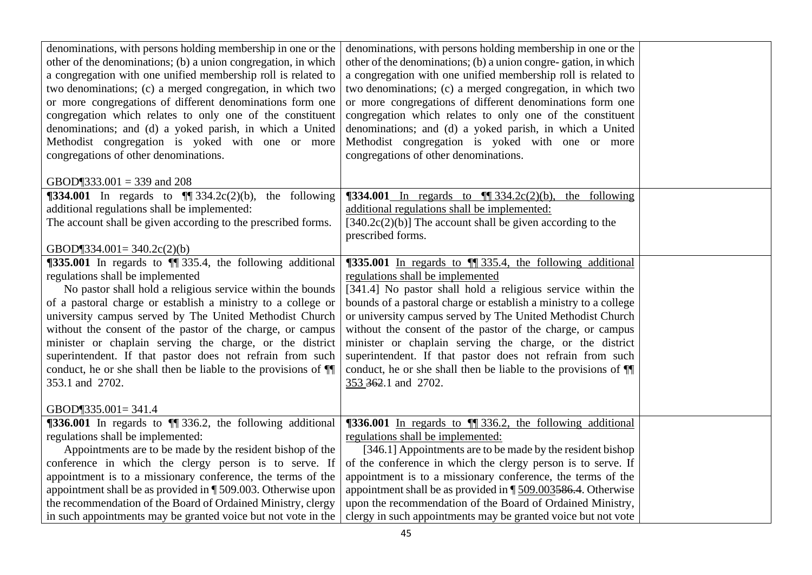| denominations, with persons holding membership in one or the                | denominations, with persons holding membership in one or the             |  |
|-----------------------------------------------------------------------------|--------------------------------------------------------------------------|--|
| other of the denominations; (b) a union congregation, in which              | other of the denominations; (b) a union congre-gation, in which          |  |
| a congregation with one unified membership roll is related to               | a congregation with one unified membership roll is related to            |  |
| two denominations; (c) a merged congregation, in which two                  | two denominations; (c) a merged congregation, in which two               |  |
| or more congregations of different denominations form one                   | or more congregations of different denominations form one                |  |
| congregation which relates to only one of the constituent                   | congregation which relates to only one of the constituent                |  |
| denominations; and (d) a yoked parish, in which a United                    | denominations; and (d) a yoked parish, in which a United                 |  |
| Methodist congregation is yoked with one or more                            | Methodist congregation is yoked with one or more                         |  |
| congregations of other denominations.                                       | congregations of other denominations.                                    |  |
|                                                                             |                                                                          |  |
| GBOD¶333.001 = 339 and 208                                                  |                                                                          |  |
| <b>[334.001</b> In regards to $\P$ [ $\alpha$ ] 334.2c(2)(b), the following | <b>[334.001</b> In regards to <b>[1]</b> 334.2c(2)(b),<br>the following  |  |
| additional regulations shall be implemented:                                | additional regulations shall be implemented:                             |  |
| The account shall be given according to the prescribed forms.               | $[340.2c(2)(b)]$ The account shall be given according to the             |  |
|                                                                             | prescribed forms.                                                        |  |
| GBOD¶334.001=340.2c(2)(b)                                                   |                                                                          |  |
| <b>[335.001</b> In regards to <b>[</b> [ 335.4, the following additional    | <b>[335.001</b> In regards to <b>[</b> [ 335.4, the following additional |  |
| regulations shall be implemented                                            | regulations shall be implemented                                         |  |
| No pastor shall hold a religious service within the bounds                  | [341.4] No pastor shall hold a religious service within the              |  |
| of a pastoral charge or establish a ministry to a college or                | bounds of a pastoral charge or establish a ministry to a college         |  |
| university campus served by The United Methodist Church                     | or university campus served by The United Methodist Church               |  |
| without the consent of the pastor of the charge, or campus                  | without the consent of the pastor of the charge, or campus               |  |
| minister or chaplain serving the charge, or the district                    | minister or chaplain serving the charge, or the district                 |  |
| superintendent. If that pastor does not refrain from such                   | superintendent. If that pastor does not refrain from such                |  |
| conduct, he or she shall then be liable to the provisions of ¶              | conduct, he or she shall then be liable to the provisions of $\P$        |  |
| 353.1 and 2702.                                                             | 353 362.1 and 2702.                                                      |  |
|                                                                             |                                                                          |  |
| GBOD¶335.001=341.4                                                          |                                                                          |  |
| <b>[336.001</b> In regards to <b>[</b> [ 336.2, the following additional    | <b>[336.001</b> In regards to <b>[</b> ] 336.2, the following additional |  |
| regulations shall be implemented:                                           | regulations shall be implemented:                                        |  |
| Appointments are to be made by the resident bishop of the                   | [346.1] Appointments are to be made by the resident bishop               |  |
| conference in which the clergy person is to serve. If                       | of the conference in which the clergy person is to serve. If             |  |
| appointment is to a missionary conference, the terms of the                 | appointment is to a missionary conference, the terms of the              |  |
| appointment shall be as provided in ¶509.003. Otherwise upon                | appointment shall be as provided in ¶ 509.003586.4. Otherwise            |  |
| the recommendation of the Board of Ordained Ministry, clergy                | upon the recommendation of the Board of Ordained Ministry,               |  |
| in such appointments may be granted voice but not vote in the               | clergy in such appointments may be granted voice but not vote            |  |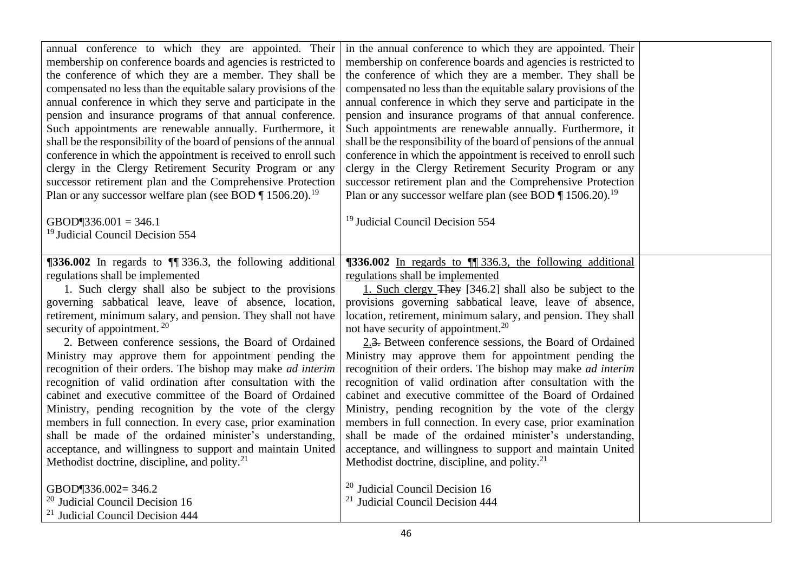| annual conference to which they are appointed. Their                     | in the annual conference to which they are appointed. Their              |  |
|--------------------------------------------------------------------------|--------------------------------------------------------------------------|--|
| membership on conference boards and agencies is restricted to            | membership on conference boards and agencies is restricted to            |  |
| the conference of which they are a member. They shall be                 | the conference of which they are a member. They shall be                 |  |
| compensated no less than the equitable salary provisions of the          | compensated no less than the equitable salary provisions of the          |  |
| annual conference in which they serve and participate in the             | annual conference in which they serve and participate in the             |  |
| pension and insurance programs of that annual conference.                | pension and insurance programs of that annual conference.                |  |
| Such appointments are renewable annually. Furthermore, it                | Such appointments are renewable annually. Furthermore, it                |  |
| shall be the responsibility of the board of pensions of the annual       | shall be the responsibility of the board of pensions of the annual       |  |
| conference in which the appointment is received to enroll such           | conference in which the appointment is received to enroll such           |  |
| clergy in the Clergy Retirement Security Program or any                  | clergy in the Clergy Retirement Security Program or any                  |  |
| successor retirement plan and the Comprehensive Protection               | successor retirement plan and the Comprehensive Protection               |  |
| Plan or any successor welfare plan (see BOD $\P$ 1506.20). <sup>19</sup> | Plan or any successor welfare plan (see BOD $\P$ 1506.20). <sup>19</sup> |  |
|                                                                          |                                                                          |  |
| GBOD¶336.001 = 346.1                                                     | <sup>19</sup> Judicial Council Decision 554                              |  |
| <sup>19</sup> Judicial Council Decision 554                              |                                                                          |  |
|                                                                          |                                                                          |  |
| <b>[336.002</b> In regards to <b>[</b> [ 336.3, the following additional | <b>[336.002</b> In regards to <b>[</b> ] 336.3, the following additional |  |
| regulations shall be implemented                                         | regulations shall be implemented                                         |  |
| 1. Such clergy shall also be subject to the provisions                   | 1. Such clergy They [346.2] shall also be subject to the                 |  |
| governing sabbatical leave, leave of absence, location,                  | provisions governing sabbatical leave, leave of absence,                 |  |
| retirement, minimum salary, and pension. They shall not have             | location, retirement, minimum salary, and pension. They shall            |  |
| security of appointment. <sup>20</sup>                                   | not have security of appointment. <sup>20</sup>                          |  |
| 2. Between conference sessions, the Board of Ordained                    | 2.3. Between conference sessions, the Board of Ordained                  |  |
| Ministry may approve them for appointment pending the                    | Ministry may approve them for appointment pending the                    |  |
| recognition of their orders. The bishop may make <i>ad interim</i>       | recognition of their orders. The bishop may make ad interim              |  |
| recognition of valid ordination after consultation with the              | recognition of valid ordination after consultation with the              |  |
| cabinet and executive committee of the Board of Ordained                 | cabinet and executive committee of the Board of Ordained                 |  |
| Ministry, pending recognition by the vote of the clergy                  | Ministry, pending recognition by the vote of the clergy                  |  |
| members in full connection. In every case, prior examination             | members in full connection. In every case, prior examination             |  |
| shall be made of the ordained minister's understanding,                  | shall be made of the ordained minister's understanding,                  |  |
| acceptance, and willingness to support and maintain United               | acceptance, and willingness to support and maintain United               |  |
| Methodist doctrine, discipline, and polity. $21$                         | Methodist doctrine, discipline, and polity. $21$                         |  |
|                                                                          |                                                                          |  |
| GBOD¶336.002=346.2                                                       | <sup>20</sup> Judicial Council Decision 16                               |  |
| <sup>20</sup> Judicial Council Decision 16                               | <sup>21</sup> Judicial Council Decision 444                              |  |
| <sup>21</sup> Judicial Council Decision 444                              |                                                                          |  |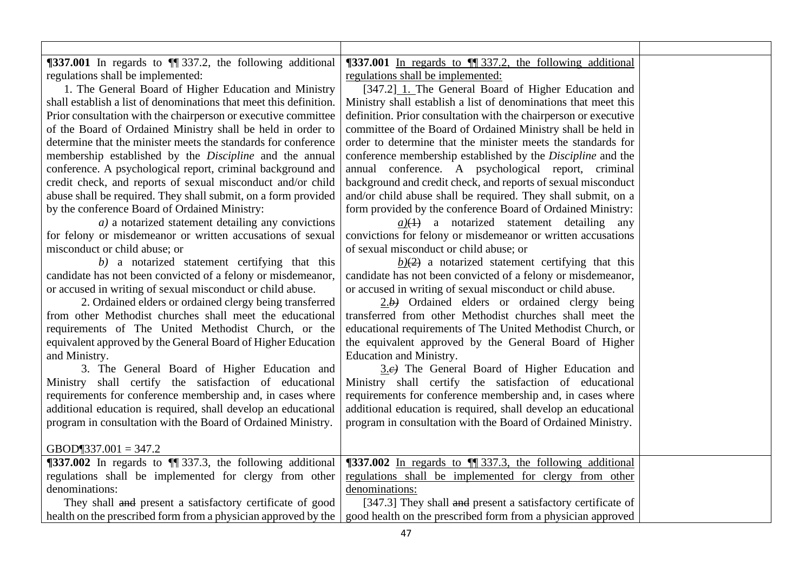| <b>[337.001</b> In regards to <b>[</b> [ 337.2, the following additional | <b>[337.001</b> In regards to <b>[1</b> ] 337.2, the following additional |  |
|--------------------------------------------------------------------------|---------------------------------------------------------------------------|--|
| regulations shall be implemented:                                        | regulations shall be implemented:                                         |  |
| 1. The General Board of Higher Education and Ministry                    | [347.2] 1. The General Board of Higher Education and                      |  |
| shall establish a list of denominations that meet this definition.       | Ministry shall establish a list of denominations that meet this           |  |
| Prior consultation with the chairperson or executive committee           | definition. Prior consultation with the chairperson or executive          |  |
| of the Board of Ordained Ministry shall be held in order to              | committee of the Board of Ordained Ministry shall be held in              |  |
| determine that the minister meets the standards for conference           | order to determine that the minister meets the standards for              |  |
| membership established by the <i>Discipline</i> and the annual           | conference membership established by the Discipline and the               |  |
| conference. A psychological report, criminal background and              | annual conference. A psychological report, criminal                       |  |
| credit check, and reports of sexual misconduct and/or child              | background and credit check, and reports of sexual misconduct             |  |
| abuse shall be required. They shall submit, on a form provided           | and/or child abuse shall be required. They shall submit, on a             |  |
| by the conference Board of Ordained Ministry:                            | form provided by the conference Board of Ordained Ministry:               |  |
| $a)$ a notarized statement detailing any convictions                     | $a)(1)$ a notarized statement detailing any                               |  |
| for felony or misdemeanor or written accusations of sexual               | convictions for felony or misdemeanor or written accusations              |  |
| misconduct or child abuse; or                                            | of sexual misconduct or child abuse; or                                   |  |
| b) a notarized statement certifying that this                            | $\underline{b}$ (2) a notarized statement certifying that this            |  |
| candidate has not been convicted of a felony or misdemeanor,             | candidate has not been convicted of a felony or misdemeanor,              |  |
| or accused in writing of sexual misconduct or child abuse.               | or accused in writing of sexual misconduct or child abuse.                |  |
| 2. Ordained elders or ordained clergy being transferred                  | $2.b$ Ordained elders or ordained clergy being                            |  |
| from other Methodist churches shall meet the educational                 | transferred from other Methodist churches shall meet the                  |  |
| requirements of The United Methodist Church, or the                      | educational requirements of The United Methodist Church, or               |  |
| equivalent approved by the General Board of Higher Education             | the equivalent approved by the General Board of Higher                    |  |
| and Ministry.                                                            | Education and Ministry.                                                   |  |
| 3. The General Board of Higher Education and                             | 3.e) The General Board of Higher Education and                            |  |
| Ministry shall certify the satisfaction of educational                   | Ministry shall certify the satisfaction of educational                    |  |
| requirements for conference membership and, in cases where               | requirements for conference membership and, in cases where                |  |
| additional education is required, shall develop an educational           | additional education is required, shall develop an educational            |  |
| program in consultation with the Board of Ordained Ministry.             | program in consultation with the Board of Ordained Ministry.              |  |
|                                                                          |                                                                           |  |
| $GBOD$ 337.001 = 347.2                                                   |                                                                           |  |
| <b>[337.002</b> In regards to <b>[</b> [ 337.3, the following additional | <b>[337.002</b> In regards to <b>[1]</b> 337.3, the following additional  |  |
| regulations shall be implemented for clergy from other                   | regulations shall be implemented for clergy from other                    |  |
| denominations:                                                           | denominations:                                                            |  |
| They shall and present a satisfactory certificate of good                | [347.3] They shall and present a satisfactory certificate of              |  |
| health on the prescribed form from a physician approved by the           | good health on the prescribed form from a physician approved              |  |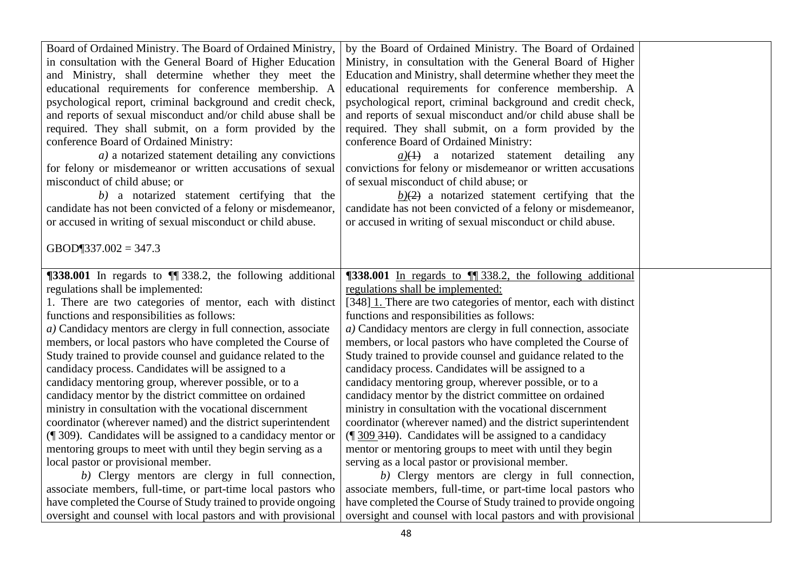| Board of Ordained Ministry. The Board of Ordained Ministry,                                                                    | by the Board of Ordained Ministry. The Board of Ordained                                                                       |  |
|--------------------------------------------------------------------------------------------------------------------------------|--------------------------------------------------------------------------------------------------------------------------------|--|
| in consultation with the General Board of Higher Education                                                                     | Ministry, in consultation with the General Board of Higher                                                                     |  |
| and Ministry, shall determine whether they meet the                                                                            | Education and Ministry, shall determine whether they meet the                                                                  |  |
| educational requirements for conference membership. A                                                                          | educational requirements for conference membership. A                                                                          |  |
| psychological report, criminal background and credit check,                                                                    | psychological report, criminal background and credit check,                                                                    |  |
| and reports of sexual misconduct and/or child abuse shall be                                                                   | and reports of sexual misconduct and/or child abuse shall be                                                                   |  |
| required. They shall submit, on a form provided by the                                                                         | required. They shall submit, on a form provided by the                                                                         |  |
| conference Board of Ordained Ministry:                                                                                         | conference Board of Ordained Ministry:                                                                                         |  |
| $a)$ a notarized statement detailing any convictions                                                                           | $a)(1)$ a notarized statement detailing<br>any                                                                                 |  |
| for felony or misdemeanor or written accusations of sexual                                                                     | convictions for felony or misdemeanor or written accusations                                                                   |  |
| misconduct of child abuse; or                                                                                                  | of sexual misconduct of child abuse; or                                                                                        |  |
| b) a notarized statement certifying that the                                                                                   | $\underline{b}(\overline{z})$ a notarized statement certifying that the                                                        |  |
| candidate has not been convicted of a felony or misdemeanor,                                                                   | candidate has not been convicted of a felony or misdemeanor,                                                                   |  |
| or accused in writing of sexual misconduct or child abuse.                                                                     | or accused in writing of sexual misconduct or child abuse.                                                                     |  |
|                                                                                                                                |                                                                                                                                |  |
| GBOD¶337.002 = 347.3                                                                                                           |                                                                                                                                |  |
|                                                                                                                                |                                                                                                                                |  |
| <b>[338.001</b> In regards to <b>[</b> [ 338.2, the following additional                                                       | <b>[338.001</b> In regards to <b>[1]</b> 338.2, the following additional                                                       |  |
| regulations shall be implemented:                                                                                              | regulations shall be implemented:                                                                                              |  |
| 1. There are two categories of mentor, each with distinct                                                                      |                                                                                                                                |  |
|                                                                                                                                | [348] 1. There are two categories of mentor, each with distinct                                                                |  |
| functions and responsibilities as follows:                                                                                     | functions and responsibilities as follows:                                                                                     |  |
| a) Candidacy mentors are clergy in full connection, associate                                                                  | $a)$ Candidacy mentors are clergy in full connection, associate                                                                |  |
| members, or local pastors who have completed the Course of                                                                     | members, or local pastors who have completed the Course of                                                                     |  |
| Study trained to provide counsel and guidance related to the                                                                   | Study trained to provide counsel and guidance related to the                                                                   |  |
| candidacy process. Candidates will be assigned to a                                                                            | candidacy process. Candidates will be assigned to a                                                                            |  |
| candidacy mentoring group, wherever possible, or to a                                                                          | candidacy mentoring group, wherever possible, or to a                                                                          |  |
| candidacy mentor by the district committee on ordained                                                                         | candidacy mentor by the district committee on ordained                                                                         |  |
| ministry in consultation with the vocational discernment                                                                       | ministry in consultation with the vocational discernment                                                                       |  |
| coordinator (wherever named) and the district superintendent                                                                   | coordinator (wherever named) and the district superintendent                                                                   |  |
| (1309). Candidates will be assigned to a candidacy mentor or                                                                   | $(\frac{1}{209}309310)$ . Candidates will be assigned to a candidacy                                                           |  |
| mentoring groups to meet with until they begin serving as a                                                                    | mentor or mentoring groups to meet with until they begin                                                                       |  |
| local pastor or provisional member.                                                                                            | serving as a local pastor or provisional member.                                                                               |  |
| b) Clergy mentors are clergy in full connection,                                                                               | b) Clergy mentors are clergy in full connection,                                                                               |  |
| associate members, full-time, or part-time local pastors who                                                                   | associate members, full-time, or part-time local pastors who                                                                   |  |
| have completed the Course of Study trained to provide ongoing<br>oversight and counsel with local pastors and with provisional | have completed the Course of Study trained to provide ongoing<br>oversight and counsel with local pastors and with provisional |  |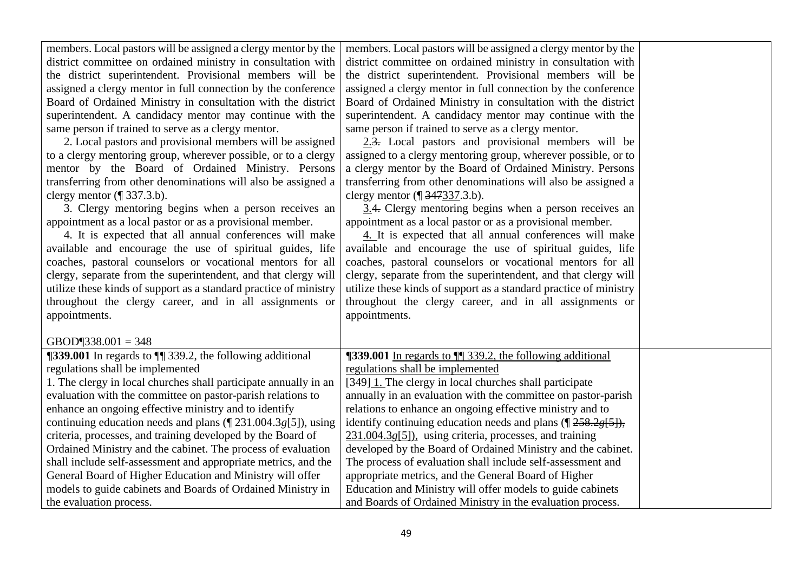members. Local pastors will be assigned a clergy mentor by the district committee on ordained ministry in consultation with the district superintendent. Provisional members will be assigned a clergy mentor in full connection by the conference Board of Ordained Ministry in consultation with the district superintendent. A candidacy mentor may continue with the same person if trained to serve as a clergy mentor.

2. Local pastors and provisional members will be assigned to a clergy mentoring group, wherever possible, or to a clergy mentor by the Board of Ordained Ministry. Persons transferring from other denominations will also be assigned a clergy mentor (¶ 337.3.b).

3. Clergy mentoring begins when a person receives an appointment as a local pastor or as a provisional member.

4. It is expected that all annual conferences will make available and encourage the use of spiritual guides, life coaches, pastoral counselors or vocational mentors for all clergy, separate from the superintendent, and that clergy will utilize these kinds of support as a standard practice of ministry throughout the clergy career, and in all assignments or appointments.

## $CDOD$  $(228.001 - 248)$

members. Local pastors will be assigned a clergy mentor by the district committee on ordained ministry in consultation with the district superintendent. Provisional members will be assigned a clergy mentor in full connection by the conference Board of Ordained Ministry in consultation with the district superintendent. A candidacy mentor may continue with the same person if trained to serve as a clergy mentor.

2.3. Local pastors and provisional members will be assigned to a clergy mentoring group, wherever possible, or to a clergy mentor by the Board of Ordained Ministry. Persons transferring from other denominations will also be assigned a clergy mentor (¶ 347337.3.b).

3.4. Clergy mentoring begins when a person receives an appointment as a local pastor or as a provisional member.

| 4. It is expected that all annual conferences will make           |
|-------------------------------------------------------------------|
| available and encourage the use of spiritual guides, life         |
| coaches, pastoral counselors or vocational mentors for all        |
| clergy, separate from the superintendent, and that clergy will    |
| utilize these kinds of support as a standard practice of ministry |
| throughout the clergy career, and in all assignments or           |
| appointments.                                                     |
|                                                                   |

| <b>[339.001</b> In regards to <b>[</b> [ 339.2, the following additional | <b>[339.001</b> In regards to <b>[1]</b> 339.2, the following additional    |  |
|--------------------------------------------------------------------------|-----------------------------------------------------------------------------|--|
| regulations shall be implemented                                         | regulations shall be implemented                                            |  |
| 1. The clergy in local churches shall participate annually in an         | [349] 1. The clergy in local churches shall participate                     |  |
| evaluation with the committee on pastor-parish relations to              | annually in an evaluation with the committee on pastor-parish               |  |
| enhance an ongoing effective ministry and to identify                    | relations to enhance an ongoing effective ministry and to                   |  |
| continuing education needs and plans ( $\sqrt{231.004.3g[5]}$ ), using   | identify continuing education needs and plans $(\sqrt{\frac{258.2g(5)}})$ , |  |
| criteria, processes, and training developed by the Board of              | $231.004.3g[5]$ , using criteria, processes, and training                   |  |
| Ordained Ministry and the cabinet. The process of evaluation             | developed by the Board of Ordained Ministry and the cabinet.                |  |
| shall include self-assessment and appropriate metrics, and the           | The process of evaluation shall include self-assessment and                 |  |
| General Board of Higher Education and Ministry will offer                | appropriate metrics, and the General Board of Higher                        |  |
| models to guide cabinets and Boards of Ordained Ministry in              | Education and Ministry will offer models to guide cabinets                  |  |
| the evaluation process.                                                  | and Boards of Ordained Ministry in the evaluation process.                  |  |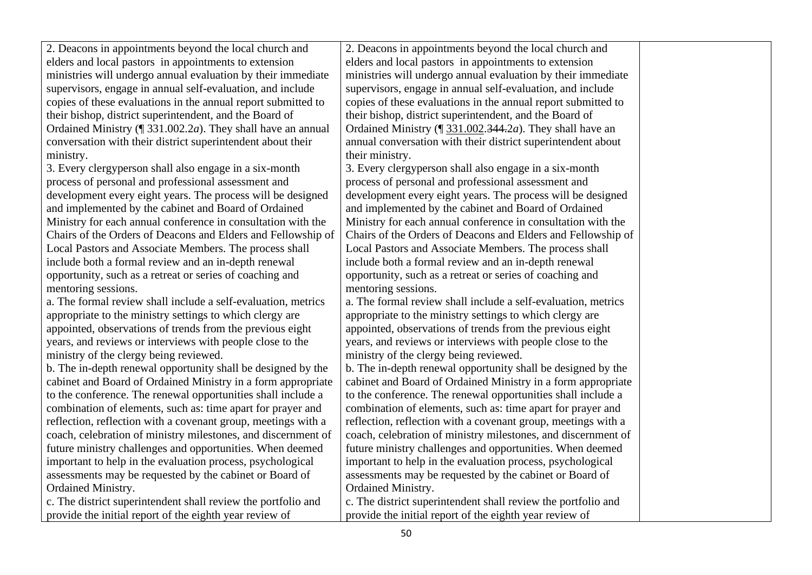| 2. Deacons in appointments beyond the local church and                   | 2. Deacons in appointments beyond the local church and        |
|--------------------------------------------------------------------------|---------------------------------------------------------------|
| elders and local pastors in appointments to extension                    | elders and local pastors in appointments to extension         |
| ministries will undergo annual evaluation by their immediate             | ministries will undergo annual evaluation by their immediate  |
| supervisors, engage in annual self-evaluation, and include               | supervisors, engage in annual self-evaluation, and include    |
| copies of these evaluations in the annual report submitted to            | copies of these evaluations in the annual report submitted to |
| their bishop, district superintendent, and the Board of                  | their bishop, district superintendent, and the Board of       |
| Ordained Ministry ( $\P$ 331.002.2 <i>a</i> ). They shall have an annual | Ordained Ministry (¶ 331.002.344.2a). They shall have an      |
| conversation with their district superintendent about their              | annual conversation with their district superintendent about  |
| ministry.                                                                | their ministry.                                               |
| 3. Every clergyperson shall also engage in a six-month                   | 3. Every clergyperson shall also engage in a six-month        |
| process of personal and professional assessment and                      | process of personal and professional assessment and           |
| development every eight years. The process will be designed              | development every eight years. The process will be designed   |
| and implemented by the cabinet and Board of Ordained                     | and implemented by the cabinet and Board of Ordained          |
| Ministry for each annual conference in consultation with the             | Ministry for each annual conference in consultation with the  |
| Chairs of the Orders of Deacons and Elders and Fellowship of             | Chairs of the Orders of Deacons and Elders and Fellowship of  |
| Local Pastors and Associate Members. The process shall                   | Local Pastors and Associate Members. The process shall        |
| include both a formal review and an in-depth renewal                     | include both a formal review and an in-depth renewal          |
| opportunity, such as a retreat or series of coaching and                 | opportunity, such as a retreat or series of coaching and      |
| mentoring sessions.                                                      | mentoring sessions.                                           |
| a. The formal review shall include a self-evaluation, metrics            | a. The formal review shall include a self-evaluation, metrics |
| appropriate to the ministry settings to which clergy are                 | appropriate to the ministry settings to which clergy are      |
| appointed, observations of trends from the previous eight                | appointed, observations of trends from the previous eight     |
| years, and reviews or interviews with people close to the                | years, and reviews or interviews with people close to the     |
| ministry of the clergy being reviewed.                                   | ministry of the clergy being reviewed.                        |
| b. The in-depth renewal opportunity shall be designed by the             | b. The in-depth renewal opportunity shall be designed by the  |
| cabinet and Board of Ordained Ministry in a form appropriate             | cabinet and Board of Ordained Ministry in a form appropriate  |
| to the conference. The renewal opportunities shall include a             | to the conference. The renewal opportunities shall include a  |
| combination of elements, such as: time apart for prayer and              | combination of elements, such as: time apart for prayer and   |
| reflection, reflection with a covenant group, meetings with a            | reflection, reflection with a covenant group, meetings with a |
| coach, celebration of ministry milestones, and discernment of            | coach, celebration of ministry milestones, and discernment of |
| future ministry challenges and opportunities. When deemed                | future ministry challenges and opportunities. When deemed     |
| important to help in the evaluation process, psychological               | important to help in the evaluation process, psychological    |
| assessments may be requested by the cabinet or Board of                  | assessments may be requested by the cabinet or Board of       |
| Ordained Ministry.                                                       | Ordained Ministry.                                            |
| c. The district superintendent shall review the portfolio and            | c. The district superintendent shall review the portfolio and |
| provide the initial report of the eighth year review of                  | provide the initial report of the eighth year review of       |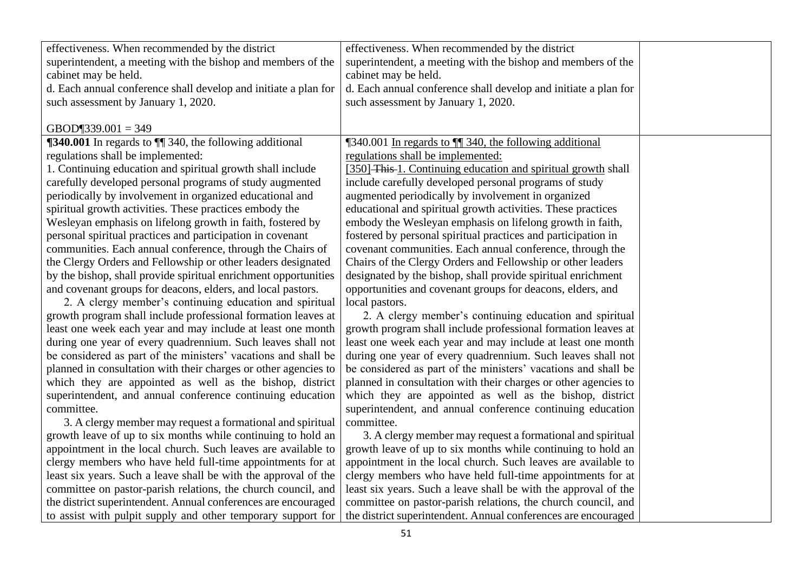| superintendent, a meeting with the bishop and members of the<br>superintendent, a meeting with the bishop and members of the<br>cabinet may be held.<br>cabinet may be held. |  |
|------------------------------------------------------------------------------------------------------------------------------------------------------------------------------|--|
|                                                                                                                                                                              |  |
|                                                                                                                                                                              |  |
| d. Each annual conference shall develop and initiate a plan for<br>d. Each annual conference shall develop and initiate a plan for                                           |  |
| such assessment by January 1, 2020.<br>such assessment by January 1, 2020.                                                                                                   |  |
|                                                                                                                                                                              |  |
| GBOD¶339.001 = 349                                                                                                                                                           |  |
| ¶340.001 In regards to ¶ 340, the following additional<br>¶340.001 In regards to ¶¶ 340, the following additional                                                            |  |
| regulations shall be implemented:<br>regulations shall be implemented:                                                                                                       |  |
| 1. Continuing education and spiritual growth shall include<br>[350] This 1. Continuing education and spiritual growth shall                                                  |  |
| include carefully developed personal programs of study<br>carefully developed personal programs of study augmented                                                           |  |
| periodically by involvement in organized educational and<br>augmented periodically by involvement in organized                                                               |  |
| educational and spiritual growth activities. These practices<br>spiritual growth activities. These practices embody the                                                      |  |
| Wesleyan emphasis on lifelong growth in faith, fostered by<br>embody the Wesleyan emphasis on lifelong growth in faith,                                                      |  |
| fostered by personal spiritual practices and participation in<br>personal spiritual practices and participation in covenant                                                  |  |
| communities. Each annual conference, through the Chairs of<br>covenant communities. Each annual conference, through the                                                      |  |
| Chairs of the Clergy Orders and Fellowship or other leaders<br>the Clergy Orders and Fellowship or other leaders designated                                                  |  |
| by the bishop, shall provide spiritual enrichment opportunities<br>designated by the bishop, shall provide spiritual enrichment                                              |  |
| and covenant groups for deacons, elders, and local pastors.<br>opportunities and covenant groups for deacons, elders, and                                                    |  |
| 2. A clergy member's continuing education and spiritual<br>local pastors.                                                                                                    |  |
| 2. A clergy member's continuing education and spiritual<br>growth program shall include professional formation leaves at                                                     |  |
| least one week each year and may include at least one month<br>growth program shall include professional formation leaves at                                                 |  |
| least one week each year and may include at least one month<br>during one year of every quadrennium. Such leaves shall not                                                   |  |
| be considered as part of the ministers' vacations and shall be<br>during one year of every quadrennium. Such leaves shall not                                                |  |
| planned in consultation with their charges or other agencies to<br>be considered as part of the ministers' vacations and shall be                                            |  |
| which they are appointed as well as the bishop, district<br>planned in consultation with their charges or other agencies to                                                  |  |
| which they are appointed as well as the bishop, district<br>superintendent, and annual conference continuing education                                                       |  |
| committee.<br>superintendent, and annual conference continuing education                                                                                                     |  |
| 3. A clergy member may request a formational and spiritual<br>committee.                                                                                                     |  |
| growth leave of up to six months while continuing to hold an<br>3. A clergy member may request a formational and spiritual                                                   |  |
| appointment in the local church. Such leaves are available to<br>growth leave of up to six months while continuing to hold an                                                |  |
| clergy members who have held full-time appointments for at<br>appointment in the local church. Such leaves are available to                                                  |  |
| least six years. Such a leave shall be with the approval of the<br>clergy members who have held full-time appointments for at                                                |  |
| committee on pastor-parish relations, the church council, and<br>least six years. Such a leave shall be with the approval of the                                             |  |
| the district superintendent. Annual conferences are encouraged<br>committee on pastor-parish relations, the church council, and                                              |  |
| to assist with pulpit supply and other temporary support for<br>the district superintendent. Annual conferences are encouraged                                               |  |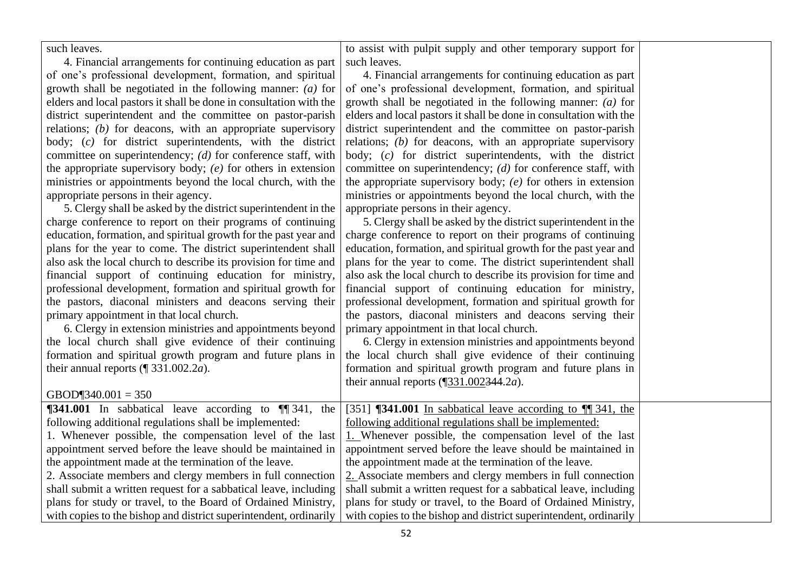such leaves.

4. Financial arrangements for continuing education as part of one's professional development, formation*,* and spiritual growth shall be negotiated in the following manner: *(a)* for elders and local pastors it shall be done in consultation with the district superintendent and the committee on pastor-parish relations; *(b)* for deacons, with an appropriate supervisory body; (*c)* for district superintendents, with the district committee on superintendency; *(d)* for conference staff, with the appropriate supervisory body; *(e)* for others in extension ministries or appointments beyond the local church, with the appropriate persons in their agency.

5. Clergy shall be asked by the district superintendent in the charge conference to report on their programs of continuing education, formation, and spiritual growth for the past year and plans for the year to come. The district superintendent shall also ask the local church to describe its provision for time and financial support of continuing education for ministry, professional development, formation and spiritual growth for the pastors, diaconal ministers and deacons serving their primary appointment in that local church.

6. Clergy in extension ministries and appointments beyond the local church shall give evidence of their continuing formation and spiritual growth program and future plans in their annual reports (¶ 331.002.2*a*).

## $CDODQ40.001 - 350$

| UDUD ∥J <del>1</del> 0.001 – JJU                                                                                  |                                                                             |  |
|-------------------------------------------------------------------------------------------------------------------|-----------------------------------------------------------------------------|--|
| <b><math>\mathbf{\mathbb{I}341.001}</math></b> In sabbatical leave according to $\mathbf{\mathbb{I}341}$ ,<br>the | [351] <b>[341.001</b> In sabbatical leave according to $\P$ $\eta$ 341, the |  |
| following additional regulations shall be implemented:                                                            | following additional regulations shall be implemented:                      |  |
| 1. Whenever possible, the compensation level of the last                                                          | 1. Whenever possible, the compensation level of the last                    |  |
| appointment served before the leave should be maintained in                                                       | appointment served before the leave should be maintained in                 |  |
| the appointment made at the termination of the leave.                                                             | the appointment made at the termination of the leave.                       |  |
| 2. Associate members and clergy members in full connection                                                        | 2. Associate members and clergy members in full connection                  |  |
| shall submit a written request for a sabbatical leave, including                                                  | shall submit a written request for a sabbatical leave, including            |  |
| plans for study or travel, to the Board of Ordained Ministry,                                                     | plans for study or travel, to the Board of Ordained Ministry,               |  |
| with copies to the bishop and district superintendent, ordinarily                                                 | with copies to the bishop and district superintendent, ordinarily           |  |

to assist with pulpit supply and other temporary support for such leaves.

4. Financial arrangements for continuing education as part

|   | of one's professional development, formation, and spiritual        |  |
|---|--------------------------------------------------------------------|--|
|   | growth shall be negotiated in the following manner: $(a)$ for      |  |
| l | elders and local pastors it shall be done in consultation with the |  |
|   | district superintendent and the committee on pastor-parish         |  |
|   | relations; $(b)$ for deacons, with an appropriate supervisory      |  |
|   | body; (c) for district superintendents, with the district          |  |
|   | committee on superintendency; $(d)$ for conference staff, with     |  |
|   | the appropriate supervisory body; $(e)$ for others in extension    |  |
|   | ministries or appointments beyond the local church, with the       |  |
|   | appropriate persons in their agency.                               |  |
|   | 5. Clergy shall be asked by the district superintendent in the     |  |
|   | charge conference to report on their programs of continuing        |  |
|   | education, formation, and spiritual growth for the past year and   |  |
|   | plans for the year to come. The district superintendent shall      |  |
|   | also ask the local church to describe its provision for time and   |  |
|   | financial support of continuing education for ministry,            |  |
|   | professional development, formation and spiritual growth for       |  |
|   | the pastors, diaconal ministers and deacons serving their          |  |
|   | primary appointment in that local church.                          |  |

6. Clergy in extension ministries and appointments beyond the local church shall give evidence of their continuing formation and spiritual growth program and future plans in

their annual reports (¶331.002344.2*a*).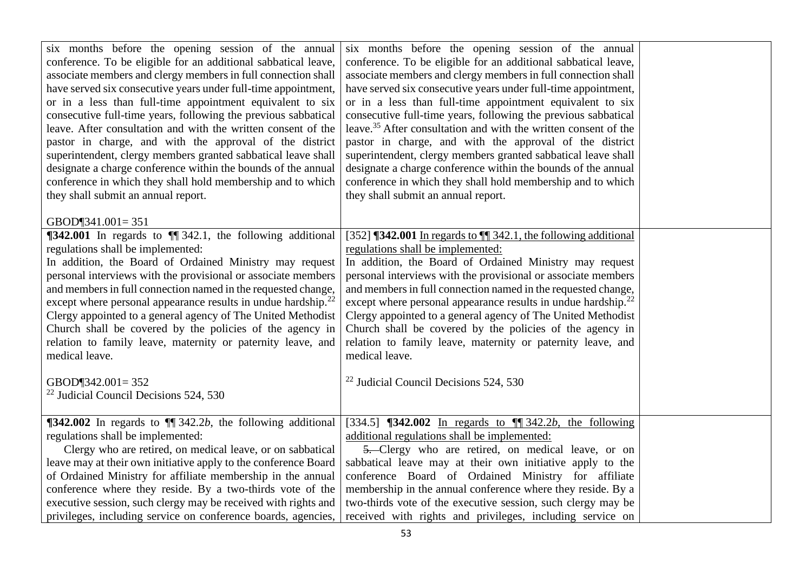| six months before the opening session of the annual<br>conference. To be eligible for an additional sabbatical leave,<br>associate members and clergy members in full connection shall | six months before the opening session of the annual<br>conference. To be eligible for an additional sabbatical leave,<br>associate members and clergy members in full connection shall |  |
|----------------------------------------------------------------------------------------------------------------------------------------------------------------------------------------|----------------------------------------------------------------------------------------------------------------------------------------------------------------------------------------|--|
| have served six consecutive years under full-time appointment,                                                                                                                         | have served six consecutive years under full-time appointment,                                                                                                                         |  |
| or in a less than full-time appointment equivalent to six                                                                                                                              | or in a less than full-time appointment equivalent to six                                                                                                                              |  |
| consecutive full-time years, following the previous sabbatical                                                                                                                         | consecutive full-time years, following the previous sabbatical                                                                                                                         |  |
| leave. After consultation and with the written consent of the                                                                                                                          | leave. <sup>35</sup> After consultation and with the written consent of the                                                                                                            |  |
|                                                                                                                                                                                        |                                                                                                                                                                                        |  |
| pastor in charge, and with the approval of the district                                                                                                                                | pastor in charge, and with the approval of the district                                                                                                                                |  |
| superintendent, clergy members granted sabbatical leave shall                                                                                                                          | superintendent, clergy members granted sabbatical leave shall                                                                                                                          |  |
| designate a charge conference within the bounds of the annual                                                                                                                          | designate a charge conference within the bounds of the annual                                                                                                                          |  |
| conference in which they shall hold membership and to which                                                                                                                            | conference in which they shall hold membership and to which                                                                                                                            |  |
| they shall submit an annual report.                                                                                                                                                    | they shall submit an annual report.                                                                                                                                                    |  |
| GBOD¶341.001=351                                                                                                                                                                       |                                                                                                                                                                                        |  |
| <b>[342.001</b> In regards to <b>[</b> [ 342.1, the following additional                                                                                                               | [352] $\P$ 342.001 In regards to $\P$ 342.1, the following additional                                                                                                                  |  |
| regulations shall be implemented:                                                                                                                                                      | regulations shall be implemented:                                                                                                                                                      |  |
| In addition, the Board of Ordained Ministry may request                                                                                                                                | In addition, the Board of Ordained Ministry may request                                                                                                                                |  |
| personal interviews with the provisional or associate members                                                                                                                          | personal interviews with the provisional or associate members                                                                                                                          |  |
| and members in full connection named in the requested change,                                                                                                                          | and members in full connection named in the requested change,                                                                                                                          |  |
| except where personal appearance results in undue hardship. <sup>22</sup>                                                                                                              | except where personal appearance results in undue hardship. $^{22}$                                                                                                                    |  |
| Clergy appointed to a general agency of The United Methodist                                                                                                                           | Clergy appointed to a general agency of The United Methodist                                                                                                                           |  |
| Church shall be covered by the policies of the agency in                                                                                                                               | Church shall be covered by the policies of the agency in                                                                                                                               |  |
| relation to family leave, maternity or paternity leave, and                                                                                                                            | relation to family leave, maternity or paternity leave, and                                                                                                                            |  |
| medical leave.                                                                                                                                                                         | medical leave.                                                                                                                                                                         |  |
|                                                                                                                                                                                        |                                                                                                                                                                                        |  |
| GBOD¶342.001= $352$                                                                                                                                                                    | $22$ Judicial Council Decisions 524, 530                                                                                                                                               |  |
| <sup>22</sup> Judicial Council Decisions 524, 530                                                                                                                                      |                                                                                                                                                                                        |  |
|                                                                                                                                                                                        |                                                                                                                                                                                        |  |
| <b><math>\mathbf{I}342.002</math></b> In regards to $\mathbf{I} \mathbf{I}342.2b$ , the following additional                                                                           | [334.5] $\P$ 342.002 In regards to $\P$ 342.2 <i>b</i> , the following                                                                                                                 |  |
| regulations shall be implemented:                                                                                                                                                      | additional regulations shall be implemented:                                                                                                                                           |  |
| Clergy who are retired, on medical leave, or on sabbatical                                                                                                                             | 5. Clergy who are retired, on medical leave, or on                                                                                                                                     |  |
| leave may at their own initiative apply to the conference Board                                                                                                                        | sabbatical leave may at their own initiative apply to the                                                                                                                              |  |
| of Ordained Ministry for affiliate membership in the annual                                                                                                                            | conference Board of Ordained Ministry for affiliate                                                                                                                                    |  |
| conference where they reside. By a two-thirds vote of the                                                                                                                              | membership in the annual conference where they reside. By a                                                                                                                            |  |
| executive session, such clergy may be received with rights and                                                                                                                         | two-thirds vote of the executive session, such clergy may be                                                                                                                           |  |
| privileges, including service on conference boards, agencies,                                                                                                                          | received with rights and privileges, including service on                                                                                                                              |  |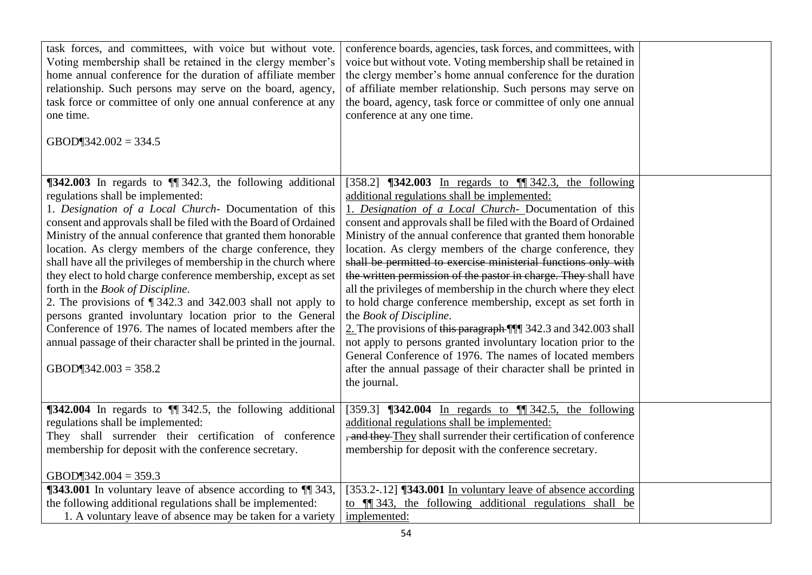| task forces, and committees, with voice but without vote.<br>Voting membership shall be retained in the clergy member's<br>home annual conference for the duration of affiliate member<br>relationship. Such persons may serve on the board, agency,<br>task force or committee of only one annual conference at any<br>one time.<br>GBOD¶342.002 = 334.5                                                                                                                                                                                                                                                                                                                                                                                                                                                                                          | conference boards, agencies, task forces, and committees, with<br>voice but without vote. Voting membership shall be retained in<br>the clergy member's home annual conference for the duration<br>of affiliate member relationship. Such persons may serve on<br>the board, agency, task force or committee of only one annual<br>conference at any one time.                                                                                                                                                                                                                                                                                                                                                                                                                                                                                                                                                                                                    |  |
|----------------------------------------------------------------------------------------------------------------------------------------------------------------------------------------------------------------------------------------------------------------------------------------------------------------------------------------------------------------------------------------------------------------------------------------------------------------------------------------------------------------------------------------------------------------------------------------------------------------------------------------------------------------------------------------------------------------------------------------------------------------------------------------------------------------------------------------------------|-------------------------------------------------------------------------------------------------------------------------------------------------------------------------------------------------------------------------------------------------------------------------------------------------------------------------------------------------------------------------------------------------------------------------------------------------------------------------------------------------------------------------------------------------------------------------------------------------------------------------------------------------------------------------------------------------------------------------------------------------------------------------------------------------------------------------------------------------------------------------------------------------------------------------------------------------------------------|--|
| <b>[342.003</b> In regards to <b>[</b> [ 342.3, the following additional<br>regulations shall be implemented:<br>1. Designation of a Local Church- Documentation of this<br>consent and approvals shall be filed with the Board of Ordained<br>Ministry of the annual conference that granted them honorable<br>location. As clergy members of the charge conference, they<br>shall have all the privileges of membership in the church where<br>they elect to hold charge conference membership, except as set<br>forth in the Book of Discipline.<br>2. The provisions of $\P$ 342.3 and 342.003 shall not apply to<br>persons granted involuntary location prior to the General<br>Conference of 1976. The names of located members after the<br>annual passage of their character shall be printed in the journal.<br>$GBOD$ $342.003 = 358.2$ | [358.2] $\P$ 342.003 In regards to $\P$ 342.3,<br>the following<br>additional regulations shall be implemented:<br>Designation of a Local Church- Documentation of this<br>consent and approvals shall be filed with the Board of Ordained<br>Ministry of the annual conference that granted them honorable<br>location. As clergy members of the charge conference, they<br>shall be permitted to exercise ministerial functions only with<br>the written permission of the pastor in charge. They shall have<br>all the privileges of membership in the church where they elect<br>to hold charge conference membership, except as set forth in<br>the Book of Discipline.<br>2. The provisions of this paragraph [[1] 342.3 and 342.003 shall<br>not apply to persons granted involuntary location prior to the<br>General Conference of 1976. The names of located members<br>after the annual passage of their character shall be printed in<br>the journal. |  |
| ¶342.004 In regards to ¶ 342.5, the following additional<br>regulations shall be implemented:<br>They shall surrender their certification of conference<br>membership for deposit with the conference secretary.<br>GBOD¶342.004 = 359.3                                                                                                                                                                                                                                                                                                                                                                                                                                                                                                                                                                                                           | [359.3] $$342.004$ In regards to $$12.5$ , the following<br>additional regulations shall be implemented:<br>, and they They shall surrender their certification of conference<br>membership for deposit with the conference secretary.                                                                                                                                                                                                                                                                                                                                                                                                                                                                                                                                                                                                                                                                                                                            |  |
| <b>[343.001</b> In voluntary leave of absence according to <b>[</b> ] 343,<br>the following additional regulations shall be implemented:<br>1. A voluntary leave of absence may be taken for a variety                                                                                                                                                                                                                                                                                                                                                                                                                                                                                                                                                                                                                                             | [353.2-.12] [343.001 In voluntary leave of absence according<br>to ¶ 343, the following additional regulations shall be<br>implemented:                                                                                                                                                                                                                                                                                                                                                                                                                                                                                                                                                                                                                                                                                                                                                                                                                           |  |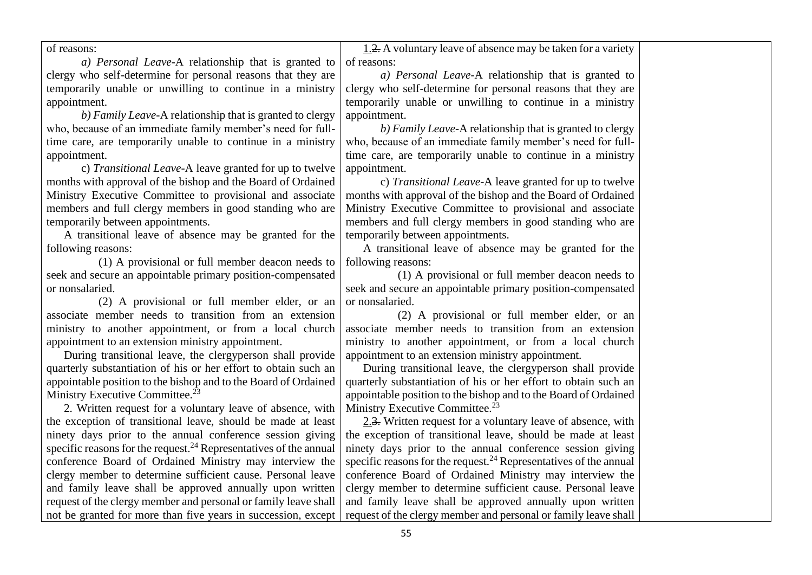of reasons:

*a) Personal Leave*-A relationship that is granted to clergy who self-determine for personal reasons that they are temporarily unable or unwilling to continue in a ministry appointment.

*b) Family Leave*-A relationship that is granted to clergy who, because of an immediate family member's need for fulltime care, are temporarily unable to continue in a ministry appointment.

c) *Transitional Leave*-A leave granted for up to twelve months with approval of the bishop and the Board of Ordained Ministry Executive Committee to provisional and associate members and full clergy members in good standing who are temporarily between appointments.

A transitional leave of absence may be granted for the following reasons:

(1) A provisional or full member deacon needs to seek and secure an appointable primary position-compensated or nonsalaried.

(2) A provisional or full member elder, or an associate member needs to transition from an extension ministry to another appointment, or from a local church appointment to an extension ministry appointment.

During transitional leave, the clergyperson shall provide quarterly substantiation of his or her effort to obtain such an appointable position to the bishop and to the Board of Ordained Ministry Executive Committee.<sup> $23$ </sup>

2. Written request for a voluntary leave of absence, with the exception of transitional leave, should be made at least ninety days prior to the annual conference session giving specific reasons for the request.<sup>24</sup> Representatives of the annual conference Board of Ordained Ministry may interview the clergy member to determine sufficient cause. Personal leave and family leave shall be approved annually upon written request of the clergy member and personal or family leave shall not be granted for more than five years in succession, except

1.2. A voluntary leave of absence may be taken for a variety of reasons:

*a) Personal Leave*-A relationship that is granted to clergy who self-determine for personal reasons that they are temporarily unable or unwilling to continue in a ministry appointment.

*b) Family Leave*-A relationship that is granted to clergy who, because of an immediate family member's need for fulltime care, are temporarily unable to continue in a ministry appointment.

c) *Transitional Leave*-A leave granted for up to twelve months with approval of the bishop and the Board of Ordained Ministry Executive Committee to provisional and associate members and full clergy members in good standing who are temporarily between appointments.

A transitional leave of absence may be granted for the following reasons:

(1) A provisional or full member deacon needs to seek and secure an appointable primary position-compensated or nonsalaried.

(2) A provisional or full member elder, or an associate member needs to transition from an extension ministry to another appointment, or from a local church appointment to an extension ministry appointment.

During transitional leave, the clergyperson shall provide quarterly substantiation of his or her effort to obtain such an appointable position to the bishop and to the Board of Ordained Ministry Executive Committee. $^{23}$ 

2.3. Written request for a voluntary leave of absence, with the exception of transitional leave, should be made at least ninety days prior to the annual conference session giving specific reasons for the request.<sup>24</sup> Representatives of the annual conference Board of Ordained Ministry may interview the clergy member to determine sufficient cause. Personal leave and family leave shall be approved annually upon written request of the clergy member and personal or family leave shall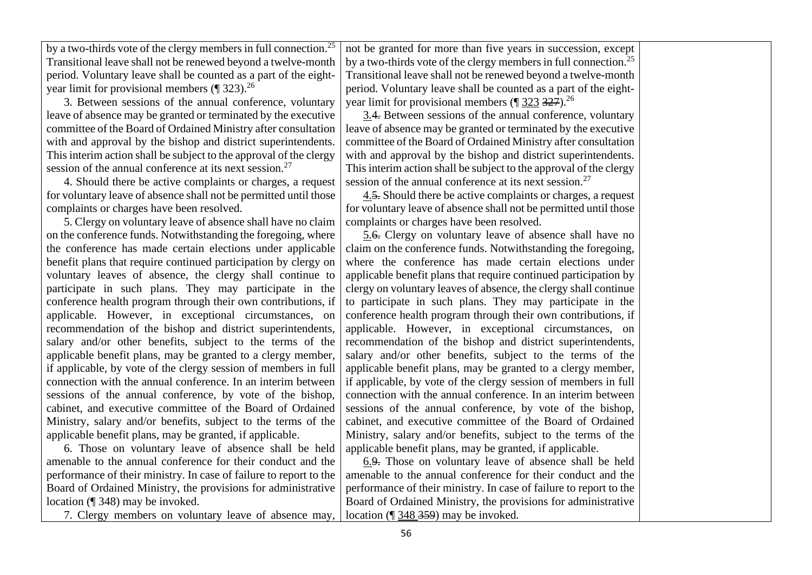by a two-thirds vote of the clergy members in full connection.<sup>25</sup> Transitional leave shall not be renewed beyond a twelve-month period. Voluntary leave shall be counted as a part of the eightyear limit for provisional members  $(\P 323)^{26}$ 

3. Between sessions of the annual conference, voluntary leave of absence may be granted or terminated by the executive committee of the Board of Ordained Ministry after consultation with and approval by the bishop and district superintendents. This interim action shall be subject to the approval of the clergy session of the annual conference at its next session.<sup>27</sup>

4. Should there be active complaints or charges, a request for voluntary leave of absence shall not be permitted until those complaints or charges have been resolved.

5. Clergy on voluntary leave of absence shall have no claim on the conference funds. Notwithstanding the foregoing, where the conference has made certain elections under applicable benefit plans that require continued participation by clergy on voluntary leaves of absence, the clergy shall continue to participate in such plans. They may participate in the conference health program through their own contributions, if applicable. However, in exceptional circumstances, on recommendation of the bishop and district superintendents, salary and/or other benefits, subject to the terms of the applicable benefit plans, may be granted to a clergy member, if applicable, by vote of the clergy session of members in full connection with the annual conference. In an interim between sessions of the annual conference, by vote of the bishop, cabinet, and executive committee of the Board of Ordained Ministry, salary and/or benefits, subject to the terms of the applicable benefit plans, may be granted, if applicable.

6. Those on voluntary leave of absence shall be held amenable to the annual conference for their conduct and the performance of their ministry. In case of failure to report to the Board of Ordained Ministry, the provisions for administrative location (¶ 348) may be invoked.

7. Clergy members on voluntary leave of absence may,

not be granted for more than five years in succession, except by a two-thirds vote of the clergy members in full connection.<sup>25</sup> Transitional leave shall not be renewed beyond a twelve-month period. Voluntary leave shall be counted as a part of the eightyear limit for provisional members  $($  323 327).<sup>26</sup>

3.4. Between sessions of the annual conference, voluntary leave of absence may be granted or terminated by the executive committee of the Board of Ordained Ministry after consultation with and approval by the bishop and district superintendents. This interim action shall be subject to the approval of the clergy session of the annual conference at its next session.<sup>27</sup>

4.5. Should there be active complaints or charges, a request for voluntary leave of absence shall not be permitted until those complaints or charges have been resolved.

5.6. Clergy on voluntary leave of absence shall have no claim on the conference funds. Notwithstanding the foregoing, where the conference has made certain elections under applicable benefit plans that require continued participation by clergy on voluntary leaves of absence, the clergy shall continue to participate in such plans. They may participate in the conference health program through their own contributions, if applicable. However, in exceptional circumstances, on recommendation of the bishop and district superintendents, salary and/or other benefits, subject to the terms of the applicable benefit plans, may be granted to a clergy member, if applicable, by vote of the clergy session of members in full connection with the annual conference. In an interim between sessions of the annual conference, by vote of the bishop, cabinet, and executive committee of the Board of Ordained Ministry, salary and/or benefits, subject to the terms of the applicable benefit plans, may be granted, if applicable.

6.9. Those on voluntary leave of absence shall be held amenable to the annual conference for their conduct and the performance of their ministry. In case of failure to report to the Board of Ordained Ministry, the provisions for administrative location (¶ 348 359) may be invoked.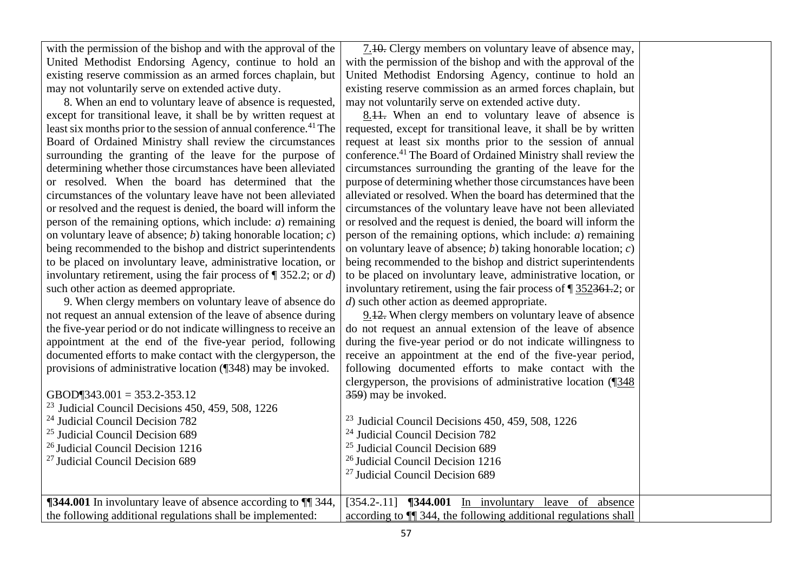with the permission of the bishop and with the approval of the United Methodist Endorsing Agency, continue to hold an existing reserve commission as an armed forces chaplain, but may not voluntarily serve on extended active duty.

8. When an end to voluntary leave of absence is requested, except for transitional leave, it shall be by written request at least six months prior to the session of annual conference.<sup>41</sup> The Board of Ordained Ministry shall review the circumstances surrounding the granting of the leave for the purpose of determining whether those circumstances have been alleviated or resolved. When the board has determined that the circumstances of the voluntary leave have not been alleviated or resolved and the request is denied, the board will inform the person of the remaining options, which include: *a*) remaining on voluntary leave of absence; *b*) taking honorable location; *c*) being recommended to the bishop and district superintendents to be placed on involuntary leave, administrative location, or involuntary retirement, using the fair process of ¶ 352.2; or *d*) such other action as deemed appropriate.

9. When clergy members on voluntary leave of absence do not request an annual extension of the leave of absence during the five-year period or do not indicate willingness to receive an appointment at the end of the five-year period, following documented efforts to make contact with the clergyperson, the provisions of administrative location (¶348) may be invoked.

GBOD¶343.001 = 353.2-353.12

24 Judicial Council Decision 782 25 Judicial Council Decision 689 26 Judicial Council Decision 1216

 $23$  Judicial Council Decisions 450, 459, 508, 1226

7.10. Clergy members on voluntary leave of absence may, with the permission of the bishop and with the approval of the United Methodist Endorsing Agency, continue to hold an existing reserve commission as an armed forces chaplain, but may not voluntarily serve on extended active duty.

8.11. When an end to voluntary leave of absence is requested, except for transitional leave, it shall be by written request at least six months prior to the session of annual conference.<sup>41</sup> The Board of Ordained Ministry shall review the circumstances surrounding the granting of the leave for the purpose of determining whether those circumstances have been alleviated or resolved. When the board has determined that the circumstances of the voluntary leave have not been alleviated or resolved and the request is denied, the board will inform the person of the remaining options, which include: *a*) remaining on voluntary leave of absence; *b*) taking honorable location; *c*) being recommended to the bishop and district superintendents to be placed on involuntary leave, administrative location, or involuntary retirement, using the fair process of ¶ 352361.2; or *d*) such other action as deemed appropriate.

9.12. When clergy members on voluntary leave of absence do not request an annual extension of the leave of absence during the five-year period or do not indicate willingness to receive an appointment at the end of the five-year period, following documented efforts to make contact with the clergyperson, the provisions of administrative location (¶348 359) may be invoked.

 $23$  Judicial Council Decisions 450, 459, 508, 1226

| $1^{27}$ Judicial Council Decision 689                     | $1^{26}$ Judicial Council Decision 1216<br>$\frac{27}{27}$ Judicial Council Decision 689                                                 |  |
|------------------------------------------------------------|------------------------------------------------------------------------------------------------------------------------------------------|--|
|                                                            | <b>[344.001</b> In involuntary leave of absence according to <b>[1]</b> 344, [354.2-.11] <b>[344.001</b> In involuntary leave of absence |  |
| the following additional regulations shall be implemented: | according to $\P$ 344, the following additional regulations shall                                                                        |  |

<sup>24</sup> Judicial Council Decision 782 <sup>25</sup> Judicial Council Decision 689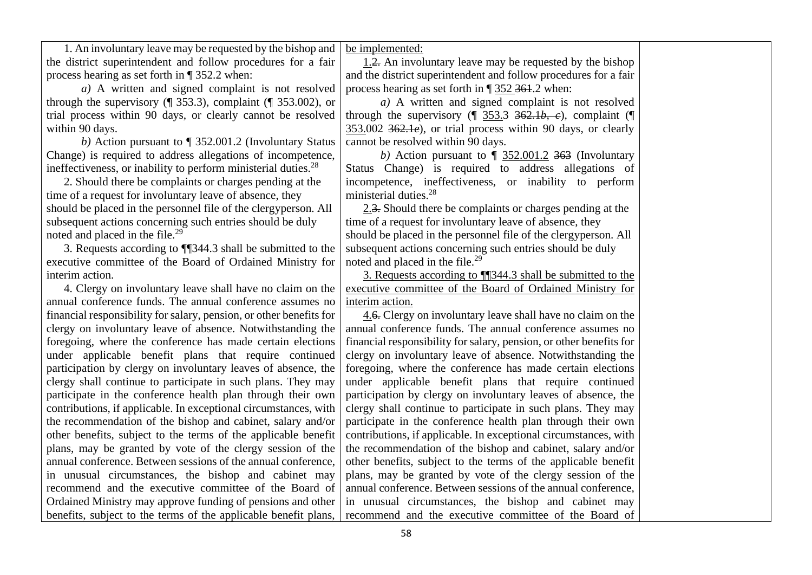| 1. An involuntary leave may be requested by the bishop and                         | be implemented:                                                                                    |
|------------------------------------------------------------------------------------|----------------------------------------------------------------------------------------------------|
| the district superintendent and follow procedures for a fair                       | 1.2. An involuntary leave may be requested by the bishop                                           |
| process hearing as set forth in $\P$ 352.2 when:                                   | and the district superintendent and follow procedures for a fair                                   |
| a) A written and signed complaint is not resolved                                  | process hearing as set forth in $\sqrt{\frac{352.361.2}{2}}$ when:                                 |
| through the supervisory ( $\parallel$ 353.3), complaint ( $\parallel$ 353.002), or | a) A written and signed complaint is not resolved                                                  |
| trial process within 90 days, or clearly cannot be resolved                        | through the supervisory ( $\left( \frac{353.3}{246} \cdot \frac{362.1b}{26} \right)$ , complaint ( |
| within 90 days.                                                                    | $353.002$ $362.1e$ , or trial process within 90 days, or clearly                                   |
| b) Action pursuant to $\P$ 352.001.2 (Involuntary Status                           | cannot be resolved within 90 days.                                                                 |
| Change) is required to address allegations of incompetence,                        | b) Action pursuant to $\int$ 352.001.2 363 (Involuntary                                            |
| ineffectiveness, or inability to perform ministerial duties. <sup>28</sup>         | Status Change) is required to address allegations of                                               |
| 2. Should there be complaints or charges pending at the                            | incompetence, ineffectiveness, or inability to perform                                             |
| time of a request for involuntary leave of absence, they                           | ministerial duties. <sup>28</sup>                                                                  |
| should be placed in the personnel file of the clergyperson. All                    | $2.\overline{3}$ . Should there be complaints or charges pending at the                            |
| subsequent actions concerning such entries should be duly                          | time of a request for involuntary leave of absence, they                                           |
| noted and placed in the file. <sup>29</sup>                                        | should be placed in the personnel file of the clergyperson. All                                    |
| 3. Requests according to ¶[344.3 shall be submitted to the                         | subsequent actions concerning such entries should be duly                                          |
| executive committee of the Board of Ordained Ministry for                          | noted and placed in the file. <sup>29</sup>                                                        |
| interim action.                                                                    | 3. Requests according to <b>11</b> 344.3 shall be submitted to the                                 |
| 4. Clergy on involuntary leave shall have no claim on the                          | executive committee of the Board of Ordained Ministry for                                          |
| annual conference funds. The annual conference assumes no                          | interim action.                                                                                    |
| financial responsibility for salary, pension, or other benefits for                | 4.6. Clergy on involuntary leave shall have no claim on the                                        |
| clergy on involuntary leave of absence. Notwithstanding the                        | annual conference funds. The annual conference assumes no                                          |
| foregoing, where the conference has made certain elections                         | financial responsibility for salary, pension, or other benefits for                                |
| under applicable benefit plans that require continued                              | clergy on involuntary leave of absence. Notwithstanding the                                        |
| participation by clergy on involuntary leaves of absence, the                      | foregoing, where the conference has made certain elections                                         |
| clergy shall continue to participate in such plans. They may                       | under applicable benefit plans that require continued                                              |
| participate in the conference health plan through their own                        | participation by clergy on involuntary leaves of absence, the                                      |
| contributions, if applicable. In exceptional circumstances, with                   | clergy shall continue to participate in such plans. They may                                       |
| the recommendation of the bishop and cabinet, salary and/or                        | participate in the conference health plan through their own                                        |
| other benefits, subject to the terms of the applicable benefit                     | contributions, if applicable. In exceptional circumstances, with                                   |
| plans, may be granted by vote of the clergy session of the                         | the recommendation of the bishop and cabinet, salary and/or                                        |
| annual conference. Between sessions of the annual conference,                      | other benefits, subject to the terms of the applicable benefit                                     |
| in unusual circumstances, the bishop and cabinet may                               | plans, may be granted by vote of the clergy session of the                                         |
| recommend and the executive committee of the Board of                              | annual conference. Between sessions of the annual conference,                                      |
| Ordained Ministry may approve funding of pensions and other                        | in unusual circumstances, the bishop and cabinet may                                               |
| benefits, subject to the terms of the applicable benefit plans,                    | recommend and the executive committee of the Board of                                              |
|                                                                                    | 58                                                                                                 |
|                                                                                    |                                                                                                    |
|                                                                                    |                                                                                                    |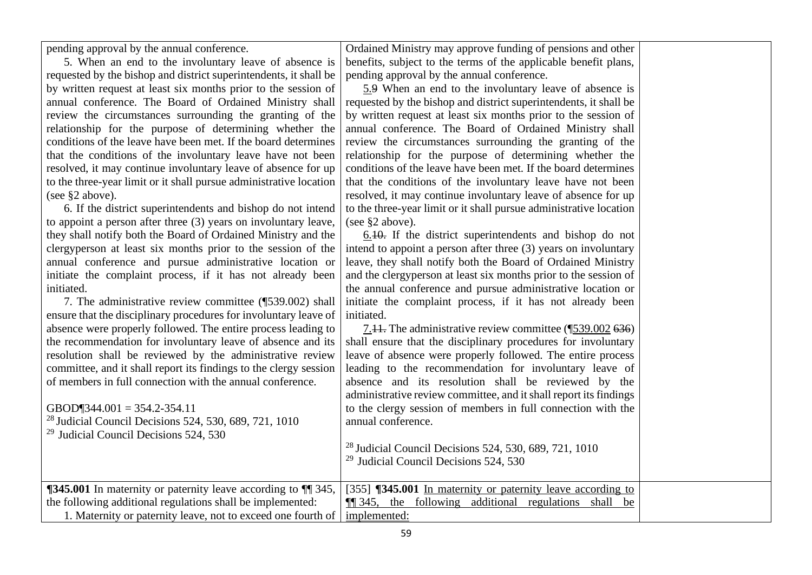pending approval by the annual conference.

5. When an end to the involuntary leave of absence is requested by the bishop and district superintendents, it shall be by written request at least six months prior to the session of annual conference. The Board of Ordained Ministry shall review the circumstances surrounding the granting of the relationship for the purpose of determining whether the conditions of the leave have been met. If the board determines that the conditions of the involuntary leave have not been resolved, it may continue involuntary leave of absence for up to the three-year limit or it shall pursue administrative location (see §2 above).

6. If the district superintendents and bishop do not intend to appoint a person after three (3) years on involuntary leave, they shall notify both the Board of Ordained Ministry and the clergyperson at least six months prior to the session of the annual conference and pursue administrative location or initiate the complaint process, if it has not already been initiated.

7. The administrative review committee (¶539.002) shall ensure that the disciplinary procedures for involuntary leave of absence were properly followed. The entire process leading to the recommendation for involuntary leave of absence and its resolution shall be reviewed by the administrative review committee, and it shall report its findings to the clergy session of members in full connection with the annual conference.

GBOD¶344.001 = 354.2-354.11 <sup>28</sup> Judicial Council Decisions 524, 530, 689, 721, 1010  $29$  Judicial Council Decisions 524, 530

Ordained Ministry may approve funding of pensions and other benefits, subject to the terms of the applicable benefit plans, pending approval by the annual conference.

5.9 When an end to the involuntary leave of absence is requested by the bishop and district superintendents, it shall be by written request at least six months prior to the session of annual conference. The Board of Ordained Ministry shall review the circumstances surrounding the granting of the relationship for the purpose of determining whether the conditions of the leave have been met. If the board determines that the conditions of the involuntary leave have not been resolved, it may continue involuntary leave of absence for up to the three-year limit or it shall pursue administrative location (see §2 above).

6.10. If the district superintendents and bishop do not intend to appoint a person after three (3) years on involuntary leave, they shall notify both the Board of Ordained Ministry and the clergyperson at least six months prior to the session of the annual conference and pursue administrative location or initiate the complaint process, if it has not already been initiated.

7.11. The administrative review committee (¶539.002 636) shall ensure that the disciplinary procedures for involuntary leave of absence were properly followed. The entire process leading to the recommendation for involuntary leave of absence and its resolution shall be reviewed by the administrative review committee, and it shall report its findings to the clergy session of members in full connection with the annual conference.

<sup>28</sup> Judicial Council Decisions 524, 530, 689, 721, 1010  $29$  Judicial Council Decisions 524, 530

|                                                                             | <b>9345.001</b> In maternity or paternity leave according to 19 345, [355] 1345.001 In maternity or paternity leave according to |  |
|-----------------------------------------------------------------------------|----------------------------------------------------------------------------------------------------------------------------------|--|
|                                                                             | the following additional regulations shall be implemented: $\sqrt{M}$ 345, the following additional regulations shall be         |  |
| 1. Maternity or paternity leave, not to exceed one fourth of   implemented: |                                                                                                                                  |  |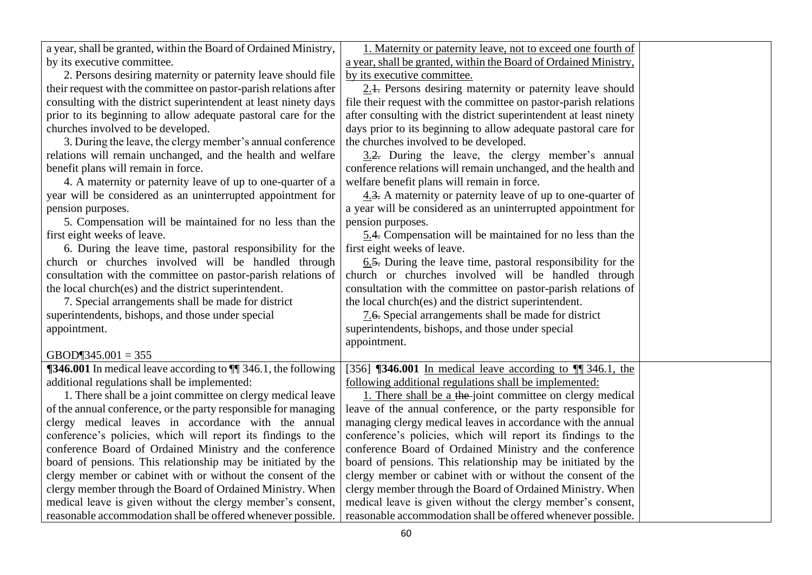| a year, shall be granted, within the Board of Ordained Ministry,  | 1. Maternity or paternity leave, not to exceed one fourth of      |  |
|-------------------------------------------------------------------|-------------------------------------------------------------------|--|
| by its executive committee.                                       | a year, shall be granted, within the Board of Ordained Ministry,  |  |
| 2. Persons desiring maternity or paternity leave should file      | by its executive committee.                                       |  |
| their request with the committee on pastor-parish relations after | 2.1. Persons desiring maternity or paternity leave should         |  |
| consulting with the district superintendent at least ninety days  | file their request with the committee on pastor-parish relations  |  |
| prior to its beginning to allow adequate pastoral care for the    | after consulting with the district superintendent at least ninety |  |
| churches involved to be developed.                                | days prior to its beginning to allow adequate pastoral care for   |  |
| 3. During the leave, the clergy member's annual conference        | the churches involved to be developed.                            |  |
| relations will remain unchanged, and the health and welfare       | 3.2. During the leave, the clergy member's annual                 |  |
| benefit plans will remain in force.                               | conference relations will remain unchanged, and the health and    |  |
| 4. A maternity or paternity leave of up to one-quarter of a       | welfare benefit plans will remain in force.                       |  |
| year will be considered as an uninterrupted appointment for       | 4.3. A maternity or paternity leave of up to one-quarter of       |  |
| pension purposes.                                                 | a year will be considered as an uninterrupted appointment for     |  |
| 5. Compensation will be maintained for no less than the           | pension purposes.                                                 |  |
| first eight weeks of leave.                                       | 5.4. Compensation will be maintained for no less than the         |  |
| 6. During the leave time, pastoral responsibility for the         | first eight weeks of leave.                                       |  |
| church or churches involved will be handled through               | $6.5$ . During the leave time, pastoral responsibility for the    |  |
| consultation with the committee on pastor-parish relations of     | church or churches involved will be handled through               |  |
| the local church(es) and the district superintendent.             | consultation with the committee on pastor-parish relations of     |  |
| 7. Special arrangements shall be made for district                | the local church (es) and the district superintendent.            |  |
| superintendents, bishops, and those under special                 | 7.6. Special arrangements shall be made for district              |  |
| appointment.                                                      | superintendents, bishops, and those under special                 |  |
|                                                                   | appointment.                                                      |  |
| $GBOD$ 345.001 = 355                                              |                                                                   |  |
| ¶346.001 In medical leave according to ¶¶ 346.1, the following    | [356] $\P$ 346.001 In medical leave according to $\P$ 346.1, the  |  |
| additional regulations shall be implemented:                      | following additional regulations shall be implemented:            |  |
| 1. There shall be a joint committee on clergy medical leave       | 1. There shall be a the-joint committee on clergy medical         |  |
| of the annual conference, or the party responsible for managing   | leave of the annual conference, or the party responsible for      |  |
| clergy medical leaves in accordance with the annual               | managing clergy medical leaves in accordance with the annual      |  |
| conference's policies, which will report its findings to the      | conference's policies, which will report its findings to the      |  |
| conference Board of Ordained Ministry and the conference          | conference Board of Ordained Ministry and the conference          |  |
| board of pensions. This relationship may be initiated by the      | board of pensions. This relationship may be initiated by the      |  |
| clergy member or cabinet with or without the consent of the       | clergy member or cabinet with or without the consent of the       |  |
| clergy member through the Board of Ordained Ministry. When        | clergy member through the Board of Ordained Ministry. When        |  |
| medical leave is given without the clergy member's consent,       | medical leave is given without the clergy member's consent,       |  |
| reasonable accommodation shall be offered whenever possible.      | reasonable accommodation shall be offered whenever possible.      |  |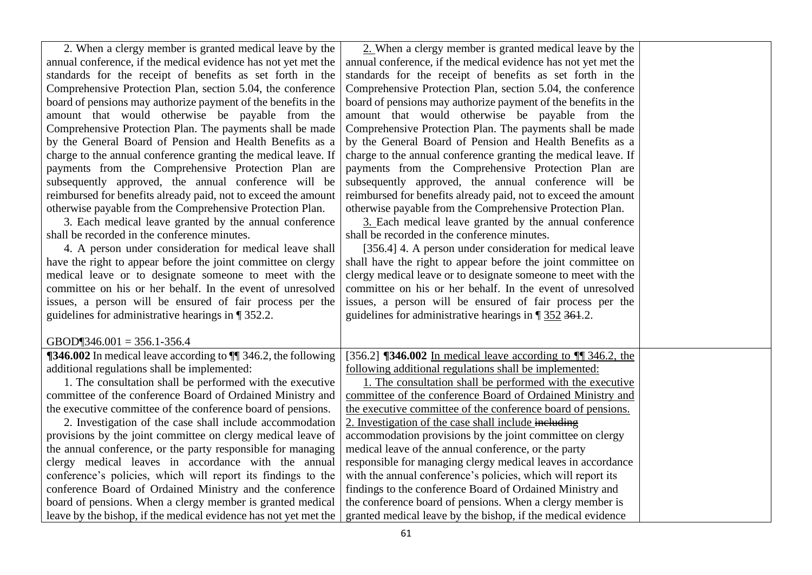| 2. When a clergy member is granted medical leave by the                       | 2. When a clergy member is granted medical leave by the            |  |
|-------------------------------------------------------------------------------|--------------------------------------------------------------------|--|
| annual conference, if the medical evidence has not yet met the                | annual conference, if the medical evidence has not yet met the     |  |
| standards for the receipt of benefits as set forth in the                     | standards for the receipt of benefits as set forth in the          |  |
| Comprehensive Protection Plan, section 5.04, the conference                   | Comprehensive Protection Plan, section 5.04, the conference        |  |
| board of pensions may authorize payment of the benefits in the                | board of pensions may authorize payment of the benefits in the     |  |
| amount that would otherwise be payable from the                               | amount that would otherwise be payable from the                    |  |
| Comprehensive Protection Plan. The payments shall be made                     | Comprehensive Protection Plan. The payments shall be made          |  |
| by the General Board of Pension and Health Benefits as a                      | by the General Board of Pension and Health Benefits as a           |  |
| charge to the annual conference granting the medical leave. If                | charge to the annual conference granting the medical leave. If     |  |
| payments from the Comprehensive Protection Plan are                           | payments from the Comprehensive Protection Plan are                |  |
| subsequently approved, the annual conference will be                          | subsequently approved, the annual conference will be               |  |
| reimbursed for benefits already paid, not to exceed the amount                | reimbursed for benefits already paid, not to exceed the amount     |  |
| otherwise payable from the Comprehensive Protection Plan.                     | otherwise payable from the Comprehensive Protection Plan.          |  |
| 3. Each medical leave granted by the annual conference                        | 3. Each medical leave granted by the annual conference             |  |
| shall be recorded in the conference minutes.                                  | shall be recorded in the conference minutes.                       |  |
| 4. A person under consideration for medical leave shall                       | [356.4] 4. A person under consideration for medical leave          |  |
| have the right to appear before the joint committee on clergy                 | shall have the right to appear before the joint committee on       |  |
| medical leave or to designate someone to meet with the                        | clergy medical leave or to designate someone to meet with the      |  |
| committee on his or her behalf. In the event of unresolved                    | committee on his or her behalf. In the event of unresolved         |  |
| issues, a person will be ensured of fair process per the                      | issues, a person will be ensured of fair process per the           |  |
| guidelines for administrative hearings in $\P$ 352.2.                         | guidelines for administrative hearings in $\S$ 352 361.2.          |  |
|                                                                               |                                                                    |  |
| GBOD¶346.001 = 356.1-356.4                                                    |                                                                    |  |
| <b>[346.002</b> In medical leave according to <b>[</b> [ 346.2, the following | [356.2] $\P$ 346.002 In medical leave according to $\P$ 346.2, the |  |
| additional regulations shall be implemented:                                  | following additional regulations shall be implemented:             |  |
| 1. The consultation shall be performed with the executive                     | 1. The consultation shall be performed with the executive          |  |
| committee of the conference Board of Ordained Ministry and                    | committee of the conference Board of Ordained Ministry and         |  |
| the executive committee of the conference board of pensions.                  | the executive committee of the conference board of pensions.       |  |
| 2. Investigation of the case shall include accommodation                      | 2. Investigation of the case shall include including               |  |
| provisions by the joint committee on clergy medical leave of                  | accommodation provisions by the joint committee on clergy          |  |
| the annual conference, or the party responsible for managing                  | medical leave of the annual conference, or the party               |  |
| clergy medical leaves in accordance with the annual                           | responsible for managing clergy medical leaves in accordance       |  |
| conference's policies, which will report its findings to the                  | with the annual conference's policies, which will report its       |  |
| conference Board of Ordained Ministry and the conference                      | findings to the conference Board of Ordained Ministry and          |  |
| board of pensions. When a clergy member is granted medical                    | the conference board of pensions. When a clergy member is          |  |
| leave by the bishop, if the medical evidence has not yet met the              | granted medical leave by the bishop, if the medical evidence       |  |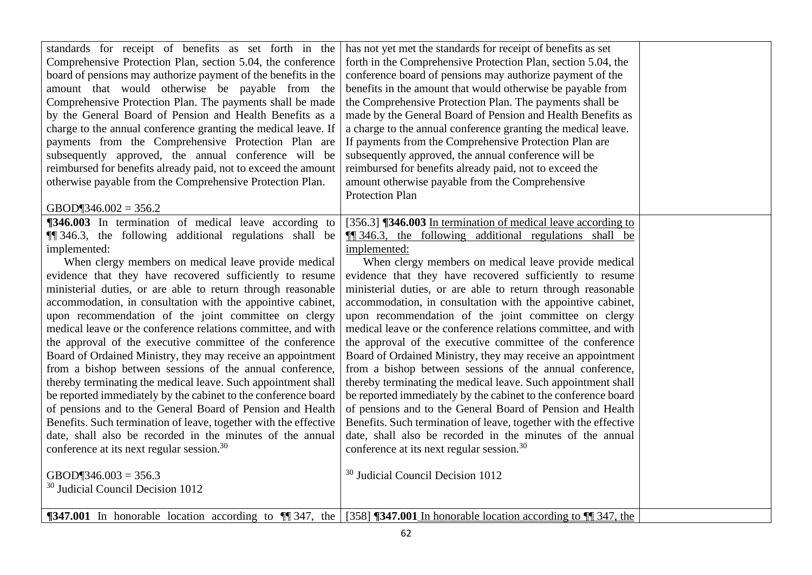| standards for receipt of benefits as set forth in the                                           | has not yet met the standards for receipt of benefits as set                 |  |
|-------------------------------------------------------------------------------------------------|------------------------------------------------------------------------------|--|
| Comprehensive Protection Plan, section 5.04, the conference                                     | forth in the Comprehensive Protection Plan, section 5.04, the                |  |
| board of pensions may authorize payment of the benefits in the                                  | conference board of pensions may authorize payment of the                    |  |
| amount that would otherwise be payable from the                                                 | benefits in the amount that would otherwise be payable from                  |  |
| Comprehensive Protection Plan. The payments shall be made                                       | the Comprehensive Protection Plan. The payments shall be                     |  |
| by the General Board of Pension and Health Benefits as a                                        | made by the General Board of Pension and Health Benefits as                  |  |
| charge to the annual conference granting the medical leave. If                                  | a charge to the annual conference granting the medical leave.                |  |
| payments from the Comprehensive Protection Plan are                                             | If payments from the Comprehensive Protection Plan are                       |  |
| subsequently approved, the annual conference will be                                            | subsequently approved, the annual conference will be                         |  |
| reimbursed for benefits already paid, not to exceed the amount                                  | reimbursed for benefits already paid, not to exceed the                      |  |
| otherwise payable from the Comprehensive Protection Plan.                                       | amount otherwise payable from the Comprehensive                              |  |
|                                                                                                 | <b>Protection Plan</b>                                                       |  |
| GBOD¶346.002 = 356.2                                                                            |                                                                              |  |
| ¶346.003 In termination of medical leave according to                                           | [356.3] ¶346.003 In termination of medical leave according to                |  |
| <b>II</b> 346.3, the following additional regulations shall be                                  | <b>11</b> 346.3, the following additional regulations shall be               |  |
| implemented:                                                                                    | implemented:                                                                 |  |
| When clergy members on medical leave provide medical                                            | When clergy members on medical leave provide medical                         |  |
| evidence that they have recovered sufficiently to resume                                        | evidence that they have recovered sufficiently to resume                     |  |
| ministerial duties, or are able to return through reasonable                                    | ministerial duties, or are able to return through reasonable                 |  |
| accommodation, in consultation with the appointive cabinet,                                     | accommodation, in consultation with the appointive cabinet,                  |  |
| upon recommendation of the joint committee on clergy                                            | upon recommendation of the joint committee on clergy                         |  |
| medical leave or the conference relations committee, and with                                   | medical leave or the conference relations committee, and with                |  |
| the approval of the executive committee of the conference                                       | the approval of the executive committee of the conference                    |  |
| Board of Ordained Ministry, they may receive an appointment                                     | Board of Ordained Ministry, they may receive an appointment                  |  |
| from a bishop between sessions of the annual conference,                                        | from a bishop between sessions of the annual conference,                     |  |
| thereby terminating the medical leave. Such appointment shall                                   | thereby terminating the medical leave. Such appointment shall                |  |
| be reported immediately by the cabinet to the conference board                                  | be reported immediately by the cabinet to the conference board               |  |
| of pensions and to the General Board of Pension and Health                                      | of pensions and to the General Board of Pension and Health                   |  |
| Benefits. Such termination of leave, together with the effective                                | Benefits. Such termination of leave, together with the effective             |  |
| date, shall also be recorded in the minutes of the annual                                       | date, shall also be recorded in the minutes of the annual                    |  |
| conference at its next regular session. <sup>30</sup>                                           | conference at its next regular session. <sup>30</sup>                        |  |
|                                                                                                 |                                                                              |  |
| GBOD¶346.003 = 356.3                                                                            | <sup>30</sup> Judicial Council Decision 1012                                 |  |
| <sup>30</sup> Judicial Council Decision 1012                                                    |                                                                              |  |
|                                                                                                 |                                                                              |  |
| <b><math>\sqrt{347.001}</math></b> In honorable location according to $\sqrt{\sqrt{347}}$ , the | [358] <b>[347.001</b> In honorable location according to <b>[1]</b> 347, the |  |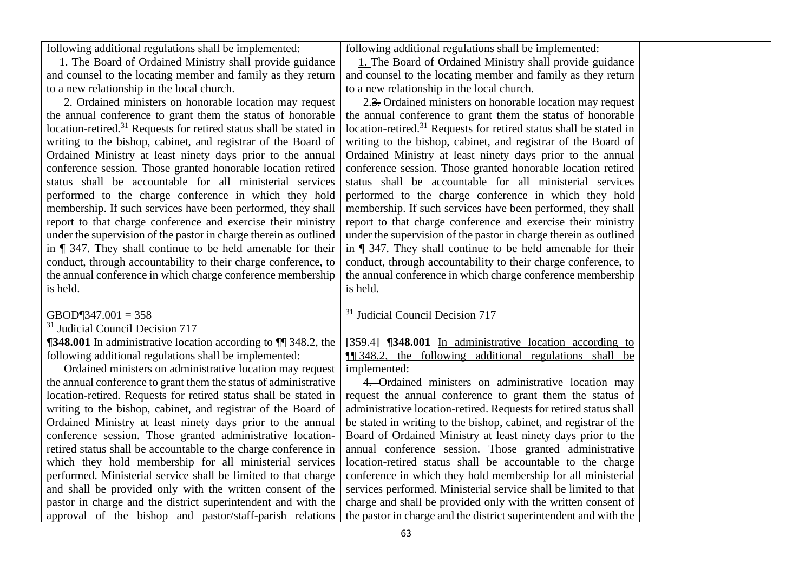| following additional regulations shall be implemented:                                                              | following additional regulations shall be implemented:                         |  |
|---------------------------------------------------------------------------------------------------------------------|--------------------------------------------------------------------------------|--|
| 1. The Board of Ordained Ministry shall provide guidance                                                            | 1. The Board of Ordained Ministry shall provide guidance                       |  |
| and counsel to the locating member and family as they return                                                        | and counsel to the locating member and family as they return                   |  |
| to a new relationship in the local church.                                                                          | to a new relationship in the local church.                                     |  |
| 2. Ordained ministers on honorable location may request                                                             | 2.3. Ordained ministers on honorable location may request                      |  |
| the annual conference to grant them the status of honorable                                                         | the annual conference to grant them the status of honorable                    |  |
| location-retired. <sup>31</sup> Requests for retired status shall be stated in                                      | location-retired. <sup>31</sup> Requests for retired status shall be stated in |  |
| writing to the bishop, cabinet, and registrar of the Board of                                                       | writing to the bishop, cabinet, and registrar of the Board of                  |  |
| Ordained Ministry at least ninety days prior to the annual                                                          | Ordained Ministry at least ninety days prior to the annual                     |  |
| conference session. Those granted honorable location retired                                                        | conference session. Those granted honorable location retired                   |  |
| status shall be accountable for all ministerial services                                                            | status shall be accountable for all ministerial services                       |  |
| performed to the charge conference in which they hold                                                               | performed to the charge conference in which they hold                          |  |
| membership. If such services have been performed, they shall                                                        | membership. If such services have been performed, they shall                   |  |
| report to that charge conference and exercise their ministry                                                        | report to that charge conference and exercise their ministry                   |  |
| under the supervision of the pastor in charge therein as outlined                                                   | under the supervision of the pastor in charge therein as outlined              |  |
| in $\P$ 347. They shall continue to be held amenable for their                                                      | in $\P$ 347. They shall continue to be held amenable for their                 |  |
| conduct, through accountability to their charge conference, to                                                      | conduct, through accountability to their charge conference, to                 |  |
| the annual conference in which charge conference membership                                                         | the annual conference in which charge conference membership                    |  |
| is held.                                                                                                            | is held.                                                                       |  |
|                                                                                                                     | <sup>31</sup> Judicial Council Decision 717                                    |  |
| $GBOD$ $347.001 = 358$                                                                                              |                                                                                |  |
| <sup>31</sup> Judicial Council Decision 717                                                                         |                                                                                |  |
| ¶348.001 In administrative location according to ¶ 348.2, the                                                       | [359.4] <b>[348.001</b> In administrative location according to                |  |
| following additional regulations shall be implemented:<br>Ordained ministers on administrative location may request | <b>11</b> 348.2, the following additional regulations shall be<br>implemented: |  |
| the annual conference to grant them the status of administrative                                                    | 4. Ordained ministers on administrative location may                           |  |
| location-retired. Requests for retired status shall be stated in                                                    | request the annual conference to grant them the status of                      |  |
| writing to the bishop, cabinet, and registrar of the Board of                                                       | administrative location-retired. Requests for retired status shall             |  |
| Ordained Ministry at least ninety days prior to the annual                                                          | be stated in writing to the bishop, cabinet, and registrar of the              |  |
| conference session. Those granted administrative location-                                                          | Board of Ordained Ministry at least ninety days prior to the                   |  |
| retired status shall be accountable to the charge conference in                                                     | annual conference session. Those granted administrative                        |  |
| which they hold membership for all ministerial services                                                             | location-retired status shall be accountable to the charge                     |  |
| performed. Ministerial service shall be limited to that charge                                                      | conference in which they hold membership for all ministerial                   |  |
| and shall be provided only with the written consent of the                                                          | services performed. Ministerial service shall be limited to that               |  |
| pastor in charge and the district superintendent and with the                                                       | charge and shall be provided only with the written consent of                  |  |
| approval of the bishop and pastor/staff-parish relations                                                            | the pastor in charge and the district superintendent and with the              |  |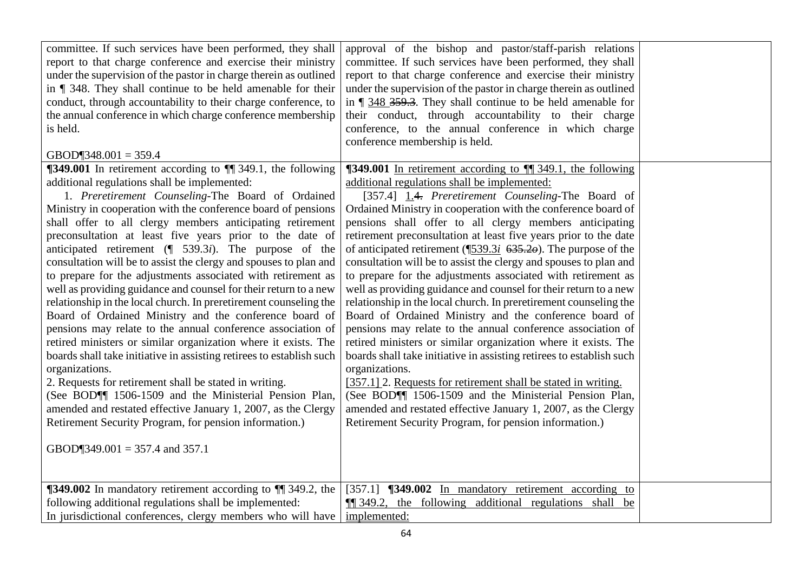| committee. If such services have been performed, they shall<br>report to that charge conference and exercise their ministry<br>under the supervision of the pastor in charge therein as outlined<br>in $\P$ 348. They shall continue to be held amenable for their<br>conduct, through accountability to their charge conference, to<br>the annual conference in which charge conference membership<br>is held.                                                                                                                                                                                                                                                                                                                                                                                                                                                                                                                                                                                                                                                                                                                                                                                                                                                                                                   | approval of the bishop and pastor/staff-parish relations<br>committee. If such services have been performed, they shall<br>report to that charge conference and exercise their ministry<br>under the supervision of the pastor in charge therein as outlined<br>in $\P$ 348 359.3. They shall continue to be held amenable for<br>their conduct, through accountability to their charge<br>conference, to the annual conference in which charge                                                                                                                                                                                                                                                                                                                                                                                                                                                                                                                                                                                                                                                                                                                                                                                                                                               |  |
|-------------------------------------------------------------------------------------------------------------------------------------------------------------------------------------------------------------------------------------------------------------------------------------------------------------------------------------------------------------------------------------------------------------------------------------------------------------------------------------------------------------------------------------------------------------------------------------------------------------------------------------------------------------------------------------------------------------------------------------------------------------------------------------------------------------------------------------------------------------------------------------------------------------------------------------------------------------------------------------------------------------------------------------------------------------------------------------------------------------------------------------------------------------------------------------------------------------------------------------------------------------------------------------------------------------------|-----------------------------------------------------------------------------------------------------------------------------------------------------------------------------------------------------------------------------------------------------------------------------------------------------------------------------------------------------------------------------------------------------------------------------------------------------------------------------------------------------------------------------------------------------------------------------------------------------------------------------------------------------------------------------------------------------------------------------------------------------------------------------------------------------------------------------------------------------------------------------------------------------------------------------------------------------------------------------------------------------------------------------------------------------------------------------------------------------------------------------------------------------------------------------------------------------------------------------------------------------------------------------------------------|--|
|                                                                                                                                                                                                                                                                                                                                                                                                                                                                                                                                                                                                                                                                                                                                                                                                                                                                                                                                                                                                                                                                                                                                                                                                                                                                                                                   | conference membership is held.                                                                                                                                                                                                                                                                                                                                                                                                                                                                                                                                                                                                                                                                                                                                                                                                                                                                                                                                                                                                                                                                                                                                                                                                                                                                |  |
| GBOD¶348.001 = 359.4                                                                                                                                                                                                                                                                                                                                                                                                                                                                                                                                                                                                                                                                                                                                                                                                                                                                                                                                                                                                                                                                                                                                                                                                                                                                                              |                                                                                                                                                                                                                                                                                                                                                                                                                                                                                                                                                                                                                                                                                                                                                                                                                                                                                                                                                                                                                                                                                                                                                                                                                                                                                               |  |
| <b><math>\P</math>349.001</b> In retirement according to $\P$ 349.1, the following<br>additional regulations shall be implemented:<br>1. Preretirement Counseling-The Board of Ordained<br>Ministry in cooperation with the conference board of pensions<br>shall offer to all clergy members anticipating retirement<br>preconsultation at least five years prior to the date of<br>anticipated retirement ( $\parallel$ 539.3 <i>i</i> ). The purpose of the<br>consultation will be to assist the clergy and spouses to plan and<br>to prepare for the adjustments associated with retirement as<br>well as providing guidance and counsel for their return to a new<br>relationship in the local church. In preretirement counseling the<br>Board of Ordained Ministry and the conference board of<br>pensions may relate to the annual conference association of<br>retired ministers or similar organization where it exists. The<br>boards shall take initiative in assisting retirees to establish such<br>organizations.<br>2. Requests for retirement shall be stated in writing.<br>(See BOD¶ 1506-1509 and the Ministerial Pension Plan,<br>amended and restated effective January 1, 2007, as the Clergy<br>Retirement Security Program, for pension information.)<br>GBOD¶349.001 = 357.4 and 357.1 | <b>[349.001</b> In retirement according to <b>[1]</b> 349.1, the following<br>additional regulations shall be implemented:<br>[357.4] 1.4. Preretirement Counseling-The Board of<br>Ordained Ministry in cooperation with the conference board of<br>pensions shall offer to all clergy members anticipating<br>retirement preconsultation at least five years prior to the date<br>of anticipated retirement ( $\sqrt{539.3i}$ 635.2 $\theta$ ). The purpose of the<br>consultation will be to assist the clergy and spouses to plan and<br>to prepare for the adjustments associated with retirement as<br>well as providing guidance and counsel for their return to a new<br>relationship in the local church. In preretirement counseling the<br>Board of Ordained Ministry and the conference board of<br>pensions may relate to the annual conference association of<br>retired ministers or similar organization where it exists. The<br>boards shall take initiative in assisting retirees to establish such<br>organizations.<br>[357.1] 2. Requests for retirement shall be stated in writing.<br>(See BOD¶ 1506-1509 and the Ministerial Pension Plan,<br>amended and restated effective January 1, 2007, as the Clergy<br>Retirement Security Program, for pension information.) |  |
| <b>[349.002</b> In mandatory retirement according to <b>[1]</b> 349.2, the                                                                                                                                                                                                                                                                                                                                                                                                                                                                                                                                                                                                                                                                                                                                                                                                                                                                                                                                                                                                                                                                                                                                                                                                                                        | [357.1] ¶349.002 In mandatory retirement according to                                                                                                                                                                                                                                                                                                                                                                                                                                                                                                                                                                                                                                                                                                                                                                                                                                                                                                                                                                                                                                                                                                                                                                                                                                         |  |
| following additional regulations shall be implemented:                                                                                                                                                                                                                                                                                                                                                                                                                                                                                                                                                                                                                                                                                                                                                                                                                                                                                                                                                                                                                                                                                                                                                                                                                                                            | <b>II</b> 349.2, the following additional regulations shall be                                                                                                                                                                                                                                                                                                                                                                                                                                                                                                                                                                                                                                                                                                                                                                                                                                                                                                                                                                                                                                                                                                                                                                                                                                |  |
| In jurisdictional conferences, clergy members who will have                                                                                                                                                                                                                                                                                                                                                                                                                                                                                                                                                                                                                                                                                                                                                                                                                                                                                                                                                                                                                                                                                                                                                                                                                                                       | implemented:                                                                                                                                                                                                                                                                                                                                                                                                                                                                                                                                                                                                                                                                                                                                                                                                                                                                                                                                                                                                                                                                                                                                                                                                                                                                                  |  |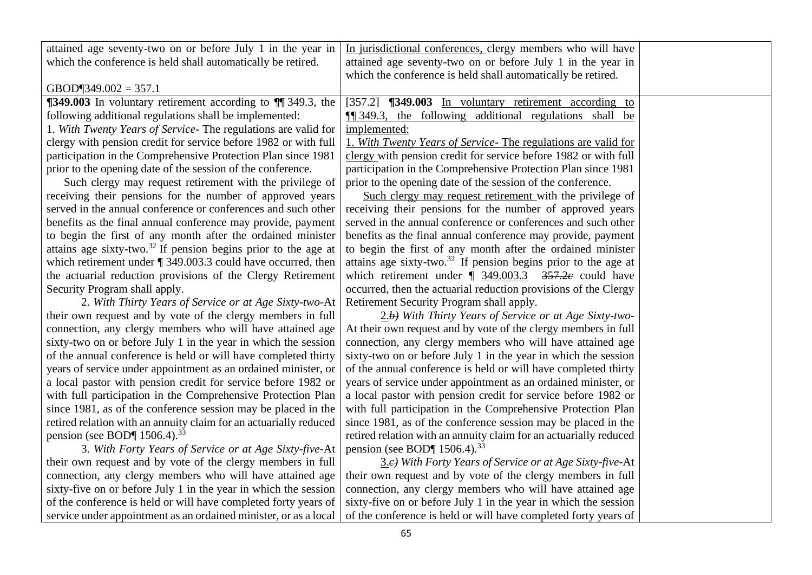| attained age seventy-two on or before July 1 in the year in<br>which the conference is held shall automatically be retired. | In jurisdictional conferences, clergy members who will have<br>attained age seventy-two on or before July 1 in the year in |  |
|-----------------------------------------------------------------------------------------------------------------------------|----------------------------------------------------------------------------------------------------------------------------|--|
| GBOD¶349.002 = 357.1                                                                                                        | which the conference is held shall automatically be retired.                                                               |  |
| <b>[349.003</b> In voluntary retirement according to <b>[</b> ] 349.3, the                                                  | [357.2] <b>[349.003</b> In voluntary retirement according to                                                               |  |
| following additional regulations shall be implemented:                                                                      | 11 349.3, the following additional regulations shall be                                                                    |  |
| 1. With Twenty Years of Service-The regulations are valid for                                                               | implemented:                                                                                                               |  |
| clergy with pension credit for service before 1982 or with full                                                             | 1. With Twenty Years of Service- The regulations are valid for                                                             |  |
| participation in the Comprehensive Protection Plan since 1981                                                               | clergy with pension credit for service before 1982 or with full                                                            |  |
| prior to the opening date of the session of the conference.                                                                 | participation in the Comprehensive Protection Plan since 1981                                                              |  |
| Such clergy may request retirement with the privilege of                                                                    | prior to the opening date of the session of the conference.                                                                |  |
| receiving their pensions for the number of approved years                                                                   | Such clergy may request retirement with the privilege of                                                                   |  |
| served in the annual conference or conferences and such other                                                               | receiving their pensions for the number of approved years                                                                  |  |
| benefits as the final annual conference may provide, payment                                                                | served in the annual conference or conferences and such other                                                              |  |
| to begin the first of any month after the ordained minister                                                                 | benefits as the final annual conference may provide, payment                                                               |  |
| attains age sixty-two. <sup>32</sup> If pension begins prior to the age at                                                  | to begin the first of any month after the ordained minister                                                                |  |
| which retirement under $\P$ 349.003.3 could have occurred, then                                                             | attains age sixty-two. <sup>32</sup> If pension begins prior to the age at                                                 |  |
| the actuarial reduction provisions of the Clergy Retirement                                                                 | which retirement under $\int$ 349.003.3 357.2e could have                                                                  |  |
| Security Program shall apply.                                                                                               | occurred, then the actuarial reduction provisions of the Clergy                                                            |  |
| 2. With Thirty Years of Service or at Age Sixty-two-At                                                                      | Retirement Security Program shall apply.                                                                                   |  |
| their own request and by vote of the clergy members in full                                                                 | 2.b) With Thirty Years of Service or at Age Sixty-two-                                                                     |  |
| connection, any clergy members who will have attained age                                                                   | At their own request and by vote of the clergy members in full                                                             |  |
| sixty-two on or before July 1 in the year in which the session                                                              | connection, any clergy members who will have attained age                                                                  |  |
| of the annual conference is held or will have completed thirty                                                              | sixty-two on or before July 1 in the year in which the session                                                             |  |
| years of service under appointment as an ordained minister, or                                                              | of the annual conference is held or will have completed thirty                                                             |  |
| a local pastor with pension credit for service before 1982 or                                                               | years of service under appointment as an ordained minister, or                                                             |  |
| with full participation in the Comprehensive Protection Plan                                                                | a local pastor with pension credit for service before 1982 or                                                              |  |
| since 1981, as of the conference session may be placed in the                                                               | with full participation in the Comprehensive Protection Plan                                                               |  |
| retired relation with an annuity claim for an actuarially reduced                                                           | since 1981, as of the conference session may be placed in the                                                              |  |
| pension (see BOD¶ 1506.4). <sup>33</sup>                                                                                    | retired relation with an annuity claim for an actuarially reduced                                                          |  |
| 3. With Forty Years of Service or at Age Sixty-five-At                                                                      | pension (see BOD¶ 1506.4). <sup>33</sup>                                                                                   |  |
| their own request and by vote of the clergy members in full                                                                 | 3.e) With Forty Years of Service or at Age Sixty-five-At                                                                   |  |
| connection, any clergy members who will have attained age                                                                   | their own request and by vote of the clergy members in full                                                                |  |
| sixty-five on or before July 1 in the year in which the session                                                             | connection, any clergy members who will have attained age                                                                  |  |
| of the conference is held or will have completed forty years of                                                             | sixty-five on or before July 1 in the year in which the session                                                            |  |
| service under appointment as an ordained minister, or as a local                                                            | of the conference is held or will have completed forty years of                                                            |  |
|                                                                                                                             | 65                                                                                                                         |  |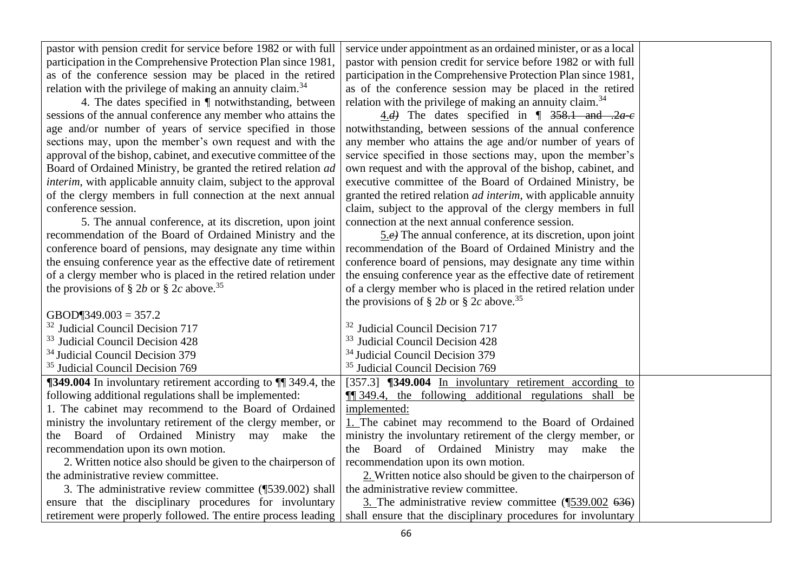| pastor with pension credit for service before 1982 or with full<br>participation in the Comprehensive Protection Plan since 1981,<br>as of the conference session may be placed in the retired<br>relation with the privilege of making an annuity claim. <sup>34</sup> | service under appointment as an ordained minister, or as a local<br>pastor with pension credit for service before 1982 or with full<br>participation in the Comprehensive Protection Plan since 1981,<br>as of the conference session may be placed in the retired |  |
|-------------------------------------------------------------------------------------------------------------------------------------------------------------------------------------------------------------------------------------------------------------------------|--------------------------------------------------------------------------------------------------------------------------------------------------------------------------------------------------------------------------------------------------------------------|--|
| 4. The dates specified in $\P$ notwithstanding, between                                                                                                                                                                                                                 | relation with the privilege of making an annuity claim. <sup>34</sup>                                                                                                                                                                                              |  |
| sessions of the annual conference any member who attains the                                                                                                                                                                                                            | $\underline{4.d}$ The dates specified in <b>1</b> 358.1 and 2 <i>a-e</i>                                                                                                                                                                                           |  |
| age and/or number of years of service specified in those                                                                                                                                                                                                                | notwithstanding, between sessions of the annual conference                                                                                                                                                                                                         |  |
| sections may, upon the member's own request and with the<br>approval of the bishop, cabinet, and executive committee of the                                                                                                                                             | any member who attains the age and/or number of years of<br>service specified in those sections may, upon the member's                                                                                                                                             |  |
| Board of Ordained Ministry, be granted the retired relation ad                                                                                                                                                                                                          | own request and with the approval of the bishop, cabinet, and                                                                                                                                                                                                      |  |
| interim, with applicable annuity claim, subject to the approval                                                                                                                                                                                                         | executive committee of the Board of Ordained Ministry, be                                                                                                                                                                                                          |  |
| of the clergy members in full connection at the next annual                                                                                                                                                                                                             | granted the retired relation <i>ad interim</i> , with applicable annuity                                                                                                                                                                                           |  |
| conference session.                                                                                                                                                                                                                                                     | claim, subject to the approval of the clergy members in full                                                                                                                                                                                                       |  |
| 5. The annual conference, at its discretion, upon joint                                                                                                                                                                                                                 | connection at the next annual conference session.                                                                                                                                                                                                                  |  |
| recommendation of the Board of Ordained Ministry and the                                                                                                                                                                                                                | $5.e$ ) The annual conference, at its discretion, upon joint                                                                                                                                                                                                       |  |
| conference board of pensions, may designate any time within                                                                                                                                                                                                             | recommendation of the Board of Ordained Ministry and the                                                                                                                                                                                                           |  |
| the ensuing conference year as the effective date of retirement                                                                                                                                                                                                         | conference board of pensions, may designate any time within                                                                                                                                                                                                        |  |
| of a clergy member who is placed in the retired relation under                                                                                                                                                                                                          | the ensuing conference year as the effective date of retirement                                                                                                                                                                                                    |  |
| the provisions of § 2 <i>b</i> or § 2 <i>c</i> above. <sup>35</sup>                                                                                                                                                                                                     | of a clergy member who is placed in the retired relation under                                                                                                                                                                                                     |  |
| GBOD¶349.003 = 357.2                                                                                                                                                                                                                                                    | the provisions of $\S 2b$ or $\S 2c$ above. <sup>35</sup>                                                                                                                                                                                                          |  |
| <sup>32</sup> Judicial Council Decision 717                                                                                                                                                                                                                             | <sup>32</sup> Judicial Council Decision 717                                                                                                                                                                                                                        |  |
| <sup>33</sup> Judicial Council Decision 428                                                                                                                                                                                                                             | <sup>33</sup> Judicial Council Decision 428                                                                                                                                                                                                                        |  |
| <sup>34</sup> Judicial Council Decision 379                                                                                                                                                                                                                             | <sup>34</sup> Judicial Council Decision 379                                                                                                                                                                                                                        |  |
| <sup>35</sup> Judicial Council Decision 769                                                                                                                                                                                                                             | <sup>35</sup> Judicial Council Decision 769                                                                                                                                                                                                                        |  |
| <b>[349.004</b> In involuntary retirement according to <b>[</b> ] 349.4, the                                                                                                                                                                                            | [357.3] <b>[349.004</b> In involuntary retirement according to                                                                                                                                                                                                     |  |
| following additional regulations shall be implemented:                                                                                                                                                                                                                  | <b>II</b> 349.4, the following additional regulations shall be                                                                                                                                                                                                     |  |
| 1. The cabinet may recommend to the Board of Ordained                                                                                                                                                                                                                   | implemented:                                                                                                                                                                                                                                                       |  |
| ministry the involuntary retirement of the clergy member, or                                                                                                                                                                                                            | 1. The cabinet may recommend to the Board of Ordained                                                                                                                                                                                                              |  |
| the Board of Ordained Ministry may make<br>the                                                                                                                                                                                                                          | ministry the involuntary retirement of the clergy member, or                                                                                                                                                                                                       |  |
| recommendation upon its own motion.                                                                                                                                                                                                                                     | the Board of Ordained Ministry may make the                                                                                                                                                                                                                        |  |
| 2. Written notice also should be given to the chairperson of<br>the administrative review committee.                                                                                                                                                                    | recommendation upon its own motion.<br>2. Written notice also should be given to the chairperson of                                                                                                                                                                |  |
| 3. The administrative review committee (¶539.002) shall                                                                                                                                                                                                                 | the administrative review committee.                                                                                                                                                                                                                               |  |
| ensure that the disciplinary procedures for involuntary                                                                                                                                                                                                                 | 3. The administrative review committee $(\frac{539.002}{636})$                                                                                                                                                                                                     |  |
| retirement were properly followed. The entire process leading                                                                                                                                                                                                           | shall ensure that the disciplinary procedures for involuntary                                                                                                                                                                                                      |  |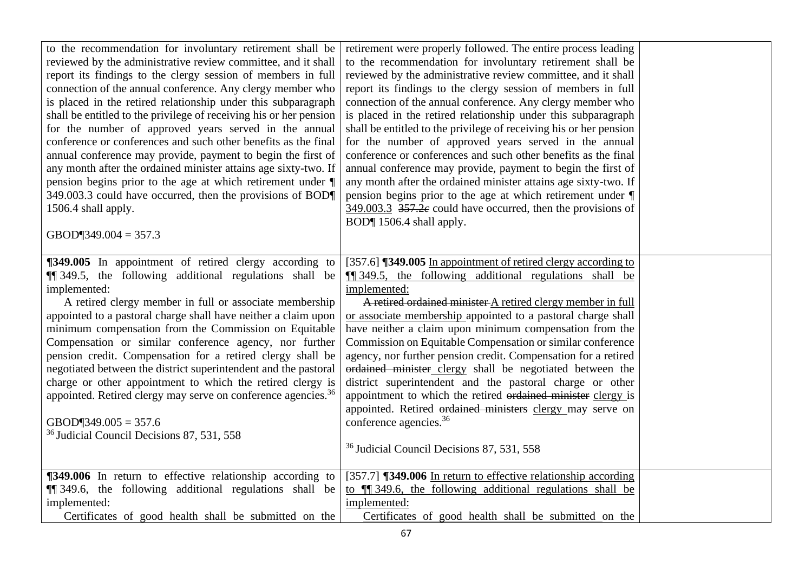| to the recommendation for involuntary retirement shall be                 | retirement were properly followed. The entire process leading      |  |
|---------------------------------------------------------------------------|--------------------------------------------------------------------|--|
| reviewed by the administrative review committee, and it shall             | to the recommendation for involuntary retirement shall be          |  |
| report its findings to the clergy session of members in full              | reviewed by the administrative review committee, and it shall      |  |
| connection of the annual conference. Any clergy member who                | report its findings to the clergy session of members in full       |  |
| is placed in the retired relationship under this subparagraph             | connection of the annual conference. Any clergy member who         |  |
| shall be entitled to the privilege of receiving his or her pension        | is placed in the retired relationship under this subparagraph      |  |
| for the number of approved years served in the annual                     | shall be entitled to the privilege of receiving his or her pension |  |
| conference or conferences and such other benefits as the final            | for the number of approved years served in the annual              |  |
| annual conference may provide, payment to begin the first of              | conference or conferences and such other benefits as the final     |  |
| any month after the ordained minister attains age sixty-two. If           | annual conference may provide, payment to begin the first of       |  |
| pension begins prior to the age at which retirement under                 | any month after the ordained minister attains age sixty-two. If    |  |
| 349.003.3 could have occurred, then the provisions of BOD¶                | pension begins prior to the age at which retirement under \        |  |
| 1506.4 shall apply.                                                       | $349.003.3$ $357.2e$ could have occurred, then the provisions of   |  |
|                                                                           | BOD¶ 1506.4 shall apply.                                           |  |
| GBOD¶349.004 = 357.3                                                      |                                                                    |  |
|                                                                           |                                                                    |  |
| ¶349.005 In appointment of retired clergy according to                    | [357.6] [349.005 In appointment of retired clergy according to     |  |
| <b>II</b> 349.5, the following additional regulations shall be            | <b>11</b> 349.5, the following additional regulations shall be     |  |
| implemented:                                                              | implemented:                                                       |  |
| A retired clergy member in full or associate membership                   | A retired ordained minister A retired clergy member in full        |  |
| appointed to a pastoral charge shall have neither a claim upon            | or associate membership appointed to a pastoral charge shall       |  |
| minimum compensation from the Commission on Equitable                     | have neither a claim upon minimum compensation from the            |  |
| Compensation or similar conference agency, nor further                    | Commission on Equitable Compensation or similar conference         |  |
| pension credit. Compensation for a retired clergy shall be                | agency, nor further pension credit. Compensation for a retired     |  |
| negotiated between the district superintendent and the pastoral           | ordained minister clergy shall be negotiated between the           |  |
| charge or other appointment to which the retired clergy is                | district superintendent and the pastoral charge or other           |  |
| appointed. Retired clergy may serve on conference agencies. <sup>36</sup> | appointment to which the retired ordained minister clergy is       |  |
|                                                                           | appointed. Retired ordained ministers clergy may serve on          |  |
| GBOD¶349.005 = 357.6                                                      | conference agencies. <sup>36</sup>                                 |  |
| <sup>36</sup> Judicial Council Decisions 87, 531, 558                     |                                                                    |  |
|                                                                           | <sup>36</sup> Judicial Council Decisions 87, 531, 558              |  |
|                                                                           |                                                                    |  |
| ¶349.006 In return to effective relationship according to                 | [357.7] ¶349.006 In return to effective relationship according     |  |
| <b>II</b> 349.6, the following additional regulations shall be            | to $\P$ 349.6, the following additional regulations shall be       |  |
| implemented:                                                              | implemented:                                                       |  |
| Certificates of good health shall be submitted on the                     | Certificates of good health shall be submitted on the              |  |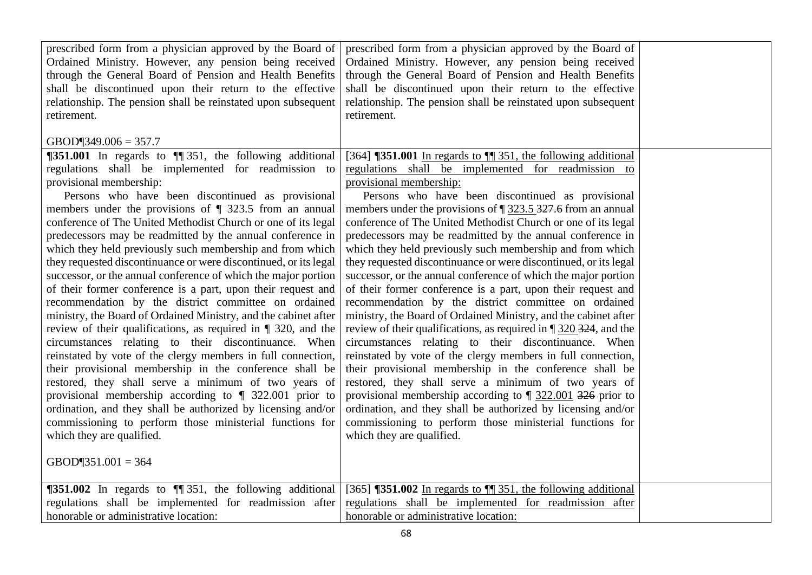| prescribed form from a physician approved by the Board of<br>Ordained Ministry. However, any pension being received<br>through the General Board of Pension and Health Benefits<br>shall be discontinued upon their return to the effective<br>relationship. The pension shall be reinstated upon subsequent<br>retirement.                                                                                                                                                                                                                                                                                                                                                                                                                                                                                                                                                                                                                                                                                                                                                                                                                                                                                                                                                                                                                                  | prescribed form from a physician approved by the Board of<br>Ordained Ministry. However, any pension being received<br>through the General Board of Pension and Health Benefits<br>shall be discontinued upon their return to the effective<br>relationship. The pension shall be reinstated upon subsequent<br>retirement.                                                                                                                                                                                                                                                                                                                                                                                                                                                                                                                                                                                                                                                                                                                                                                                                                                                                                                                                                                                                                                                                   |  |
|--------------------------------------------------------------------------------------------------------------------------------------------------------------------------------------------------------------------------------------------------------------------------------------------------------------------------------------------------------------------------------------------------------------------------------------------------------------------------------------------------------------------------------------------------------------------------------------------------------------------------------------------------------------------------------------------------------------------------------------------------------------------------------------------------------------------------------------------------------------------------------------------------------------------------------------------------------------------------------------------------------------------------------------------------------------------------------------------------------------------------------------------------------------------------------------------------------------------------------------------------------------------------------------------------------------------------------------------------------------|-----------------------------------------------------------------------------------------------------------------------------------------------------------------------------------------------------------------------------------------------------------------------------------------------------------------------------------------------------------------------------------------------------------------------------------------------------------------------------------------------------------------------------------------------------------------------------------------------------------------------------------------------------------------------------------------------------------------------------------------------------------------------------------------------------------------------------------------------------------------------------------------------------------------------------------------------------------------------------------------------------------------------------------------------------------------------------------------------------------------------------------------------------------------------------------------------------------------------------------------------------------------------------------------------------------------------------------------------------------------------------------------------|--|
| $GBOD$ (349.006 = 357.7                                                                                                                                                                                                                                                                                                                                                                                                                                                                                                                                                                                                                                                                                                                                                                                                                                                                                                                                                                                                                                                                                                                                                                                                                                                                                                                                      |                                                                                                                                                                                                                                                                                                                                                                                                                                                                                                                                                                                                                                                                                                                                                                                                                                                                                                                                                                                                                                                                                                                                                                                                                                                                                                                                                                                               |  |
| ¶351.001 In regards to ¶ 351, the following additional<br>regulations shall be implemented for readmission to<br>provisional membership:<br>Persons who have been discontinued as provisional<br>members under the provisions of $\parallel$ 323.5 from an annual<br>conference of The United Methodist Church or one of its legal<br>predecessors may be readmitted by the annual conference in<br>which they held previously such membership and from which<br>they requested discontinuance or were discontinued, or its legal<br>successor, or the annual conference of which the major portion<br>of their former conference is a part, upon their request and<br>recommendation by the district committee on ordained<br>ministry, the Board of Ordained Ministry, and the cabinet after<br>review of their qualifications, as required in $\P$ 320, and the<br>circumstances relating to their discontinuance. When<br>reinstated by vote of the clergy members in full connection,<br>their provisional membership in the conference shall be<br>restored, they shall serve a minimum of two years of<br>provisional membership according to $\P$ 322.001 prior to<br>ordination, and they shall be authorized by licensing and/or<br>commissioning to perform those ministerial functions for<br>which they are qualified.<br>$GBOD$ (351.001 = 364 | [364] ¶351.001 In regards to ¶ 351, the following additional<br>regulations shall be implemented for readmission to<br>provisional membership:<br>Persons who have been discontinued as provisional<br>members under the provisions of $\sqrt{\frac{323.5 \cdot 327.6}{2}}$ from an annual<br>conference of The United Methodist Church or one of its legal<br>predecessors may be readmitted by the annual conference in<br>which they held previously such membership and from which<br>they requested discontinuance or were discontinued, or its legal<br>successor, or the annual conference of which the major portion<br>of their former conference is a part, upon their request and<br>recommendation by the district committee on ordained<br>ministry, the Board of Ordained Ministry, and the cabinet after<br>review of their qualifications, as required in $\sqrt{\frac{320}{224}}$ , and the<br>circumstances relating to their discontinuance. When<br>reinstated by vote of the clergy members in full connection,<br>their provisional membership in the conference shall be<br>restored, they shall serve a minimum of two years of<br>provisional membership according to $\sqrt{\frac{322.001}{226}}$ prior to<br>ordination, and they shall be authorized by licensing and/or<br>commissioning to perform those ministerial functions for<br>which they are qualified. |  |
| <b>[351.002</b> In regards to <b>[</b> [ 351, the following additional<br>regulations shall be implemented for readmission after<br>honorable or administrative location:                                                                                                                                                                                                                                                                                                                                                                                                                                                                                                                                                                                                                                                                                                                                                                                                                                                                                                                                                                                                                                                                                                                                                                                    | [365] $\P$ 351.002 In regards to $\P$ 351, the following additional<br>regulations shall be implemented for readmission after<br>honorable or administrative location:                                                                                                                                                                                                                                                                                                                                                                                                                                                                                                                                                                                                                                                                                                                                                                                                                                                                                                                                                                                                                                                                                                                                                                                                                        |  |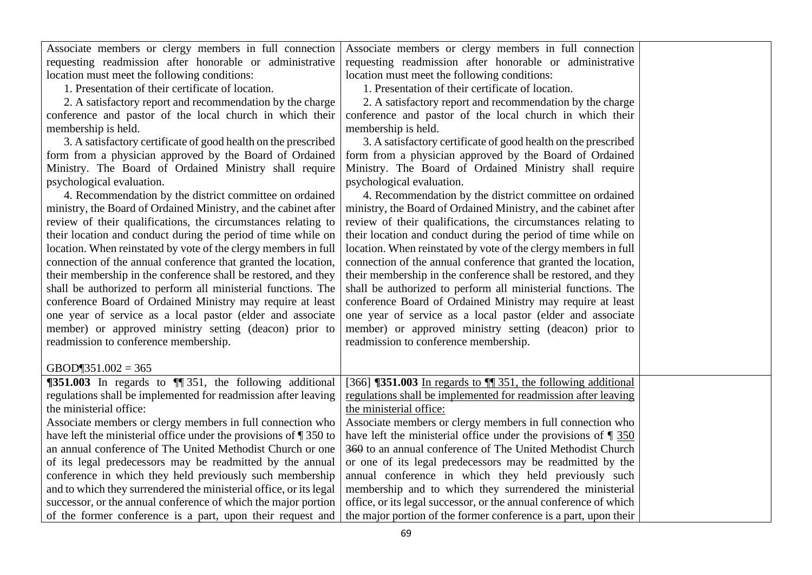| Associate members or clergy members in full connection                                                                             | Associate members or clergy members in full connection                                                                                       |
|------------------------------------------------------------------------------------------------------------------------------------|----------------------------------------------------------------------------------------------------------------------------------------------|
| requesting readmission after honorable or administrative                                                                           | requesting readmission after honorable or administrative                                                                                     |
| location must meet the following conditions:                                                                                       | location must meet the following conditions:                                                                                                 |
| 1. Presentation of their certificate of location.                                                                                  | 1. Presentation of their certificate of location.                                                                                            |
| 2. A satisfactory report and recommendation by the charge                                                                          | 2. A satisfactory report and recommendation by the charge                                                                                    |
| conference and pastor of the local church in which their                                                                           | conference and pastor of the local church in which their                                                                                     |
| membership is held.                                                                                                                | membership is held.                                                                                                                          |
| 3. A satisfactory certificate of good health on the prescribed                                                                     | 3. A satisfactory certificate of good health on the prescribed                                                                               |
| form from a physician approved by the Board of Ordained                                                                            | form from a physician approved by the Board of Ordained                                                                                      |
| Ministry. The Board of Ordained Ministry shall require                                                                             | Ministry. The Board of Ordained Ministry shall require                                                                                       |
| psychological evaluation.                                                                                                          | psychological evaluation.                                                                                                                    |
| 4. Recommendation by the district committee on ordained                                                                            | 4. Recommendation by the district committee on ordained                                                                                      |
| ministry, the Board of Ordained Ministry, and the cabinet after                                                                    | ministry, the Board of Ordained Ministry, and the cabinet after                                                                              |
| review of their qualifications, the circumstances relating to                                                                      | review of their qualifications, the circumstances relating to                                                                                |
| their location and conduct during the period of time while on                                                                      | their location and conduct during the period of time while on                                                                                |
| location. When reinstated by vote of the clergy members in full                                                                    | location. When reinstated by vote of the clergy members in full                                                                              |
| connection of the annual conference that granted the location,                                                                     | connection of the annual conference that granted the location,                                                                               |
| their membership in the conference shall be restored, and they                                                                     | their membership in the conference shall be restored, and they                                                                               |
| shall be authorized to perform all ministerial functions. The                                                                      | shall be authorized to perform all ministerial functions. The                                                                                |
| conference Board of Ordained Ministry may require at least                                                                         | conference Board of Ordained Ministry may require at least                                                                                   |
| one year of service as a local pastor (elder and associate                                                                         | one year of service as a local pastor (elder and associate                                                                                   |
| member) or approved ministry setting (deacon) prior to                                                                             | member) or approved ministry setting (deacon) prior to                                                                                       |
| readmission to conference membership.                                                                                              | readmission to conference membership.                                                                                                        |
|                                                                                                                                    |                                                                                                                                              |
| $GBOD$ (351.002 = 365                                                                                                              |                                                                                                                                              |
| <b>[351.003</b> In regards to <b>[</b> [ 351, the following additional                                                             | [366] [351.003 In regards to [[ 351, the following additional                                                                                |
| regulations shall be implemented for readmission after leaving<br>the ministerial office:                                          | regulations shall be implemented for readmission after leaving<br>the ministerial office:                                                    |
|                                                                                                                                    |                                                                                                                                              |
| Associate members or clergy members in full connection who<br>have left the ministerial office under the provisions of $\P$ 350 to | Associate members or clergy members in full connection who<br>have left the ministerial office under the provisions of $\sqrt{\frac{350}{}}$ |
| an annual conference of The United Methodist Church or one                                                                         | 360 to an annual conference of The United Methodist Church                                                                                   |
| of its legal predecessors may be readmitted by the annual                                                                          | or one of its legal predecessors may be readmitted by the                                                                                    |
| conference in which they held previously such membership                                                                           | annual conference in which they held previously such                                                                                         |
| and to which they surrendered the ministerial office, or its legal                                                                 | membership and to which they surrendered the ministerial                                                                                     |
| successor, or the annual conference of which the major portion                                                                     | office, or its legal successor, or the annual conference of which                                                                            |
| of the former conference is a part, upon their request and                                                                         | the major portion of the former conference is a part, upon their                                                                             |
|                                                                                                                                    |                                                                                                                                              |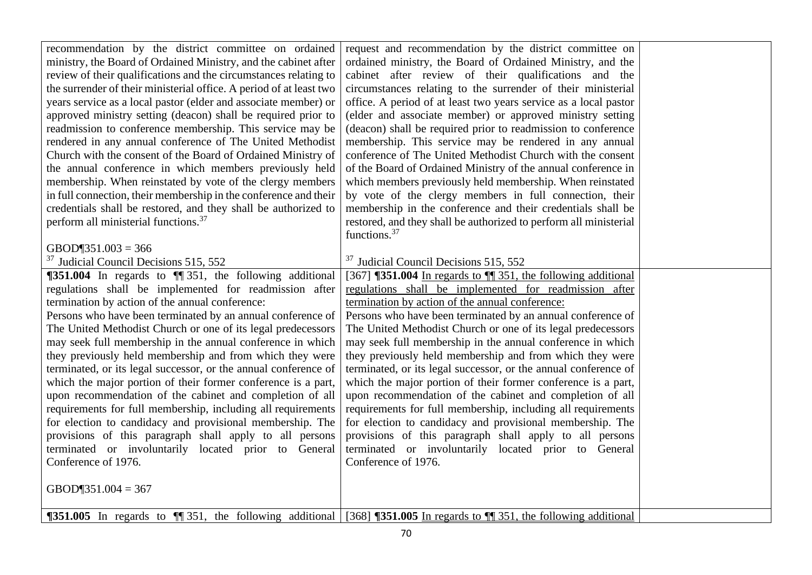| recommendation by the district committee on ordained                   | request and recommendation by the district committee on           |  |
|------------------------------------------------------------------------|-------------------------------------------------------------------|--|
| ministry, the Board of Ordained Ministry, and the cabinet after        | ordained ministry, the Board of Ordained Ministry, and the        |  |
| review of their qualifications and the circumstances relating to       | cabinet after review of their qualifications and the              |  |
| the surrender of their ministerial office. A period of at least two    | circumstances relating to the surrender of their ministerial      |  |
| years service as a local pastor (elder and associate member) or        | office. A period of at least two years service as a local pastor  |  |
| approved ministry setting (deacon) shall be required prior to          | (elder and associate member) or approved ministry setting         |  |
| readmission to conference membership. This service may be              | (deacon) shall be required prior to readmission to conference     |  |
| rendered in any annual conference of The United Methodist              | membership. This service may be rendered in any annual            |  |
| Church with the consent of the Board of Ordained Ministry of           | conference of The United Methodist Church with the consent        |  |
| the annual conference in which members previously held                 | of the Board of Ordained Ministry of the annual conference in     |  |
| membership. When reinstated by vote of the clergy members              | which members previously held membership. When reinstated         |  |
| in full connection, their membership in the conference and their       | by vote of the clergy members in full connection, their           |  |
| credentials shall be restored, and they shall be authorized to         | membership in the conference and their credentials shall be       |  |
| perform all ministerial functions. <sup>37</sup>                       | restored, and they shall be authorized to perform all ministerial |  |
|                                                                        | functions. <sup>37</sup>                                          |  |
| $GBOD$ (351.003 = 366                                                  |                                                                   |  |
| Judicial Council Decisions 515, 552                                    | <sup>37</sup> Judicial Council Decisions 515, 552                 |  |
| ¶351.004 In regards to ¶ 351, the following additional                 | [367] ¶351.004 In regards to ¶ 351, the following additional      |  |
| regulations shall be implemented for readmission after                 | regulations shall be implemented for readmission after            |  |
| termination by action of the annual conference:                        | termination by action of the annual conference:                   |  |
| Persons who have been terminated by an annual conference of            | Persons who have been terminated by an annual conference of       |  |
| The United Methodist Church or one of its legal predecessors           | The United Methodist Church or one of its legal predecessors      |  |
| may seek full membership in the annual conference in which             | may seek full membership in the annual conference in which        |  |
| they previously held membership and from which they were               | they previously held membership and from which they were          |  |
| terminated, or its legal successor, or the annual conference of        | terminated, or its legal successor, or the annual conference of   |  |
| which the major portion of their former conference is a part,          | which the major portion of their former conference is a part,     |  |
| upon recommendation of the cabinet and completion of all               | upon recommendation of the cabinet and completion of all          |  |
| requirements for full membership, including all requirements           | requirements for full membership, including all requirements      |  |
| for election to candidacy and provisional membership. The              | for election to candidacy and provisional membership. The         |  |
| provisions of this paragraph shall apply to all persons                | provisions of this paragraph shall apply to all persons           |  |
| terminated or involuntarily located prior to General                   | terminated or involuntarily located prior to General              |  |
| Conference of 1976.                                                    | Conference of 1976.                                               |  |
|                                                                        |                                                                   |  |
| $GBOD$ [351.004 = 367                                                  |                                                                   |  |
|                                                                        |                                                                   |  |
| <b>[351.005</b> In regards to <b>[</b> [ 351, the following additional | [368] [351.005 In regards to [[ 351, the following additional     |  |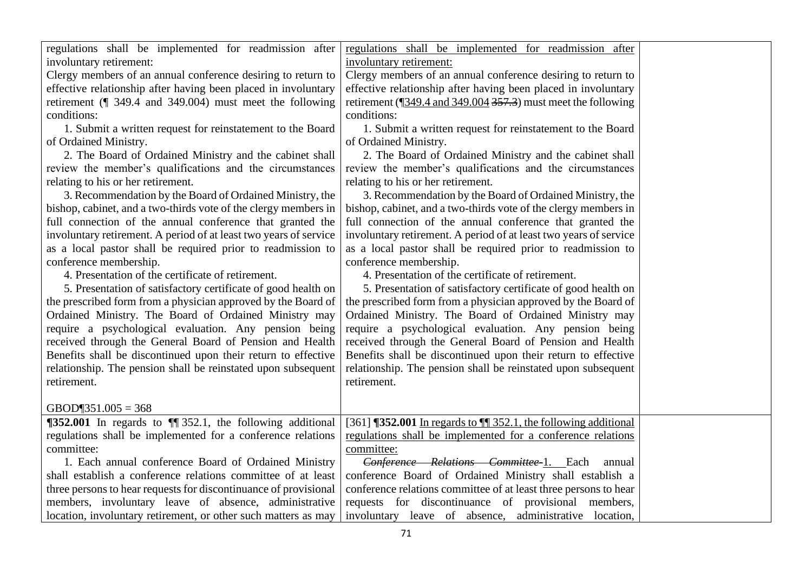| regulations shall be implemented for readmission after                                            | regulations shall be implemented for readmission after                                 |  |
|---------------------------------------------------------------------------------------------------|----------------------------------------------------------------------------------------|--|
| involuntary retirement:                                                                           | involuntary retirement:                                                                |  |
| Clergy members of an annual conference desiring to return to                                      | Clergy members of an annual conference desiring to return to                           |  |
| effective relationship after having been placed in involuntary                                    | effective relationship after having been placed in involuntary                         |  |
| retirement $(\P 349.4$ and 349.004) must meet the following                                       | retirement $(\sqrt{349.4} \text{ and } \frac{349.004}{357.3})$ must meet the following |  |
| conditions:                                                                                       | conditions:                                                                            |  |
| 1. Submit a written request for reinstatement to the Board                                        | 1. Submit a written request for reinstatement to the Board                             |  |
| of Ordained Ministry.                                                                             | of Ordained Ministry.                                                                  |  |
| 2. The Board of Ordained Ministry and the cabinet shall                                           | 2. The Board of Ordained Ministry and the cabinet shall                                |  |
| review the member's qualifications and the circumstances                                          | review the member's qualifications and the circumstances                               |  |
| relating to his or her retirement.                                                                | relating to his or her retirement.                                                     |  |
| 3. Recommendation by the Board of Ordained Ministry, the                                          | 3. Recommendation by the Board of Ordained Ministry, the                               |  |
| bishop, cabinet, and a two-thirds vote of the clergy members in                                   | bishop, cabinet, and a two-thirds vote of the clergy members in                        |  |
| full connection of the annual conference that granted the                                         | full connection of the annual conference that granted the                              |  |
| involuntary retirement. A period of at least two years of service                                 | involuntary retirement. A period of at least two years of service                      |  |
| as a local pastor shall be required prior to readmission to                                       | as a local pastor shall be required prior to readmission to                            |  |
| conference membership.                                                                            | conference membership.                                                                 |  |
| 4. Presentation of the certificate of retirement.                                                 | 4. Presentation of the certificate of retirement.                                      |  |
| 5. Presentation of satisfactory certificate of good health on                                     | 5. Presentation of satisfactory certificate of good health on                          |  |
| the prescribed form from a physician approved by the Board of                                     | the prescribed form from a physician approved by the Board of                          |  |
| Ordained Ministry. The Board of Ordained Ministry may                                             | Ordained Ministry. The Board of Ordained Ministry may                                  |  |
| require a psychological evaluation. Any pension being                                             | require a psychological evaluation. Any pension being                                  |  |
| received through the General Board of Pension and Health                                          | received through the General Board of Pension and Health                               |  |
| Benefits shall be discontinued upon their return to effective                                     | Benefits shall be discontinued upon their return to effective                          |  |
| relationship. The pension shall be reinstated upon subsequent                                     | relationship. The pension shall be reinstated upon subsequent                          |  |
| retirement.                                                                                       | retirement.                                                                            |  |
|                                                                                                   |                                                                                        |  |
| $GBOD$ (351.005 = 368)                                                                            |                                                                                        |  |
| <b><math>\sqrt{352.001}</math></b> In regards to $\sqrt{\sqrt{352.1}}$ , the following additional | [361] $$352.001$ In regards to $$352.1$ , the following additional                     |  |
| regulations shall be implemented for a conference relations                                       | regulations shall be implemented for a conference relations                            |  |
| committee:                                                                                        | committee:                                                                             |  |
| 1. Each annual conference Board of Ordained Ministry                                              | Conference Relations Committee-1. Each annual                                          |  |
| shall establish a conference relations committee of at least                                      | conference Board of Ordained Ministry shall establish a                                |  |
| three persons to hear requests for discontinuance of provisional                                  | conference relations committee of at least three persons to hear                       |  |
| members, involuntary leave of absence, administrative                                             | requests for discontinuance of provisional members,                                    |  |
| location, involuntary retirement, or other such matters as may                                    | involuntary leave of absence, administrative location,                                 |  |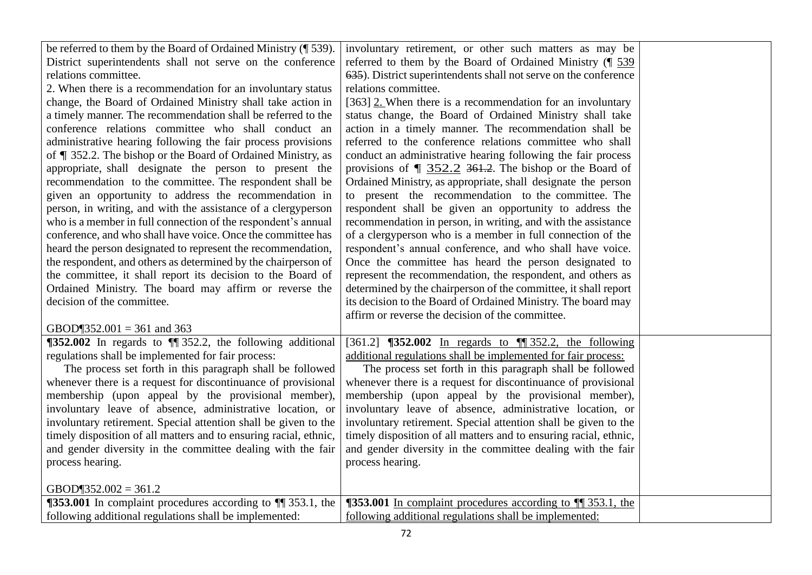| be referred to them by the Board of Ordained Ministry (¶ 539).    | involuntary retirement, or other such matters as may be                  |  |
|-------------------------------------------------------------------|--------------------------------------------------------------------------|--|
| District superintendents shall not serve on the conference        | referred to them by the Board of Ordained Ministry (¶ 539                |  |
| relations committee.                                              | 635). District superintendents shall not serve on the conference         |  |
| 2. When there is a recommendation for an involuntary status       | relations committee.                                                     |  |
| change, the Board of Ordained Ministry shall take action in       | [363] 2. When there is a recommendation for an involuntary               |  |
| a timely manner. The recommendation shall be referred to the      | status change, the Board of Ordained Ministry shall take                 |  |
| conference relations committee who shall conduct an               | action in a timely manner. The recommendation shall be                   |  |
| administrative hearing following the fair process provisions      | referred to the conference relations committee who shall                 |  |
| of ¶ 352.2. The bishop or the Board of Ordained Ministry, as      | conduct an administrative hearing following the fair process             |  |
| appropriate, shall designate the person to present the            | provisions of $\P$ 352.2 361.2. The bishop or the Board of               |  |
| recommendation to the committee. The respondent shall be          | Ordained Ministry, as appropriate, shall designate the person            |  |
| given an opportunity to address the recommendation in             | to present the recommendation to the committee. The                      |  |
| person, in writing, and with the assistance of a clergyperson     | respondent shall be given an opportunity to address the                  |  |
| who is a member in full connection of the respondent's annual     | recommendation in person, in writing, and with the assistance            |  |
| conference, and who shall have voice. Once the committee has      | of a clergyperson who is a member in full connection of the              |  |
| heard the person designated to represent the recommendation,      | respondent's annual conference, and who shall have voice.                |  |
| the respondent, and others as determined by the chairperson of    | Once the committee has heard the person designated to                    |  |
| the committee, it shall report its decision to the Board of       | represent the recommendation, the respondent, and others as              |  |
| Ordained Ministry. The board may affirm or reverse the            | determined by the chairperson of the committee, it shall report          |  |
| decision of the committee.                                        | its decision to the Board of Ordained Ministry. The board may            |  |
|                                                                   | affirm or reverse the decision of the committee.                         |  |
| GBOD¶352.001 = 361 and 363                                        |                                                                          |  |
| ¶352.002 In regards to ¶ 352.2, the following additional          | [361.2] $\P$ 352.002 In regards to $\P$ 352.2, the following             |  |
| regulations shall be implemented for fair process:                | additional regulations shall be implemented for fair process:            |  |
| The process set forth in this paragraph shall be followed         | The process set forth in this paragraph shall be followed                |  |
| whenever there is a request for discontinuance of provisional     | whenever there is a request for discontinuance of provisional            |  |
| membership (upon appeal by the provisional member),               | membership (upon appeal by the provisional member),                      |  |
| involuntary leave of absence, administrative location, or         | involuntary leave of absence, administrative location, or                |  |
| involuntary retirement. Special attention shall be given to the   | involuntary retirement. Special attention shall be given to the          |  |
| timely disposition of all matters and to ensuring racial, ethnic, | timely disposition of all matters and to ensuring racial, ethnic,        |  |
| and gender diversity in the committee dealing with the fair       | and gender diversity in the committee dealing with the fair              |  |
| process hearing.                                                  | process hearing.                                                         |  |
|                                                                   |                                                                          |  |
| GBOD¶352.002 = 361.2                                              |                                                                          |  |
| ¶353.001 In complaint procedures according to ¶ 353.1, the        | <b>¶353.001</b> In complaint procedures according to <b>¶</b> 353.1, the |  |
| following additional regulations shall be implemented:            | following additional regulations shall be implemented:                   |  |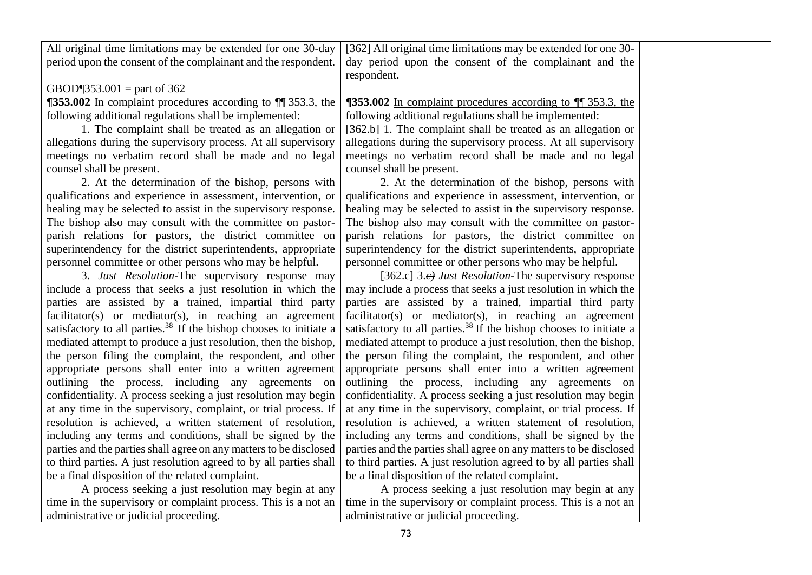| All original time limitations may be extended for one 30-day                                                             | [362] All original time limitations may be extended for one 30-                                                          |  |
|--------------------------------------------------------------------------------------------------------------------------|--------------------------------------------------------------------------------------------------------------------------|--|
| period upon the consent of the complainant and the respondent.                                                           | day period upon the consent of the complainant and the                                                                   |  |
|                                                                                                                          | respondent.                                                                                                              |  |
| GBOD¶353.001 = part of 362                                                                                               |                                                                                                                          |  |
| ¶353.002 In complaint procedures according to ¶ 353.3, the                                                               | <b>[353.002</b> In complaint procedures according to <b>[1]</b> 353.3, the                                               |  |
| following additional regulations shall be implemented:                                                                   | following additional regulations shall be implemented:                                                                   |  |
| 1. The complaint shall be treated as an allegation or                                                                    | $[362.b]$ 1. The complaint shall be treated as an allegation or                                                          |  |
| allegations during the supervisory process. At all supervisory                                                           | allegations during the supervisory process. At all supervisory                                                           |  |
| meetings no verbatim record shall be made and no legal                                                                   | meetings no verbatim record shall be made and no legal                                                                   |  |
| counsel shall be present.                                                                                                | counsel shall be present.                                                                                                |  |
| 2. At the determination of the bishop, persons with                                                                      | 2. At the determination of the bishop, persons with                                                                      |  |
| qualifications and experience in assessment, intervention, or                                                            | qualifications and experience in assessment, intervention, or                                                            |  |
| healing may be selected to assist in the supervisory response.                                                           | healing may be selected to assist in the supervisory response.                                                           |  |
| The bishop also may consult with the committee on pastor-                                                                | The bishop also may consult with the committee on pastor-                                                                |  |
| parish relations for pastors, the district committee on                                                                  | parish relations for pastors, the district committee on                                                                  |  |
| superintendency for the district superintendents, appropriate                                                            | superintendency for the district superintendents, appropriate                                                            |  |
| personnel committee or other persons who may be helpful.                                                                 | personnel committee or other persons who may be helpful.                                                                 |  |
| 3. Just Resolution-The supervisory response may                                                                          | [362.c] $3.e$ ] Just Resolution-The supervisory response                                                                 |  |
| include a process that seeks a just resolution in which the                                                              | may include a process that seeks a just resolution in which the                                                          |  |
| parties are assisted by a trained, impartial third party                                                                 | parties are assisted by a trained, impartial third party                                                                 |  |
| facilitator(s) or mediator(s), in reaching an agreement                                                                  | facilitator(s) or mediator(s), in reaching an agreement                                                                  |  |
| satisfactory to all parties. <sup>38</sup> If the bishop chooses to initiate a                                           | satisfactory to all parties. <sup>38</sup> If the bishop chooses to initiate a                                           |  |
| mediated attempt to produce a just resolution, then the bishop,                                                          | mediated attempt to produce a just resolution, then the bishop,                                                          |  |
| the person filing the complaint, the respondent, and other                                                               | the person filing the complaint, the respondent, and other                                                               |  |
| appropriate persons shall enter into a written agreement                                                                 | appropriate persons shall enter into a written agreement                                                                 |  |
| outlining the process, including any agreements on                                                                       | outlining the process, including any agreements on                                                                       |  |
| confidentiality. A process seeking a just resolution may begin                                                           | confidentiality. A process seeking a just resolution may begin                                                           |  |
| at any time in the supervisory, complaint, or trial process. If                                                          | at any time in the supervisory, complaint, or trial process. If                                                          |  |
| resolution is achieved, a written statement of resolution,<br>including any terms and conditions, shall be signed by the | resolution is achieved, a written statement of resolution,<br>including any terms and conditions, shall be signed by the |  |
| parties and the parties shall agree on any matters to be disclosed                                                       | parties and the parties shall agree on any matters to be disclosed                                                       |  |
| to third parties. A just resolution agreed to by all parties shall                                                       | to third parties. A just resolution agreed to by all parties shall                                                       |  |
| be a final disposition of the related complaint.                                                                         | be a final disposition of the related complaint.                                                                         |  |
| A process seeking a just resolution may begin at any                                                                     | A process seeking a just resolution may begin at any                                                                     |  |
| time in the supervisory or complaint process. This is a not an                                                           | time in the supervisory or complaint process. This is a not an                                                           |  |
| administrative or judicial proceeding.                                                                                   | administrative or judicial proceeding.                                                                                   |  |
|                                                                                                                          |                                                                                                                          |  |
| 73                                                                                                                       |                                                                                                                          |  |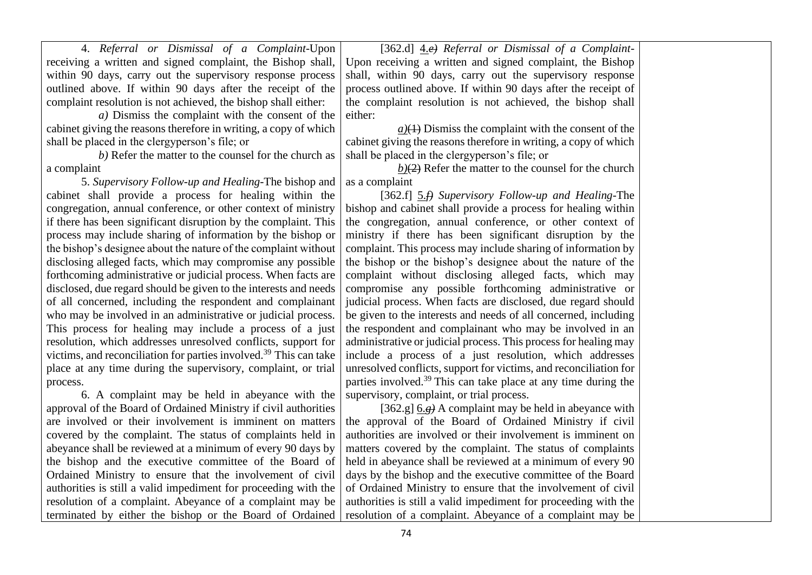4. *Referral or Dismissal of a Complaint*-Upon receiving a written and signed complaint, the Bishop shall, within 90 days, carry out the supervisory response process outlined above. If within 90 days after the receipt of the complaint resolution is not achieved, the bishop shall either:

*a)* Dismiss the complaint with the consent of the cabinet giving the reasons therefore in writing, a copy of which shall be placed in the clergyperson's file; or

*b)* Refer the matter to the counsel for the church as a complaint

5. *Supervisory Follow-up and Healing*-The bishop and cabinet shall provide a process for healing within the congregation, annual conference, or other context of ministry if there has been significant disruption by the complaint. This process may include sharing of information by the bishop or the bishop's designee about the nature of the complaint without disclosing alleged facts, which may compromise any possible forthcoming administrative or judicial process. When facts are disclosed, due regard should be given to the interests and needs of all concerned, including the respondent and complainant who may be involved in an administrative or judicial process. This process for healing may include a process of a just resolution, which addresses unresolved conflicts, support for victims, and reconciliation for parties involved.<sup>39</sup> This can take place at any time during the supervisory, complaint, or trial process.

6. A complaint may be held in abeyance with the approval of the Board of Ordained Ministry if civil authorities are involved or their involvement is imminent on matters covered by the complaint. The status of complaints held in abeyance shall be reviewed at a minimum of every 90 days by the bishop and the executive committee of the Board of Ordained Ministry to ensure that the involvement of civil authorities is still a valid impediment for proceeding with the resolution of a complaint. Abeyance of a complaint may be terminated by either the bishop or the Board of Ordained

[362.d] 4.*e) Referral or Dismissal of a Complaint*-Upon receiving a written and signed complaint, the Bishop shall, within 90 days, carry out the supervisory response process outlined above. If within 90 days after the receipt of the complaint resolution is not achieved, the bishop shall either:

*a)*(1) Dismiss the complaint with the consent of the cabinet giving the reasons therefore in writing, a copy of which shall be placed in the clergyperson's file; or

*b)*(2) Refer the matter to the counsel for the church as a complaint

[362.f] 5.*f) Supervisory Follow-up and Healing*-The bishop and cabinet shall provide a process for healing within the congregation, annual conference, or other context of ministry if there has been significant disruption by the complaint. This process may include sharing of information by the bishop or the bishop's designee about the nature of the complaint without disclosing alleged facts, which may compromise any possible forthcoming administrative or judicial process. When facts are disclosed, due regard should be given to the interests and needs of all concerned, including the respondent and complainant who may be involved in an administrative or judicial process. This process for healing may include a process of a just resolution, which addresses unresolved conflicts, support for victims, and reconciliation for parties involved.<sup>39</sup> This can take place at any time during the supervisory, complaint, or trial process.

[362.g] 6.*g)* A complaint may be held in abeyance with the approval of the Board of Ordained Ministry if civil authorities are involved or their involvement is imminent on matters covered by the complaint. The status of complaints held in abeyance shall be reviewed at a minimum of every 90 days by the bishop and the executive committee of the Board of Ordained Ministry to ensure that the involvement of civil authorities is still a valid impediment for proceeding with the resolution of a complaint. Abeyance of a complaint may be